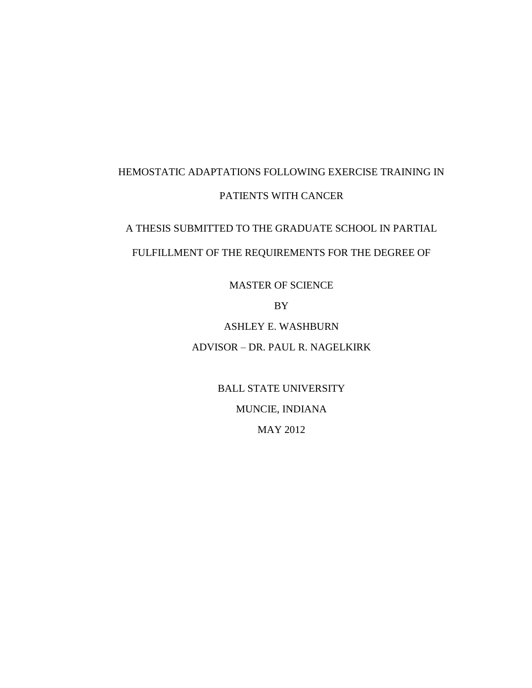# HEMOSTATIC ADAPTATIONS FOLLOWING EXERCISE TRAINING IN PATIENTS WITH CANCER

A THESIS SUBMITTED TO THE GRADUATE SCHOOL IN PARTIAL FULFILLMENT OF THE REQUIREMENTS FOR THE DEGREE OF

MASTER OF SCIENCE

BY

ASHLEY E. WASHBURN ADVISOR – DR. PAUL R. NAGELKIRK

> BALL STATE UNIVERSITY MUNCIE, INDIANA MAY 2012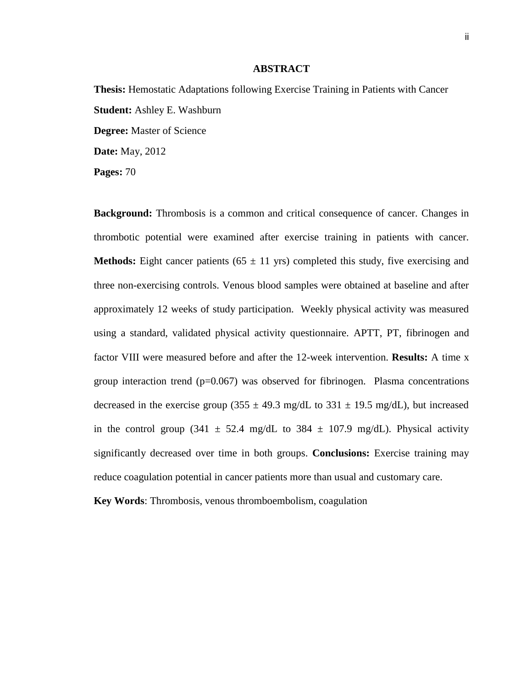### **ABSTRACT**

**Thesis:** Hemostatic Adaptations following Exercise Training in Patients with Cancer **Student:** Ashley E. Washburn **Degree:** Master of Science **Date:** May, 2012 **Pages:** 70

**Background:** Thrombosis is a common and critical consequence of cancer. Changes in thrombotic potential were examined after exercise training in patients with cancer. **Methods:** Eight cancer patients ( $65 \pm 11$  yrs) completed this study, five exercising and three non-exercising controls. Venous blood samples were obtained at baseline and after approximately 12 weeks of study participation. Weekly physical activity was measured using a standard, validated physical activity questionnaire. APTT, PT, fibrinogen and factor VIII were measured before and after the 12-week intervention. **Results:** A time x group interaction trend  $(p=0.067)$  was observed for fibrinogen. Plasma concentrations decreased in the exercise group (355  $\pm$  49.3 mg/dL to 331  $\pm$  19.5 mg/dL), but increased in the control group (341  $\pm$  52.4 mg/dL to 384  $\pm$  107.9 mg/dL). Physical activity significantly decreased over time in both groups. **Conclusions:** Exercise training may reduce coagulation potential in cancer patients more than usual and customary care.

**Key Words**: Thrombosis, venous thromboembolism, coagulation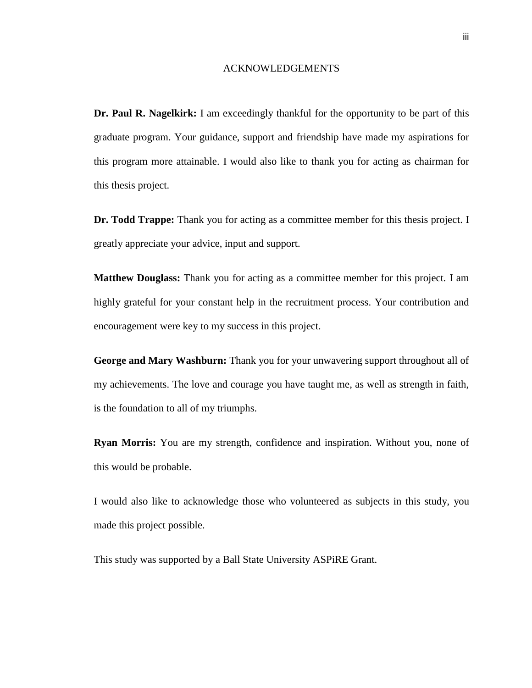#### ACKNOWLEDGEMENTS

**Dr. Paul R. Nagelkirk:** I am exceedingly thankful for the opportunity to be part of this graduate program. Your guidance, support and friendship have made my aspirations for this program more attainable. I would also like to thank you for acting as chairman for this thesis project.

**Dr. Todd Trappe:** Thank you for acting as a committee member for this thesis project. I greatly appreciate your advice, input and support.

**Matthew Douglass:** Thank you for acting as a committee member for this project. I am highly grateful for your constant help in the recruitment process. Your contribution and encouragement were key to my success in this project.

**George and Mary Washburn:** Thank you for your unwavering support throughout all of my achievements. The love and courage you have taught me, as well as strength in faith, is the foundation to all of my triumphs.

**Ryan Morris:** You are my strength, confidence and inspiration. Without you, none of this would be probable.

I would also like to acknowledge those who volunteered as subjects in this study, you made this project possible.

This study was supported by a Ball State University ASPiRE Grant.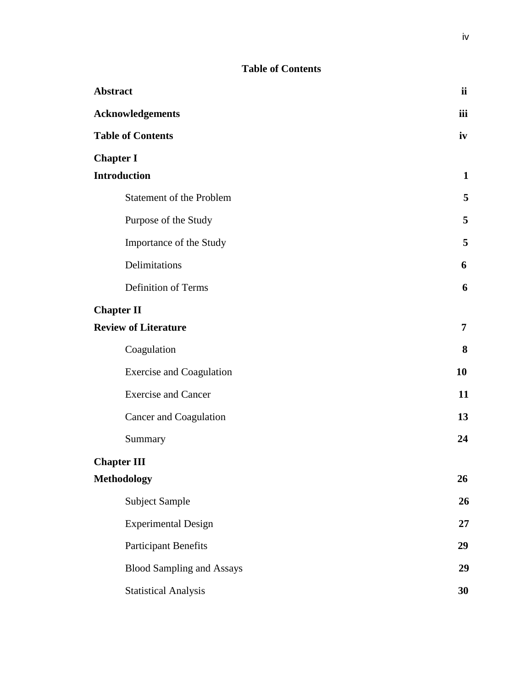## **Table of Contents**

| <b>Abstract</b>                  | <i>ii</i>      |
|----------------------------------|----------------|
| <b>Acknowledgements</b>          | iii            |
| <b>Table of Contents</b>         | iv             |
| <b>Chapter I</b>                 |                |
| <b>Introduction</b>              | $\mathbf{1}$   |
| <b>Statement of the Problem</b>  | 5              |
| Purpose of the Study             | 5              |
| Importance of the Study          | 5              |
| Delimitations                    | 6              |
| <b>Definition of Terms</b>       | 6              |
| <b>Chapter II</b>                |                |
| <b>Review of Literature</b>      | $\overline{7}$ |
| Coagulation                      | 8              |
| <b>Exercise and Coagulation</b>  | 10             |
| <b>Exercise and Cancer</b>       | 11             |
| Cancer and Coagulation           | 13             |
| Summary                          | 24             |
| <b>Chapter III</b>               |                |
| <b>Methodology</b>               | 26             |
| <b>Subject Sample</b>            | 26             |
| <b>Experimental Design</b>       | 27             |
| <b>Participant Benefits</b>      | 29             |
| <b>Blood Sampling and Assays</b> | 29             |
| <b>Statistical Analysis</b>      | 30             |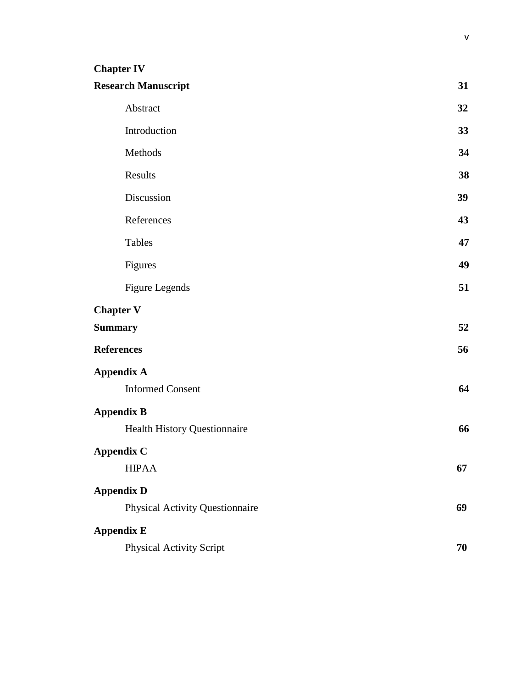## **Chapter IV**

| <b>Research Manuscript</b>             | 31 |
|----------------------------------------|----|
| Abstract                               | 32 |
| Introduction                           | 33 |
| Methods                                | 34 |
| Results                                | 38 |
| Discussion                             | 39 |
| References                             | 43 |
| <b>Tables</b>                          | 47 |
| Figures                                | 49 |
| <b>Figure Legends</b>                  | 51 |
| <b>Chapter V</b>                       |    |
| <b>Summary</b>                         | 52 |
| <b>References</b>                      | 56 |
| <b>Appendix A</b>                      |    |
| <b>Informed Consent</b>                | 64 |
| <b>Appendix B</b>                      |    |
| Health History Questionnaire           | 66 |
| <b>Appendix C</b>                      |    |
| <b>HIPAA</b>                           | 67 |
| <b>Appendix D</b>                      |    |
| <b>Physical Activity Questionnaire</b> | 69 |
| <b>Appendix E</b>                      |    |
| <b>Physical Activity Script</b>        | 70 |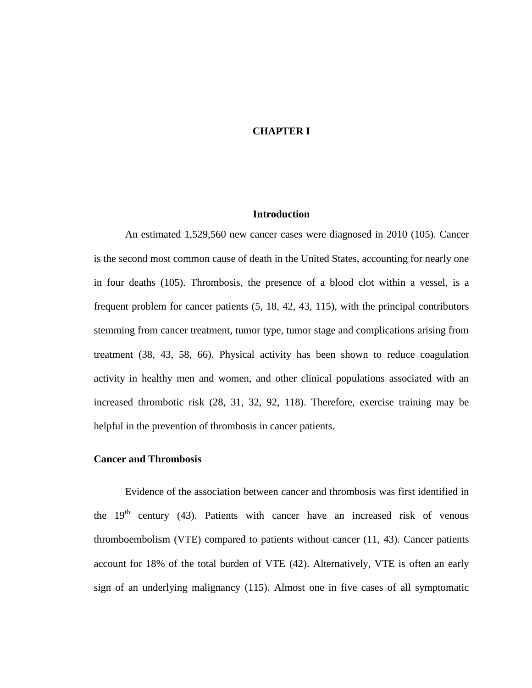## **CHAPTER I**

## **Introduction**

An estimated 1,529,560 new cancer cases were diagnosed in 2010 [\(105\)](#page-66-0). Cancer is the second most common cause of death in the United States, accounting for nearly one in four deaths [\(105\)](#page-66-0). Thrombosis, the presence of a blood clot within a vessel, is a frequent problem for cancer patients [\(5,](#page-60-0) [18,](#page-61-0) [42,](#page-62-0) [43,](#page-62-1) [115\)](#page-67-0), with the principal contributors stemming from cancer treatment, tumor type, tumor stage and complications arising from treatment [\(38,](#page-62-2) [43,](#page-62-1) [58,](#page-63-0) [66\)](#page-64-0). Physical activity has been shown to reduce coagulation activity in healthy men and women, and other clinical populations associated with an increased thrombotic risk [\(28,](#page-61-1) [31,](#page-61-2) [32,](#page-61-3) [92,](#page-65-0) [118\)](#page-67-1). Therefore, exercise training may be helpful in the prevention of thrombosis in cancer patients.

## **Cancer and Thrombosis**

Evidence of the association between cancer and thrombosis was first identified in the  $19<sup>th</sup>$  century [\(43\)](#page-62-1). Patients with cancer have an increased risk of venous thromboembolism (VTE) compared to patients without cancer [\(11,](#page-60-1) [43\)](#page-62-1). Cancer patients account for 18% of the total burden of VTE [\(42\)](#page-62-0). Alternatively, VTE is often an early sign of an underlying malignancy [\(115\)](#page-67-0). Almost one in five cases of all symptomatic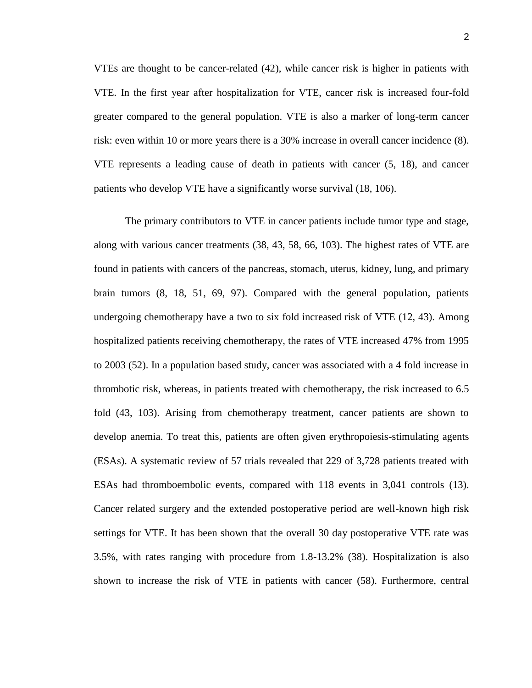VTEs are thought to be cancer-related [\(42\)](#page-62-0), while cancer risk is higher in patients with VTE. In the first year after hospitalization for VTE, cancer risk is increased four-fold greater compared to the general population. VTE is also a marker of long-term cancer risk: even within 10 or more years there is a 30% increase in overall cancer incidence [\(8\)](#page-60-2). VTE represents a leading cause of death in patients with cancer [\(5,](#page-60-0) [18\)](#page-61-0), and cancer patients who develop VTE have a significantly worse survival [\(18,](#page-61-0) [106\)](#page-66-1).

The primary contributors to VTE in cancer patients include tumor type and stage, along with various cancer treatments [\(38,](#page-62-2) [43,](#page-62-1) [58,](#page-63-0) [66,](#page-64-0) [103\)](#page-66-2). The highest rates of VTE are found in patients with cancers of the pancreas, stomach, uterus, kidney, lung, and primary brain tumors [\(8,](#page-60-2) [18,](#page-61-0) [51,](#page-63-1) [69,](#page-64-1) [97\)](#page-66-3). Compared with the general population, patients undergoing chemotherapy have a two to six fold increased risk of VTE [\(12,](#page-60-3) [43\)](#page-62-1). Among hospitalized patients receiving chemotherapy, the rates of VTE increased 47% from 1995 to 2003 [\(52\)](#page-63-2). In a population based study, cancer was associated with a 4 fold increase in thrombotic risk, whereas, in patients treated with chemotherapy, the risk increased to 6.5 fold [\(43,](#page-62-1) [103\)](#page-66-2). Arising from chemotherapy treatment, cancer patients are shown to develop anemia. To treat this, patients are often given erythropoiesis-stimulating agents (ESAs). A systematic review of 57 trials revealed that 229 of 3,728 patients treated with ESAs had thromboembolic events, compared with 118 events in 3,041 controls [\(13\)](#page-60-4). Cancer related surgery and the extended postoperative period are well-known high risk settings for VTE. It has been shown that the overall 30 day postoperative VTE rate was 3.5%, with rates ranging with procedure from 1.8-13.2% [\(38\)](#page-62-2). Hospitalization is also shown to increase the risk of VTE in patients with cancer [\(58\)](#page-63-0). Furthermore, central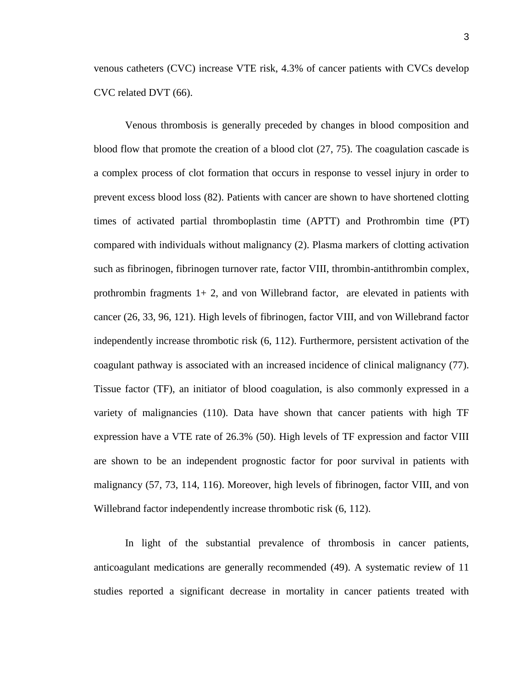venous catheters (CVC) increase VTE risk, 4.3% of cancer patients with CVCs develop CVC related DVT [\(66\)](#page-64-0).

Venous thrombosis is generally preceded by changes in blood composition and blood flow that promote the creation of a blood clot [\(27,](#page-61-4) [75\)](#page-64-2). The coagulation cascade is a complex process of clot formation that occurs in response to vessel injury in order to prevent excess blood loss [\(82\)](#page-64-3). Patients with cancer are shown to have shortened clotting times of activated partial thromboplastin time (APTT) and Prothrombin time (PT) compared with individuals without malignancy [\(2\)](#page-60-5). Plasma markers of clotting activation such as fibrinogen, fibrinogen turnover rate, factor VIII, thrombin-antithrombin complex, prothrombin fragments  $1+2$ , and von Willebrand factor, are elevated in patients with cancer [\(26,](#page-61-5) [33,](#page-61-6) [96,](#page-65-1) [121\)](#page-67-2). High levels of fibrinogen, factor VIII, and von Willebrand factor independently increase thrombotic risk [\(6,](#page-60-6) [112\)](#page-66-4). Furthermore, persistent activation of the coagulant pathway is associated with an increased incidence of clinical malignancy [\(77\)](#page-64-4). Tissue factor (TF), an initiator of blood coagulation, is also commonly expressed in a variety of malignancies [\(110\)](#page-66-5). Data have shown that cancer patients with high TF expression have a VTE rate of 26.3% [\(50\)](#page-62-3). High levels of TF expression and factor VIII are shown to be an independent prognostic factor for poor survival in patients with malignancy [\(57,](#page-63-3) [73,](#page-64-5) [114,](#page-67-3) [116\)](#page-67-4). Moreover, high levels of fibrinogen, factor VIII, and von Willebrand factor independently increase thrombotic risk [\(6,](#page-60-6) [112\)](#page-66-4).

In light of the substantial prevalence of thrombosis in cancer patients, anticoagulant medications are generally recommended [\(49\)](#page-62-4). A systematic review of 11 studies reported a significant decrease in mortality in cancer patients treated with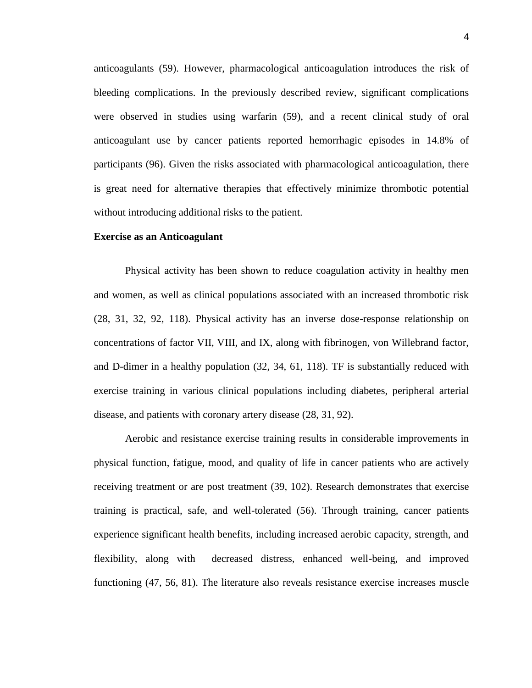anticoagulants [\(59\)](#page-63-4). However, pharmacological anticoagulation introduces the risk of bleeding complications. In the previously described review, significant complications were observed in studies using warfarin [\(59\)](#page-63-4), and a recent clinical study of oral anticoagulant use by cancer patients reported hemorrhagic episodes in 14.8% of participants [\(96\)](#page-65-1). Given the risks associated with pharmacological anticoagulation, there is great need for alternative therapies that effectively minimize thrombotic potential without introducing additional risks to the patient.

#### **Exercise as an Anticoagulant**

Physical activity has been shown to reduce coagulation activity in healthy men and women, as well as clinical populations associated with an increased thrombotic risk [\(28,](#page-61-1) [31,](#page-61-2) [32,](#page-61-3) [92,](#page-65-0) [118\)](#page-67-1). Physical activity has an inverse dose-response relationship on concentrations of factor VII, VIII, and IX, along with fibrinogen, von Willebrand factor, and D-dimer in a healthy population [\(32,](#page-61-3) [34,](#page-61-7) [61,](#page-63-5) [118\)](#page-67-1). TF is substantially reduced with exercise training in various clinical populations including diabetes, peripheral arterial disease, and patients with coronary artery disease [\(28,](#page-61-1) [31,](#page-61-2) [92\)](#page-65-0).

Aerobic and resistance exercise training results in considerable improvements in physical function, fatigue, mood, and quality of life in cancer patients who are actively receiving treatment or are post treatment [\(39,](#page-62-5) [102\)](#page-66-6). Research demonstrates that exercise training is practical, safe, and well-tolerated [\(56\)](#page-63-6). Through training, cancer patients experience significant health benefits, including increased aerobic capacity, strength, and flexibility, along with decreased distress, enhanced well-being, and improved functioning [\(47,](#page-62-6) [56,](#page-63-6) [81\)](#page-64-6). The literature also reveals resistance exercise increases muscle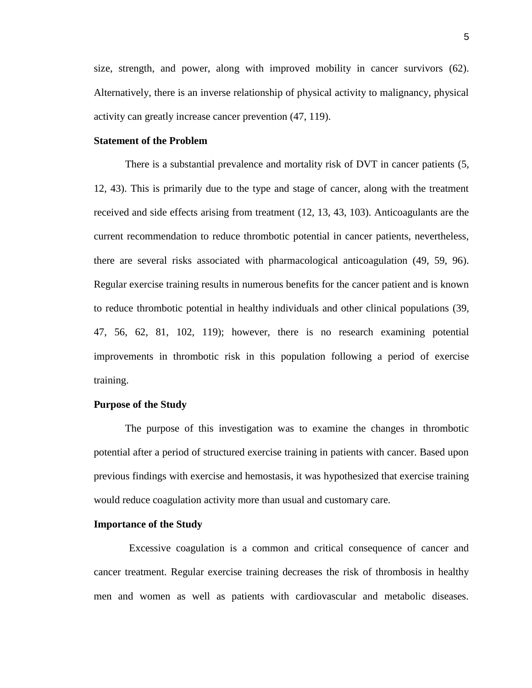size, strength, and power, along with improved mobility in cancer survivors [\(62\)](#page-63-7). Alternatively, there is an inverse relationship of physical activity to malignancy, physical activity can greatly increase cancer prevention [\(47,](#page-62-6) [119\)](#page-67-5).

## **Statement of the Problem**

There is a substantial prevalence and mortality risk of DVT in cancer patients [\(5,](#page-60-0) [12,](#page-60-3) [43\)](#page-62-1). This is primarily due to the type and stage of cancer, along with the treatment received and side effects arising from treatment [\(12,](#page-60-3) [13,](#page-60-4) [43,](#page-62-1) [103\)](#page-66-2). Anticoagulants are the current recommendation to reduce thrombotic potential in cancer patients, nevertheless, there are several risks associated with pharmacological anticoagulation [\(49,](#page-62-4) [59,](#page-63-4) [96\)](#page-65-1). Regular exercise training results in numerous benefits for the cancer patient and is known to reduce thrombotic potential in healthy individuals and other clinical populations [\(39,](#page-62-5) [47,](#page-62-6) [56,](#page-63-6) [62,](#page-63-7) [81,](#page-64-6) [102,](#page-66-6) [119\)](#page-67-5); however, there is no research examining potential improvements in thrombotic risk in this population following a period of exercise training.

## **Purpose of the Study**

The purpose of this investigation was to examine the changes in thrombotic potential after a period of structured exercise training in patients with cancer. Based upon previous findings with exercise and hemostasis, it was hypothesized that exercise training would reduce coagulation activity more than usual and customary care.

## **Importance of the Study**

Excessive coagulation is a common and critical consequence of cancer and cancer treatment. Regular exercise training decreases the risk of thrombosis in healthy men and women as well as patients with cardiovascular and metabolic diseases.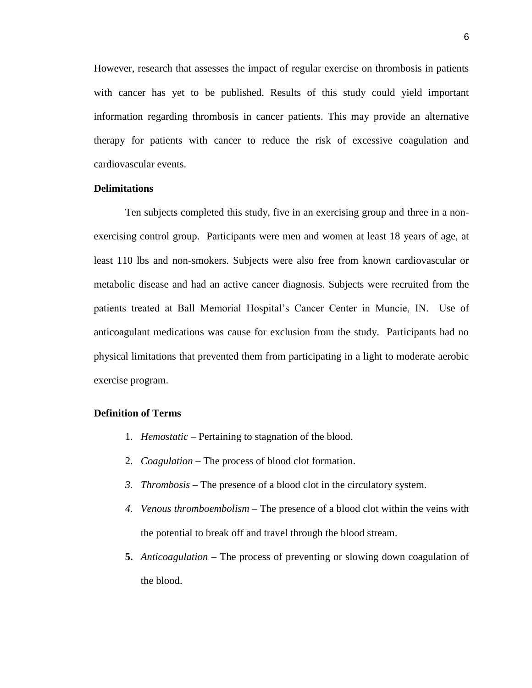However, research that assesses the impact of regular exercise on thrombosis in patients with cancer has yet to be published. Results of this study could yield important information regarding thrombosis in cancer patients. This may provide an alternative therapy for patients with cancer to reduce the risk of excessive coagulation and cardiovascular events.

## **Delimitations**

Ten subjects completed this study, five in an exercising group and three in a nonexercising control group.Participants were men and women at least 18 years of age, at least 110 lbs and non-smokers. Subjects were also free from known cardiovascular or metabolic disease and had an active cancer diagnosis. Subjects were recruited from the patients treated at Ball Memorial Hospital's Cancer Center in Muncie, IN. Use of anticoagulant medications was cause for exclusion from the study. Participants had no physical limitations that prevented them from participating in a light to moderate aerobic exercise program.

## **Definition of Terms**

- 1. *Hemostatic* Pertaining to stagnation of the blood.
- 2. *Coagulation* The process of blood clot formation.
- *3. Thrombosis*  The presence of a blood clot in the circulatory system.
- *4. Venous thromboembolism* The presence of a blood clot within the veins with the potential to break off and travel through the blood stream.
- **5.** *Anticoagulation* The process of preventing or slowing down coagulation of the blood.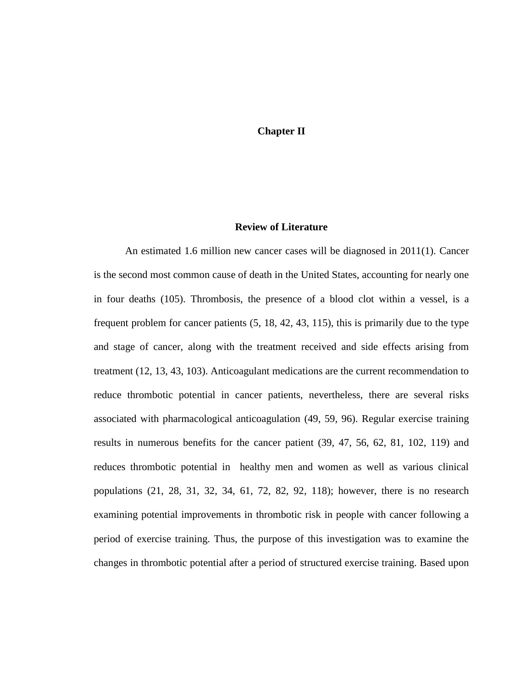## **Chapter II**

## **Review of Literature**

An estimated 1.6 million new cancer cases will be diagnosed in 2011[\(1\)](#page-60-7). Cancer is the second most common cause of death in the United States, accounting for nearly one in four deaths [\(105\)](#page-66-0). Thrombosis, the presence of a blood clot within a vessel, is a frequent problem for cancer patients [\(5,](#page-60-0) [18,](#page-61-0) [42,](#page-62-0) [43,](#page-62-1) [115\)](#page-67-0), this is primarily due to the type and stage of cancer, along with the treatment received and side effects arising from treatment [\(12,](#page-60-3) [13,](#page-60-4) [43,](#page-62-1) [103\)](#page-66-2). Anticoagulant medications are the current recommendation to reduce thrombotic potential in cancer patients, nevertheless, there are several risks associated with pharmacological anticoagulation [\(49,](#page-62-4) [59,](#page-63-4) [96\)](#page-65-1). Regular exercise training results in numerous benefits for the cancer patient [\(39,](#page-62-5) [47,](#page-62-6) [56,](#page-63-6) [62,](#page-63-7) [81,](#page-64-6) [102,](#page-66-6) [119\)](#page-67-5) and reduces thrombotic potential in healthy men and women as well as various clinical populations [\(21,](#page-61-8) [28,](#page-61-1) [31,](#page-61-2) [32,](#page-61-3) [34,](#page-61-7) [61,](#page-63-5) [72,](#page-64-7) [82,](#page-64-3) [92,](#page-65-0) [118\)](#page-67-1); however, there is no research examining potential improvements in thrombotic risk in people with cancer following a period of exercise training. Thus, the purpose of this investigation was to examine the changes in thrombotic potential after a period of structured exercise training. Based upon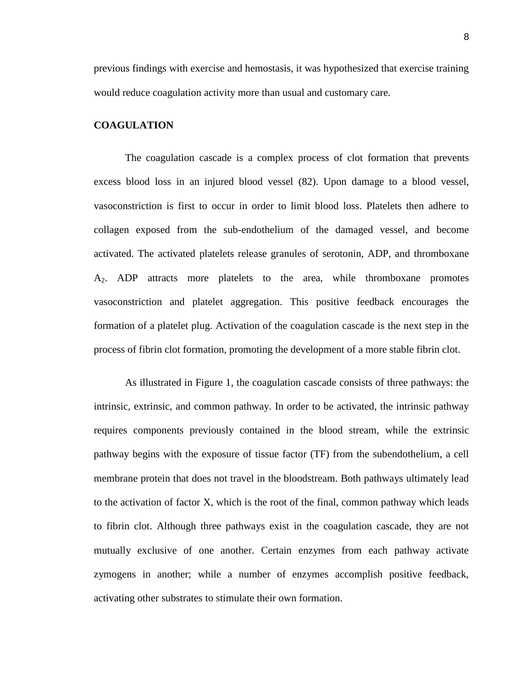previous findings with exercise and hemostasis, it was hypothesized that exercise training would reduce coagulation activity more than usual and customary care.

## **COAGULATION**

The coagulation cascade is a complex process of clot formation that prevents excess blood loss in an injured blood vessel [\(82\)](#page-64-3). Upon damage to a blood vessel, vasoconstriction is first to occur in order to limit blood loss. Platelets then adhere to collagen exposed from the sub-endothelium of the damaged vessel, and become activated. The activated platelets release granules of serotonin, ADP, and thromboxane A2. ADP attracts more platelets to the area, while thromboxane promotes vasoconstriction and platelet aggregation. This positive feedback encourages the formation of a platelet plug. Activation of the coagulation cascade is the next step in the process of fibrin clot formation, promoting the development of a more stable fibrin clot.

As illustrated in Figure 1, the coagulation cascade consists of three pathways: the intrinsic, extrinsic, and common pathway. In order to be activated, the intrinsic pathway requires components previously contained in the blood stream, while the extrinsic pathway begins with the exposure of tissue factor (TF) from the subendothelium, a cell membrane protein that does not travel in the bloodstream. Both pathways ultimately lead to the activation of factor X, which is the root of the final, common pathway which leads to fibrin clot. Although three pathways exist in the coagulation cascade, they are not mutually exclusive of one another. Certain enzymes from each pathway activate zymogens in another; while a number of enzymes accomplish positive feedback, activating other substrates to stimulate their own formation.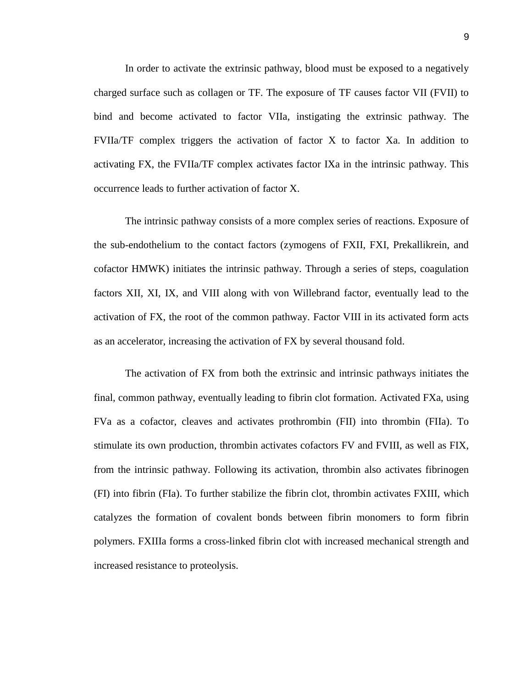In order to activate the extrinsic pathway, blood must be exposed to a negatively charged surface such as collagen or TF. The exposure of TF causes factor VII (FVII) to bind and become activated to factor VIIa, instigating the extrinsic pathway. The FVIIa/TF complex triggers the activation of factor X to factor Xa. In addition to activating FX, the FVIIa/TF complex activates factor IXa in the intrinsic pathway. This occurrence leads to further activation of factor X.

The intrinsic pathway consists of a more complex series of reactions. Exposure of the sub-endothelium to the contact factors (zymogens of FXII, FXI, Prekallikrein, and cofactor HMWK) initiates the intrinsic pathway. Through a series of steps, coagulation factors XII, XI, IX, and VIII along with von Willebrand factor, eventually lead to the activation of FX, the root of the common pathway. Factor VIII in its activated form acts as an accelerator, increasing the activation of FX by several thousand fold.

The activation of FX from both the extrinsic and intrinsic pathways initiates the final, common pathway, eventually leading to fibrin clot formation. Activated FXa, using FVa as a cofactor, cleaves and activates prothrombin (FII) into thrombin (FIIa). To stimulate its own production, thrombin activates cofactors FV and FVIII, as well as FIX, from the intrinsic pathway. Following its activation, thrombin also activates fibrinogen (FI) into fibrin (FIa). To further stabilize the fibrin clot, thrombin activates FXIII, which catalyzes the formation of covalent bonds between fibrin monomers to form fibrin polymers. FXIIIa forms a cross-linked fibrin clot with increased mechanical strength and increased resistance to proteolysis.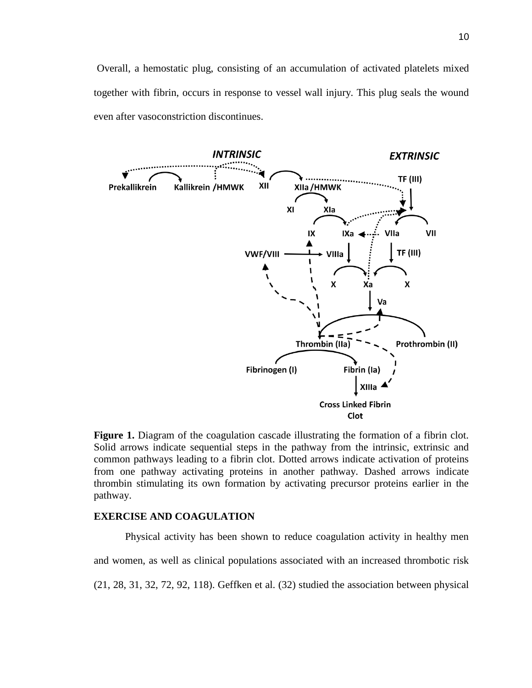Overall, a hemostatic plug, consisting of an accumulation of activated platelets mixed together with fibrin, occurs in response to vessel wall injury. This plug seals the wound even after vasoconstriction discontinues.



**Figure 1.** Diagram of the coagulation cascade illustrating the formation of a fibrin clot. Solid arrows indicate sequential steps in the pathway from the intrinsic, extrinsic and common pathways leading to a fibrin clot. Dotted arrows indicate activation of proteins from one pathway activating proteins in another pathway. Dashed arrows indicate thrombin stimulating its own formation by activating precursor proteins earlier in the pathway.

## **EXERCISE AND COAGULATION**

Physical activity has been shown to reduce coagulation activity in healthy men and women, as well as clinical populations associated with an increased thrombotic risk [\(21,](#page-61-8) [28,](#page-61-1) [31,](#page-61-2) [32,](#page-61-3) [72,](#page-64-7) [92,](#page-65-0) [118\)](#page-67-1). Geffken et al. [\(32\)](#page-61-3) studied the association between physical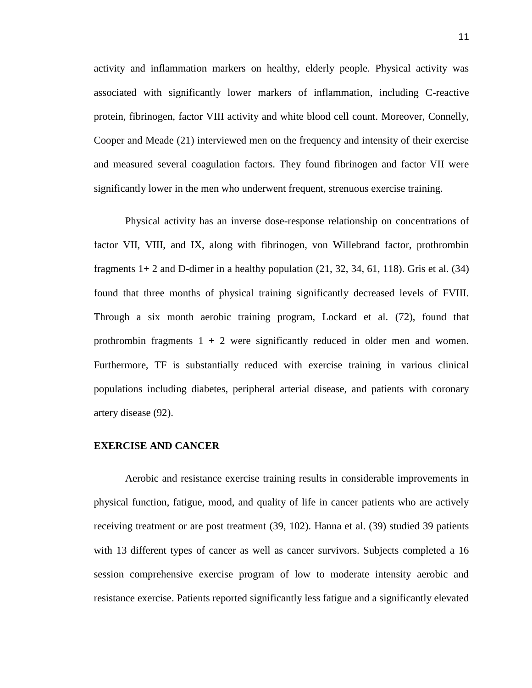activity and inflammation markers on healthy, elderly people. Physical activity was associated with significantly lower markers of inflammation, including C-reactive protein, fibrinogen, factor VIII activity and white blood cell count. Moreover, Connelly, Cooper and Meade [\(21\)](#page-61-8) interviewed men on the frequency and intensity of their exercise and measured several coagulation factors. They found fibrinogen and factor VII were significantly lower in the men who underwent frequent, strenuous exercise training.

Physical activity has an inverse dose-response relationship on concentrations of factor VII, VIII, and IX, along with fibrinogen, von Willebrand factor, prothrombin fragments  $1+2$  and D-dimer in a healthy population  $(21, 32, 34, 61, 118)$  $(21, 32, 34, 61, 118)$  $(21, 32, 34, 61, 118)$  $(21, 32, 34, 61, 118)$  $(21, 32, 34, 61, 118)$ . Gris et al.  $(34)$ found that three months of physical training significantly decreased levels of FVIII. Through a six month aerobic training program, Lockard et al. [\(72\)](#page-64-7), found that prothrombin fragments  $1 + 2$  were significantly reduced in older men and women. Furthermore, TF is substantially reduced with exercise training in various clinical populations including diabetes, peripheral arterial disease, and patients with coronary artery disease [\(92\)](#page-65-0).

## **EXERCISE AND CANCER**

Aerobic and resistance exercise training results in considerable improvements in physical function, fatigue, mood, and quality of life in cancer patients who are actively receiving treatment or are post treatment [\(39,](#page-62-5) [102\)](#page-66-6). Hanna et al. [\(39\)](#page-62-5) studied 39 patients with 13 different types of cancer as well as cancer survivors. Subjects completed a 16 session comprehensive exercise program of low to moderate intensity aerobic and resistance exercise. Patients reported significantly less fatigue and a significantly elevated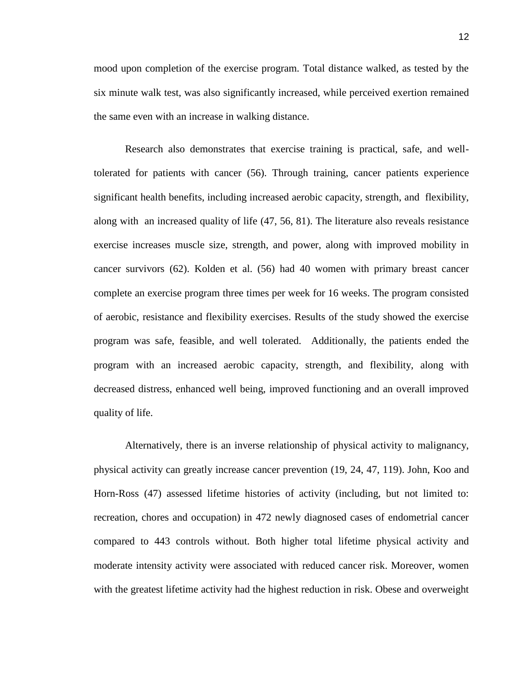mood upon completion of the exercise program. Total distance walked, as tested by the six minute walk test, was also significantly increased, while perceived exertion remained the same even with an increase in walking distance.

Research also demonstrates that exercise training is practical, safe, and welltolerated for patients with cancer [\(56\)](#page-63-6). Through training, cancer patients experience significant health benefits, including increased aerobic capacity, strength, and flexibility, along with an increased quality of life [\(47,](#page-62-6) [56,](#page-63-6) [81\)](#page-64-6). The literature also reveals resistance exercise increases muscle size, strength, and power, along with improved mobility in cancer survivors [\(62\)](#page-63-7). Kolden et al. [\(56\)](#page-63-6) had 40 women with primary breast cancer complete an exercise program three times per week for 16 weeks. The program consisted of aerobic, resistance and flexibility exercises. Results of the study showed the exercise program was safe, feasible, and well tolerated. Additionally, the patients ended the program with an increased aerobic capacity, strength, and flexibility, along with decreased distress, enhanced well being, improved functioning and an overall improved quality of life.

Alternatively, there is an inverse relationship of physical activity to malignancy, physical activity can greatly increase cancer prevention [\(19,](#page-61-9) [24,](#page-61-10) [47,](#page-62-6) [119\)](#page-67-5). John, Koo and Horn-Ross [\(47\)](#page-62-6) assessed lifetime histories of activity (including, but not limited to: recreation, chores and occupation) in 472 newly diagnosed cases of endometrial cancer compared to 443 controls without. Both higher total lifetime physical activity and moderate intensity activity were associated with reduced cancer risk. Moreover, women with the greatest lifetime activity had the highest reduction in risk. Obese and overweight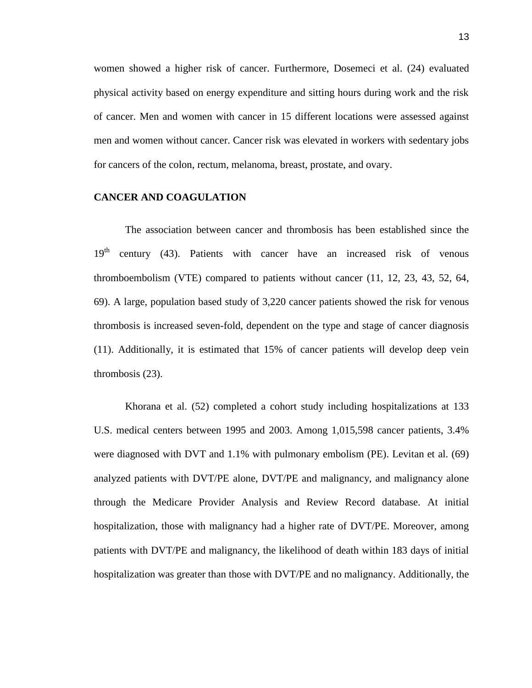women showed a higher risk of cancer. Furthermore, Dosemeci et al. [\(24\)](#page-61-10) evaluated physical activity based on energy expenditure and sitting hours during work and the risk of cancer. Men and women with cancer in 15 different locations were assessed against men and women without cancer. Cancer risk was elevated in workers with sedentary jobs for cancers of the colon, rectum, melanoma, breast, prostate, and ovary.

## **CANCER AND COAGULATION**

The association between cancer and thrombosis has been established since the  $19<sup>th</sup>$  century [\(43\)](#page-62-1). Patients with cancer have an increased risk of venous thromboembolism (VTE) compared to patients without cancer [\(11,](#page-60-1) [12,](#page-60-3) [23,](#page-61-11) [43,](#page-62-1) [52,](#page-63-2) [64,](#page-63-8) [69\)](#page-64-1). A large, population based study of 3,220 cancer patients showed the risk for venous thrombosis is increased seven-fold, dependent on the type and stage of cancer diagnosis [\(11\)](#page-60-1). Additionally, it is estimated that 15% of cancer patients will develop deep vein thrombosis [\(23\)](#page-61-11).

Khorana et al. [\(52\)](#page-63-2) completed a cohort study including hospitalizations at 133 U.S. medical centers between 1995 and 2003. Among 1,015,598 cancer patients, 3.4% were diagnosed with DVT and 1.1% with pulmonary embolism (PE). Levitan et al. [\(69\)](#page-64-1) analyzed patients with DVT/PE alone, DVT/PE and malignancy, and malignancy alone through the Medicare Provider Analysis and Review Record database. At initial hospitalization, those with malignancy had a higher rate of DVT/PE. Moreover, among patients with DVT/PE and malignancy, the likelihood of death within 183 days of initial hospitalization was greater than those with DVT/PE and no malignancy. Additionally, the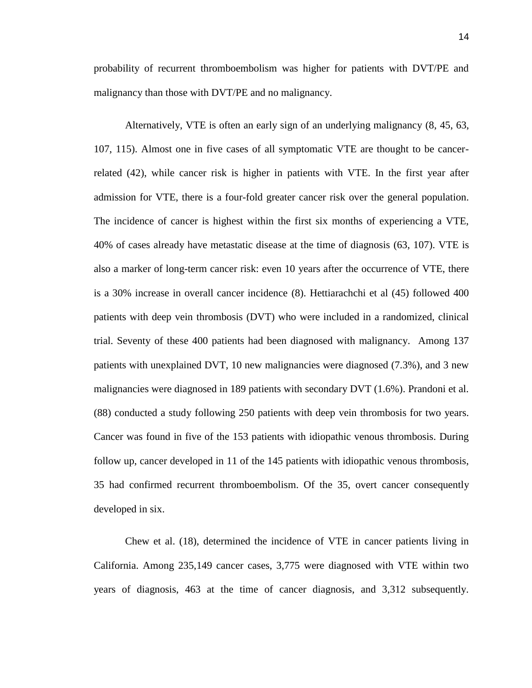probability of recurrent thromboembolism was higher for patients with DVT/PE and malignancy than those with DVT/PE and no malignancy.

Alternatively, VTE is often an early sign of an underlying malignancy [\(8,](#page-60-2) [45,](#page-62-7) [63,](#page-63-9) [107,](#page-66-7) [115\)](#page-67-0). Almost one in five cases of all symptomatic VTE are thought to be cancerrelated [\(42\)](#page-62-0), while cancer risk is higher in patients with VTE. In the first year after admission for VTE, there is a four-fold greater cancer risk over the general population. The incidence of cancer is highest within the first six months of experiencing a VTE, 40% of cases already have metastatic disease at the time of diagnosis [\(63,](#page-63-9) [107\)](#page-66-7). VTE is also a marker of long-term cancer risk: even 10 years after the occurrence of VTE, there is a 30% increase in overall cancer incidence [\(8\)](#page-60-2). Hettiarachchi et al [\(45\)](#page-62-7) followed 400 patients with deep vein thrombosis (DVT) who were included in a randomized, clinical trial. Seventy of these 400 patients had been diagnosed with malignancy. Among 137 patients with unexplained DVT, 10 new malignancies were diagnosed (7.3%), and 3 new malignancies were diagnosed in 189 patients with secondary DVT (1.6%). Prandoni et al. [\(88\)](#page-65-2) conducted a study following 250 patients with deep vein thrombosis for two years. Cancer was found in five of the 153 patients with idiopathic venous thrombosis. During follow up, cancer developed in 11 of the 145 patients with idiopathic venous thrombosis, 35 had confirmed recurrent thromboembolism. Of the 35, overt cancer consequently developed in six.

Chew et al. [\(18\)](#page-61-0), determined the incidence of VTE in cancer patients living in California. Among 235,149 cancer cases, 3,775 were diagnosed with VTE within two years of diagnosis, 463 at the time of cancer diagnosis, and 3,312 subsequently.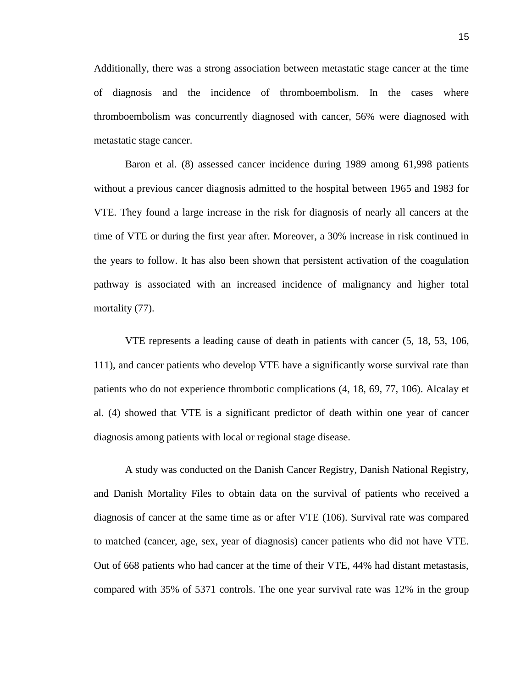Additionally, there was a strong association between metastatic stage cancer at the time of diagnosis and the incidence of thromboembolism. In the cases where thromboembolism was concurrently diagnosed with cancer, 56% were diagnosed with metastatic stage cancer.

Baron et al. [\(8\)](#page-60-2) assessed cancer incidence during 1989 among 61,998 patients without a previous cancer diagnosis admitted to the hospital between 1965 and 1983 for VTE. They found a large increase in the risk for diagnosis of nearly all cancers at the time of VTE or during the first year after. Moreover, a 30% increase in risk continued in the years to follow. It has also been shown that persistent activation of the coagulation pathway is associated with an increased incidence of malignancy and higher total mortality  $(77)$ .

VTE represents a leading cause of death in patients with cancer [\(5,](#page-60-0) [18,](#page-61-0) [53,](#page-63-10) [106,](#page-66-1) [111\)](#page-66-8), and cancer patients who develop VTE have a significantly worse survival rate than patients who do not experience thrombotic complications [\(4,](#page-60-8) [18,](#page-61-0) [69,](#page-64-1) [77,](#page-64-4) [106\)](#page-66-1). Alcalay et al. [\(4\)](#page-60-8) showed that VTE is a significant predictor of death within one year of cancer diagnosis among patients with local or regional stage disease.

A study was conducted on the Danish Cancer Registry, Danish National Registry, and Danish Mortality Files to obtain data on the survival of patients who received a diagnosis of cancer at the same time as or after VTE [\(106\)](#page-66-1). Survival rate was compared to matched (cancer, age, sex, year of diagnosis) cancer patients who did not have VTE. Out of 668 patients who had cancer at the time of their VTE, 44% had distant metastasis, compared with 35% of 5371 controls. The one year survival rate was 12% in the group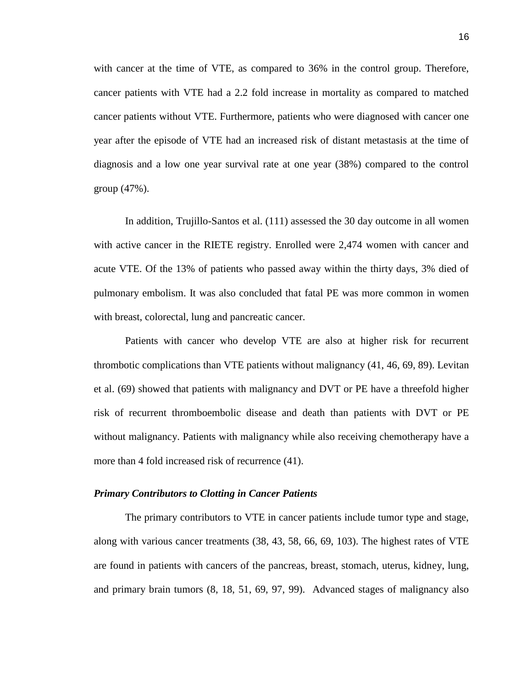with cancer at the time of VTE, as compared to 36% in the control group. Therefore, cancer patients with VTE had a 2.2 fold increase in mortality as compared to matched cancer patients without VTE. Furthermore, patients who were diagnosed with cancer one year after the episode of VTE had an increased risk of distant metastasis at the time of diagnosis and a low one year survival rate at one year (38%) compared to the control group (47%).

In addition, Trujillo-Santos et al. [\(111\)](#page-66-8) assessed the 30 day outcome in all women with active cancer in the RIETE registry. Enrolled were 2,474 women with cancer and acute VTE. Of the 13% of patients who passed away within the thirty days, 3% died of pulmonary embolism. It was also concluded that fatal PE was more common in women with breast, colorectal, lung and pancreatic cancer.

Patients with cancer who develop VTE are also at higher risk for recurrent thrombotic complications than VTE patients without malignancy [\(41,](#page-62-8) [46,](#page-62-9) [69,](#page-64-1) [89\)](#page-65-3). Levitan et al. [\(69\)](#page-64-1) showed that patients with malignancy and DVT or PE have a threefold higher risk of recurrent thromboembolic disease and death than patients with DVT or PE without malignancy. Patients with malignancy while also receiving chemotherapy have a more than 4 fold increased risk of recurrence [\(41\)](#page-62-8).

## *Primary Contributors to Clotting in Cancer Patients*

The primary contributors to VTE in cancer patients include tumor type and stage, along with various cancer treatments [\(38,](#page-62-2) [43,](#page-62-1) [58,](#page-63-0) [66,](#page-64-0) [69,](#page-64-1) [103\)](#page-66-2). The highest rates of VTE are found in patients with cancers of the pancreas, breast, stomach, uterus, kidney, lung, and primary brain tumors [\(8,](#page-60-2) [18,](#page-61-0) [51,](#page-63-1) [69,](#page-64-1) [97,](#page-66-3) [99\)](#page-66-9). Advanced stages of malignancy also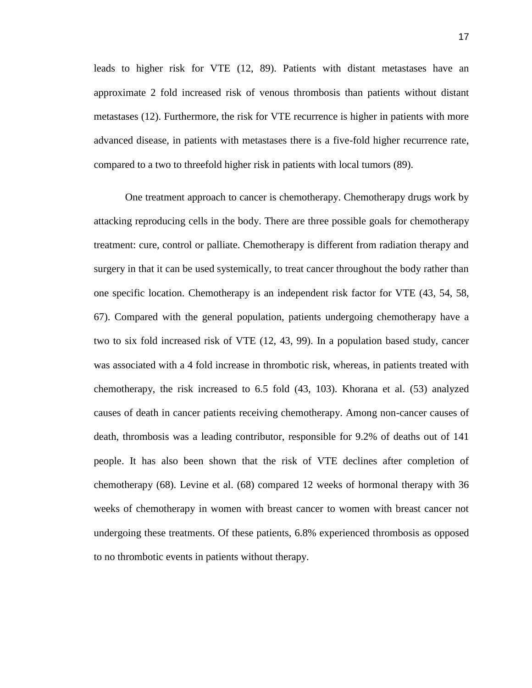leads to higher risk for VTE [\(12,](#page-60-3) [89\)](#page-65-3). Patients with distant metastases have an approximate 2 fold increased risk of venous thrombosis than patients without distant metastases [\(12\)](#page-60-3). Furthermore, the risk for VTE recurrence is higher in patients with more advanced disease, in patients with metastases there is a five-fold higher recurrence rate, compared to a two to threefold higher risk in patients with local tumors [\(89\)](#page-65-3).

One treatment approach to cancer is chemotherapy. Chemotherapy drugs work by attacking reproducing cells in the body. There are three possible goals for chemotherapy treatment: cure, control or palliate. Chemotherapy is different from radiation therapy and surgery in that it can be used systemically, to treat cancer throughout the body rather than one specific location. Chemotherapy is an independent risk factor for VTE [\(43,](#page-62-1) [54,](#page-63-11) [58,](#page-63-0) [67\)](#page-64-8). Compared with the general population, patients undergoing chemotherapy have a two to six fold increased risk of VTE [\(12,](#page-60-3) [43,](#page-62-1) [99\)](#page-66-9). In a population based study, cancer was associated with a 4 fold increase in thrombotic risk, whereas, in patients treated with chemotherapy, the risk increased to 6.5 fold [\(43,](#page-62-1) [103\)](#page-66-2). Khorana et al. [\(53\)](#page-63-10) analyzed causes of death in cancer patients receiving chemotherapy. Among non-cancer causes of death, thrombosis was a leading contributor, responsible for 9.2% of deaths out of 141 people. It has also been shown that the risk of VTE declines after completion of chemotherapy [\(68\)](#page-64-9). Levine et al. [\(68\)](#page-64-9) compared 12 weeks of hormonal therapy with 36 weeks of chemotherapy in women with breast cancer to women with breast cancer not undergoing these treatments. Of these patients, 6.8% experienced thrombosis as opposed to no thrombotic events in patients without therapy.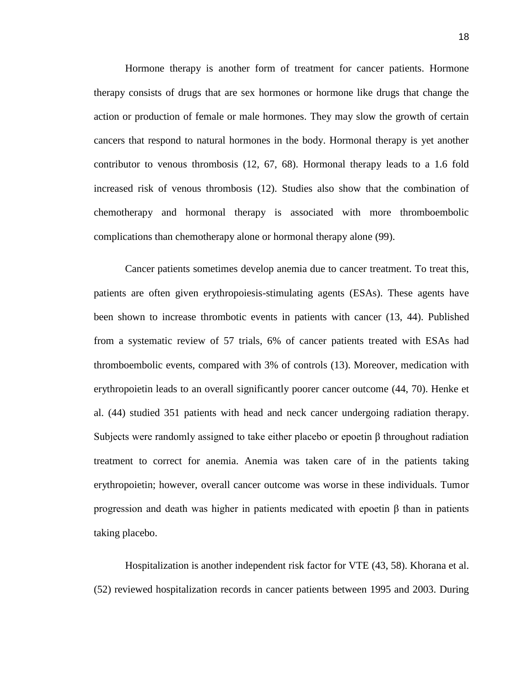Hormone therapy is another form of treatment for cancer patients. Hormone therapy consists of drugs that are sex hormones or hormone like drugs that change the action or production of female or male hormones. They may slow the growth of certain cancers that respond to natural hormones in the body. Hormonal therapy is yet another contributor to venous thrombosis [\(12,](#page-60-3) [67,](#page-64-8) [68\)](#page-64-9). Hormonal therapy leads to a 1.6 fold increased risk of venous thrombosis [\(12\)](#page-60-3). Studies also show that the combination of chemotherapy and hormonal therapy is associated with more thromboembolic complications than chemotherapy alone or hormonal therapy alone [\(99\)](#page-66-9).

Cancer patients sometimes develop anemia due to cancer treatment. To treat this, patients are often given erythropoiesis-stimulating agents (ESAs). These agents have been shown to increase thrombotic events in patients with cancer [\(13,](#page-60-4) [44\)](#page-62-10). Published from a systematic review of 57 trials, 6% of cancer patients treated with ESAs had thromboembolic events, compared with 3% of controls [\(13\)](#page-60-4). Moreover, medication with erythropoietin leads to an overall significantly poorer cancer outcome [\(44,](#page-62-10) [70\)](#page-64-10). Henke et al. [\(44\)](#page-62-10) studied 351 patients with head and neck cancer undergoing radiation therapy. Subjects were randomly assigned to take either placebo or epoetin β throughout radiation treatment to correct for anemia. Anemia was taken care of in the patients taking erythropoietin; however, overall cancer outcome was worse in these individuals. Tumor progression and death was higher in patients medicated with epoetin β than in patients taking placebo.

Hospitalization is another independent risk factor for VTE [\(43,](#page-62-1) [58\)](#page-63-0). Khorana et al. [\(52\)](#page-63-2) reviewed hospitalization records in cancer patients between 1995 and 2003. During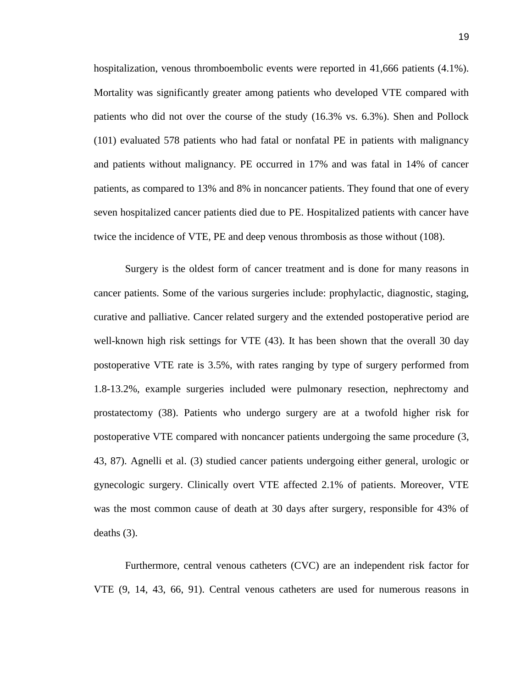hospitalization, venous thromboembolic events were reported in 41,666 patients (4.1%). Mortality was significantly greater among patients who developed VTE compared with patients who did not over the course of the study (16.3% vs. 6.3%). Shen and Pollock [\(101\)](#page-66-10) evaluated 578 patients who had fatal or nonfatal PE in patients with malignancy and patients without malignancy. PE occurred in 17% and was fatal in 14% of cancer patients, as compared to 13% and 8% in noncancer patients. They found that one of every seven hospitalized cancer patients died due to PE. Hospitalized patients with cancer have twice the incidence of VTE, PE and deep venous thrombosis as those without [\(108\)](#page-66-11).

Surgery is the oldest form of cancer treatment and is done for many reasons in cancer patients. Some of the various surgeries include: prophylactic, diagnostic, staging, curative and palliative. Cancer related surgery and the extended postoperative period are well-known high risk settings for VTE [\(43\)](#page-62-1). It has been shown that the overall 30 day postoperative VTE rate is 3.5%, with rates ranging by type of surgery performed from 1.8-13.2%, example surgeries included were pulmonary resection, nephrectomy and prostatectomy [\(38\)](#page-62-2). Patients who undergo surgery are at a twofold higher risk for postoperative VTE compared with noncancer patients undergoing the same procedure [\(3,](#page-60-9) [43,](#page-62-1) [87\)](#page-65-4). Agnelli et al. [\(3\)](#page-60-9) studied cancer patients undergoing either general, urologic or gynecologic surgery. Clinically overt VTE affected 2.1% of patients. Moreover, VTE was the most common cause of death at 30 days after surgery, responsible for 43% of deaths [\(3\)](#page-60-9).

Furthermore, central venous catheters (CVC) are an independent risk factor for VTE [\(9,](#page-60-10) [14,](#page-60-11) [43,](#page-62-1) [66,](#page-64-0) [91\)](#page-65-5). Central venous catheters are used for numerous reasons in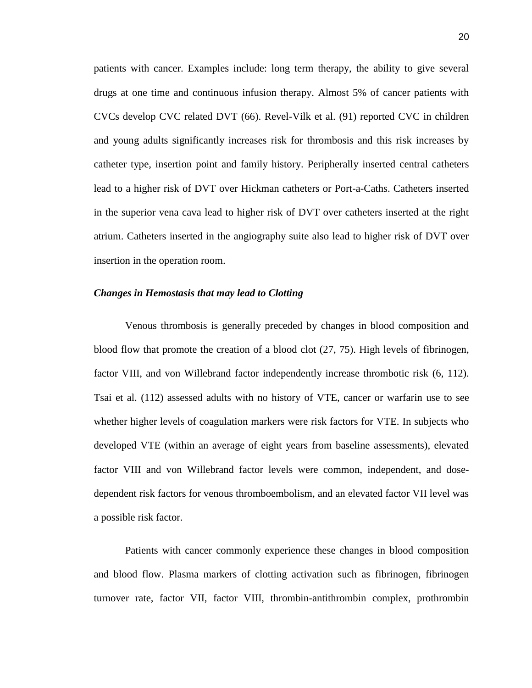patients with cancer. Examples include: long term therapy, the ability to give several drugs at one time and continuous infusion therapy. Almost 5% of cancer patients with CVCs develop CVC related DVT [\(66\)](#page-64-0). Revel-Vilk et al. [\(91\)](#page-65-5) reported CVC in children and young adults significantly increases risk for thrombosis and this risk increases by catheter type, insertion point and family history. Peripherally inserted central catheters lead to a higher risk of DVT over Hickman catheters or Port-a-Caths. Catheters inserted in the superior vena cava lead to higher risk of DVT over catheters inserted at the right atrium. Catheters inserted in the angiography suite also lead to higher risk of DVT over insertion in the operation room.

#### *Changes in Hemostasis that may lead to Clotting*

Venous thrombosis is generally preceded by changes in blood composition and blood flow that promote the creation of a blood clot [\(27,](#page-61-4) [75\)](#page-64-2). High levels of fibrinogen, factor VIII, and von Willebrand factor independently increase thrombotic risk [\(6,](#page-60-6) [112\)](#page-66-4). Tsai et al. [\(112\)](#page-66-4) assessed adults with no history of VTE, cancer or warfarin use to see whether higher levels of coagulation markers were risk factors for VTE. In subjects who developed VTE (within an average of eight years from baseline assessments), elevated factor VIII and von Willebrand factor levels were common, independent, and dosedependent risk factors for venous thromboembolism, and an elevated factor VII level was a possible risk factor.

Patients with cancer commonly experience these changes in blood composition and blood flow. Plasma markers of clotting activation such as fibrinogen, fibrinogen turnover rate, factor VII, factor VIII, thrombin-antithrombin complex, prothrombin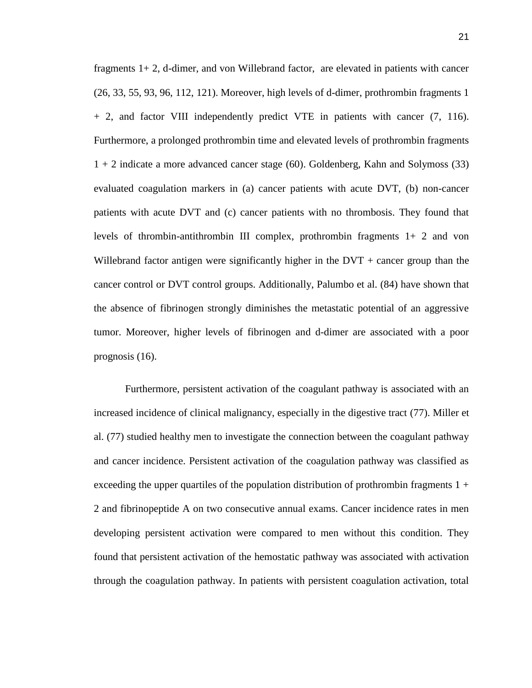fragments 1+ 2, d-dimer, and von Willebrand factor, are elevated in patients with cancer [\(26,](#page-61-5) [33,](#page-61-6) [55,](#page-63-12) [93,](#page-65-6) [96,](#page-65-1) [112,](#page-66-4) [121\)](#page-67-2). Moreover, high levels of d-dimer, prothrombin fragments 1 + 2, and factor VIII independently predict VTE in patients with cancer [\(7,](#page-60-12) [116\)](#page-67-4). Furthermore, a prolonged prothrombin time and elevated levels of prothrombin fragments 1 + 2 indicate a more advanced cancer stage [\(60\)](#page-63-13). Goldenberg, Kahn and Solymoss [\(33\)](#page-61-6) evaluated coagulation markers in (a) cancer patients with acute DVT, (b) non-cancer patients with acute DVT and (c) cancer patients with no thrombosis. They found that levels of thrombin-antithrombin III complex, prothrombin fragments 1+ 2 and von Willebrand factor antigen were significantly higher in the  $DVT +$  cancer group than the cancer control or DVT control groups. Additionally, Palumbo et al. [\(84\)](#page-65-7) have shown that the absence of fibrinogen strongly diminishes the metastatic potential of an aggressive tumor. Moreover, higher levels of fibrinogen and d-dimer are associated with a poor prognosis [\(16\)](#page-60-13).

Furthermore, persistent activation of the coagulant pathway is associated with an increased incidence of clinical malignancy, especially in the digestive tract [\(77\)](#page-64-4). Miller et al. [\(77\)](#page-64-4) studied healthy men to investigate the connection between the coagulant pathway and cancer incidence. Persistent activation of the coagulation pathway was classified as exceeding the upper quartiles of the population distribution of prothrombin fragments  $1 +$ 2 and fibrinopeptide A on two consecutive annual exams. Cancer incidence rates in men developing persistent activation were compared to men without this condition. They found that persistent activation of the hemostatic pathway was associated with activation through the coagulation pathway. In patients with persistent coagulation activation, total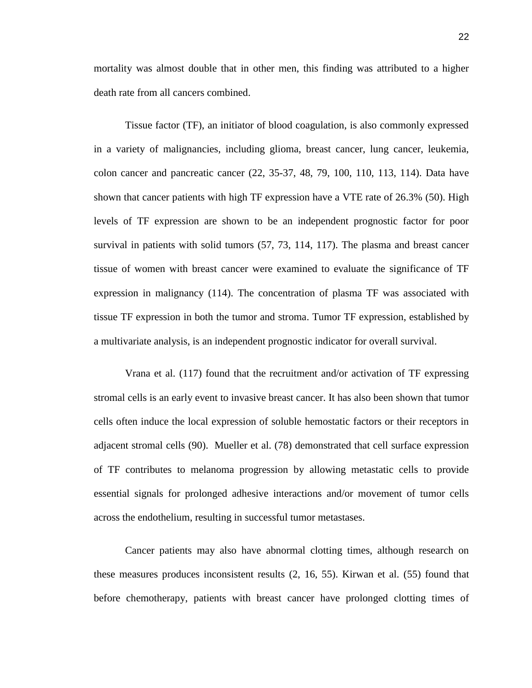mortality was almost double that in other men, this finding was attributed to a higher death rate from all cancers combined.

Tissue factor (TF), an initiator of blood coagulation, is also commonly expressed in a variety of malignancies, including glioma, breast cancer, lung cancer, leukemia, colon cancer and pancreatic cancer [\(22,](#page-61-12) [35-37,](#page-62-11) [48,](#page-62-12) [79,](#page-64-11) [100,](#page-66-12) [110,](#page-66-5) [113,](#page-66-13) [114\)](#page-67-3). Data have shown that cancer patients with high TF expression have a VTE rate of 26.3% [\(50\)](#page-62-3). High levels of TF expression are shown to be an independent prognostic factor for poor survival in patients with solid tumors [\(57,](#page-63-3) [73,](#page-64-5) [114,](#page-67-3) [117\)](#page-67-6). The plasma and breast cancer tissue of women with breast cancer were examined to evaluate the significance of TF expression in malignancy [\(114\)](#page-67-3). The concentration of plasma TF was associated with tissue TF expression in both the tumor and stroma. Tumor TF expression, established by a multivariate analysis, is an independent prognostic indicator for overall survival.

Vrana et al. [\(117\)](#page-67-6) found that the recruitment and/or activation of TF expressing stromal cells is an early event to invasive breast cancer. It has also been shown that tumor cells often induce the local expression of soluble hemostatic factors or their receptors in adjacent stromal cells [\(90\)](#page-65-8). Mueller et al. [\(78\)](#page-64-12) demonstrated that cell surface expression of TF contributes to melanoma progression by allowing metastatic cells to provide essential signals for prolonged adhesive interactions and/or movement of tumor cells across the endothelium, resulting in successful tumor metastases.

Cancer patients may also have abnormal clotting times, although research on these measures produces inconsistent results [\(2,](#page-60-5) [16,](#page-60-13) [55\)](#page-63-12). Kirwan et al. [\(55\)](#page-63-12) found that before chemotherapy, patients with breast cancer have prolonged clotting times of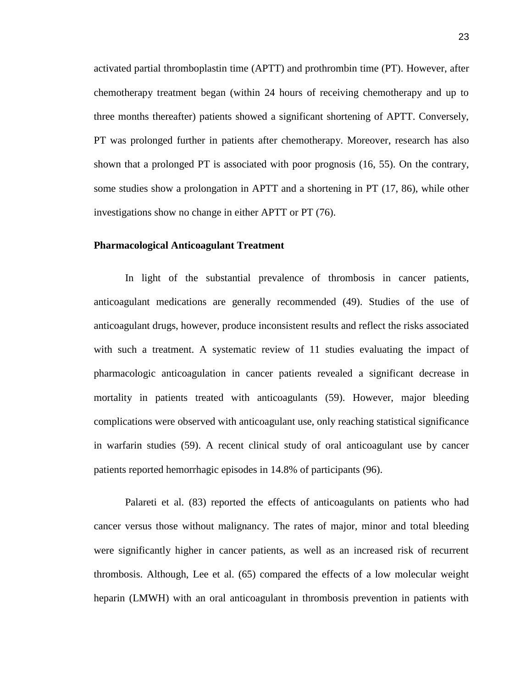activated partial thromboplastin time (APTT) and prothrombin time (PT). However, after chemotherapy treatment began (within 24 hours of receiving chemotherapy and up to three months thereafter) patients showed a significant shortening of APTT. Conversely, PT was prolonged further in patients after chemotherapy. Moreover, research has also shown that a prolonged PT is associated with poor prognosis [\(16,](#page-60-13) [55\)](#page-63-12). On the contrary, some studies show a prolongation in APTT and a shortening in PT [\(17,](#page-60-14) [86\)](#page-65-9), while other investigations show no change in either APTT or PT [\(76\)](#page-64-13).

## **Pharmacological Anticoagulant Treatment**

In light of the substantial prevalence of thrombosis in cancer patients, anticoagulant medications are generally recommended [\(49\)](#page-62-4). Studies of the use of anticoagulant drugs, however, produce inconsistent results and reflect the risks associated with such a treatment. A systematic review of 11 studies evaluating the impact of pharmacologic anticoagulation in cancer patients revealed a significant decrease in mortality in patients treated with anticoagulants [\(59\)](#page-63-4). However, major bleeding complications were observed with anticoagulant use, only reaching statistical significance in warfarin studies [\(59\)](#page-63-4). A recent clinical study of oral anticoagulant use by cancer patients reported hemorrhagic episodes in 14.8% of participants [\(96\)](#page-65-1).

Palareti et al. [\(83\)](#page-65-10) reported the effects of anticoagulants on patients who had cancer versus those without malignancy. The rates of major, minor and total bleeding were significantly higher in cancer patients, as well as an increased risk of recurrent thrombosis. Although, Lee et al. [\(65\)](#page-63-14) compared the effects of a low molecular weight heparin (LMWH) with an oral anticoagulant in thrombosis prevention in patients with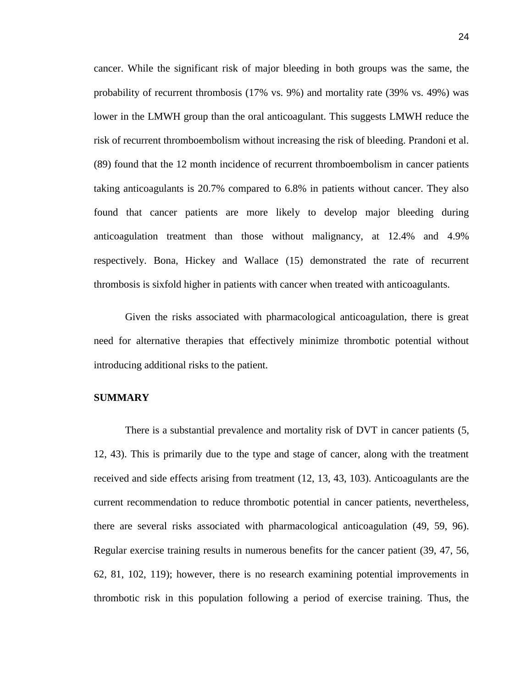cancer. While the significant risk of major bleeding in both groups was the same, the probability of recurrent thrombosis (17% vs. 9%) and mortality rate (39% vs. 49%) was lower in the LMWH group than the oral anticoagulant. This suggests LMWH reduce the risk of recurrent thromboembolism without increasing the risk of bleeding. Prandoni et al. [\(89\)](#page-65-3) found that the 12 month incidence of recurrent thromboembolism in cancer patients taking anticoagulants is 20.7% compared to 6.8% in patients without cancer. They also found that cancer patients are more likely to develop major bleeding during anticoagulation treatment than those without malignancy, at 12.4% and 4.9% respectively. Bona, Hickey and Wallace [\(15\)](#page-60-15) demonstrated the rate of recurrent thrombosis is sixfold higher in patients with cancer when treated with anticoagulants.

Given the risks associated with pharmacological anticoagulation, there is great need for alternative therapies that effectively minimize thrombotic potential without introducing additional risks to the patient.

## **SUMMARY**

There is a substantial prevalence and mortality risk of DVT in cancer patients [\(5,](#page-60-0) [12,](#page-60-3) [43\)](#page-62-1). This is primarily due to the type and stage of cancer, along with the treatment received and side effects arising from treatment [\(12,](#page-60-3) [13,](#page-60-4) [43,](#page-62-1) [103\)](#page-66-2). Anticoagulants are the current recommendation to reduce thrombotic potential in cancer patients, nevertheless, there are several risks associated with pharmacological anticoagulation [\(49,](#page-62-4) [59,](#page-63-4) [96\)](#page-65-1). Regular exercise training results in numerous benefits for the cancer patient [\(39,](#page-62-5) [47,](#page-62-6) [56,](#page-63-6) [62,](#page-63-7) [81,](#page-64-6) [102,](#page-66-6) [119\)](#page-67-5); however, there is no research examining potential improvements in thrombotic risk in this population following a period of exercise training. Thus, the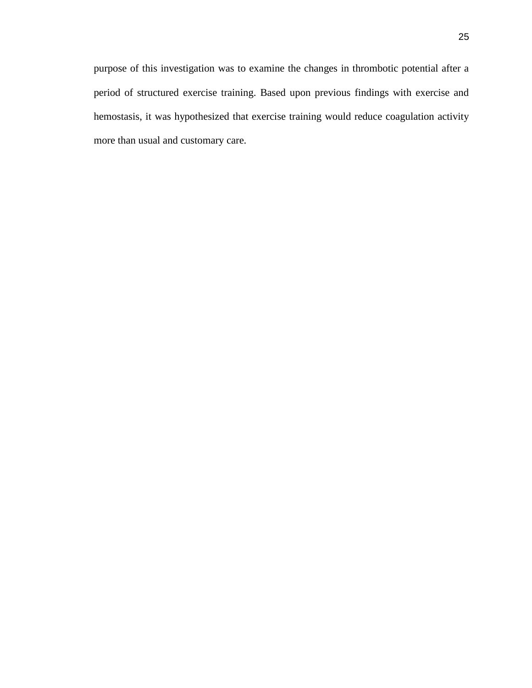25

purpose of this investigation was to examine the changes in thrombotic potential after a period of structured exercise training. Based upon previous findings with exercise and hemostasis, it was hypothesized that exercise training would reduce coagulation activity more than usual and customary care.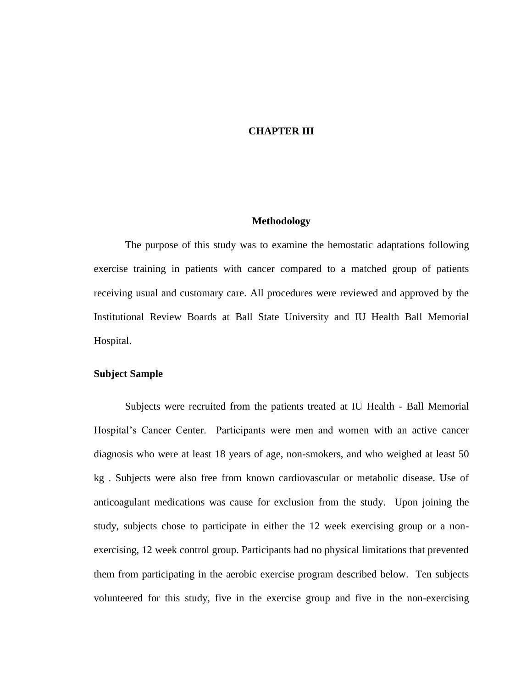## **CHAPTER III**

### **Methodology**

The purpose of this study was to examine the hemostatic adaptations following exercise training in patients with cancer compared to a matched group of patients receiving usual and customary care. All procedures were reviewed and approved by the Institutional Review Boards at Ball State University and IU Health Ball Memorial Hospital.

## **Subject Sample**

Subjects were recruited from the patients treated at IU Health - Ball Memorial Hospital's Cancer Center. Participants were men and women with an active cancer diagnosis who were at least 18 years of age, non-smokers, and who weighed at least 50 kg . Subjects were also free from known cardiovascular or metabolic disease. Use of anticoagulant medications was cause for exclusion from the study. Upon joining the study, subjects chose to participate in either the 12 week exercising group or a nonexercising, 12 week control group. Participants had no physical limitations that prevented them from participating in the aerobic exercise program described below. Ten subjects volunteered for this study, five in the exercise group and five in the non-exercising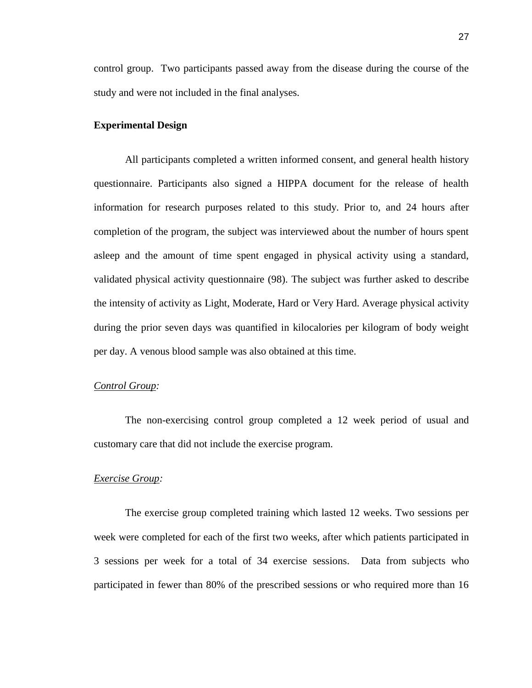control group.Two participants passed away from the disease during the course of the study and were not included in the final analyses.

## **Experimental Design**

All participants completed a written informed consent, and general health history questionnaire. Participants also signed a HIPPA document for the release of health information for research purposes related to this study. Prior to, and 24 hours after completion of the program, the subject was interviewed about the number of hours spent asleep and the amount of time spent engaged in physical activity using a standard, validated physical activity questionnaire [\(98\)](#page-66-14). The subject was further asked to describe the intensity of activity as Light, Moderate, Hard or Very Hard. Average physical activity during the prior seven days was quantified in kilocalories per kilogram of body weight per day. A venous blood sample was also obtained at this time.

#### *Control Group:*

The non-exercising control group completed a 12 week period of usual and customary care that did not include the exercise program.

## *Exercise Group:*

The exercise group completed training which lasted 12 weeks. Two sessions per week were completed for each of the first two weeks, after which patients participated in 3 sessions per week for a total of 34 exercise sessions. Data from subjects who participated in fewer than 80% of the prescribed sessions or who required more than 16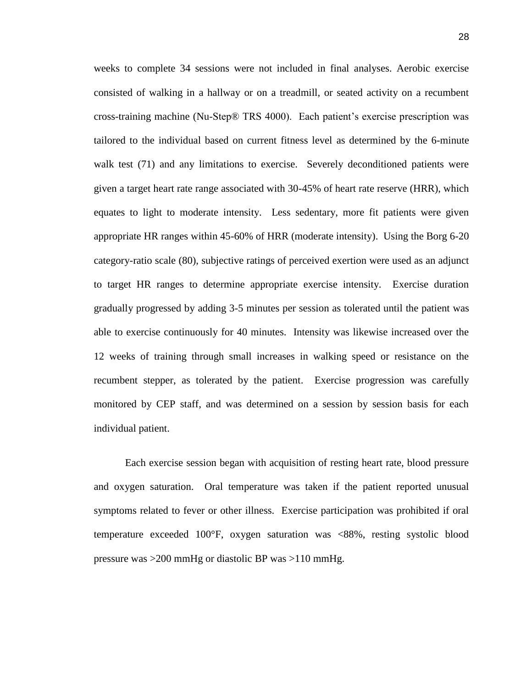weeks to complete 34 sessions were not included in final analyses. Aerobic exercise consisted of walking in a hallway or on a treadmill, or seated activity on a recumbent cross-training machine (Nu-Step® TRS 4000). Each patient's exercise prescription was tailored to the individual based on current fitness level as determined by the 6-minute walk test [\(71\)](#page-64-14) and any limitations to exercise. Severely deconditioned patients were given a target heart rate range associated with 30-45% of heart rate reserve (HRR), which equates to light to moderate intensity. Less sedentary, more fit patients were given appropriate HR ranges within 45-60% of HRR (moderate intensity). Using the Borg 6-20 category-ratio scale [\(80\)](#page-64-15), subjective ratings of perceived exertion were used as an adjunct to target HR ranges to determine appropriate exercise intensity. Exercise duration gradually progressed by adding 3-5 minutes per session as tolerated until the patient was able to exercise continuously for 40 minutes. Intensity was likewise increased over the 12 weeks of training through small increases in walking speed or resistance on the recumbent stepper, as tolerated by the patient. Exercise progression was carefully monitored by CEP staff, and was determined on a session by session basis for each individual patient.

Each exercise session began with acquisition of resting heart rate, blood pressure and oxygen saturation. Oral temperature was taken if the patient reported unusual symptoms related to fever or other illness. Exercise participation was prohibited if oral temperature exceeded 100°F, oxygen saturation was <88%, resting systolic blood pressure was >200 mmHg or diastolic BP was >110 mmHg.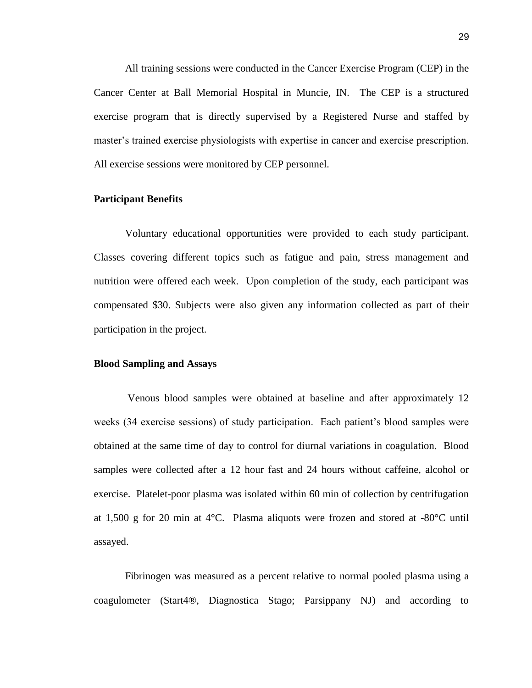All training sessions were conducted in the Cancer Exercise Program (CEP) in the Cancer Center at Ball Memorial Hospital in Muncie, IN. The CEP is a structured exercise program that is directly supervised by a Registered Nurse and staffed by master's trained exercise physiologists with expertise in cancer and exercise prescription. All exercise sessions were monitored by CEP personnel.

#### **Participant Benefits**

Voluntary educational opportunities were provided to each study participant. Classes covering different topics such as fatigue and pain, stress management and nutrition were offered each week. Upon completion of the study, each participant was compensated \$30. Subjects were also given any information collected as part of their participation in the project.

## **Blood Sampling and Assays**

Venous blood samples were obtained at baseline and after approximately 12 weeks (34 exercise sessions) of study participation. Each patient's blood samples were obtained at the same time of day to control for diurnal variations in coagulation. Blood samples were collected after a 12 hour fast and 24 hours without caffeine, alcohol or exercise. Platelet-poor plasma was isolated within 60 min of collection by centrifugation at 1,500 g for 20 min at  $4^{\circ}$ C. Plasma aliquots were frozen and stored at  $-80^{\circ}$ C until assayed.

Fibrinogen was measured as a percent relative to normal pooled plasma using a coagulometer (Start4®, Diagnostica Stago; Parsippany NJ) and according to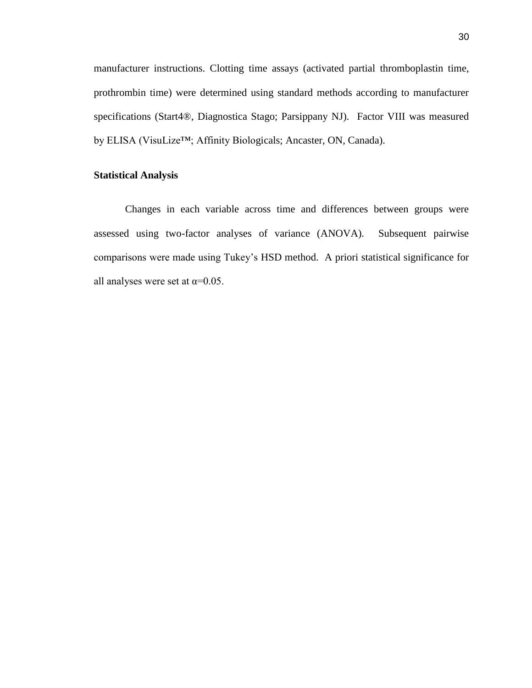manufacturer instructions. Clotting time assays (activated partial thromboplastin time, prothrombin time) were determined using standard methods according to manufacturer specifications (Start4®, Diagnostica Stago; Parsippany NJ). Factor VIII was measured by ELISA (VisuLize™; Affinity Biologicals; Ancaster, ON, Canada).

## **Statistical Analysis**

Changes in each variable across time and differences between groups were assessed using two-factor analyses of variance (ANOVA). Subsequent pairwise comparisons were made using Tukey's HSD method. A priori statistical significance for all analyses were set at  $\alpha$ =0.05.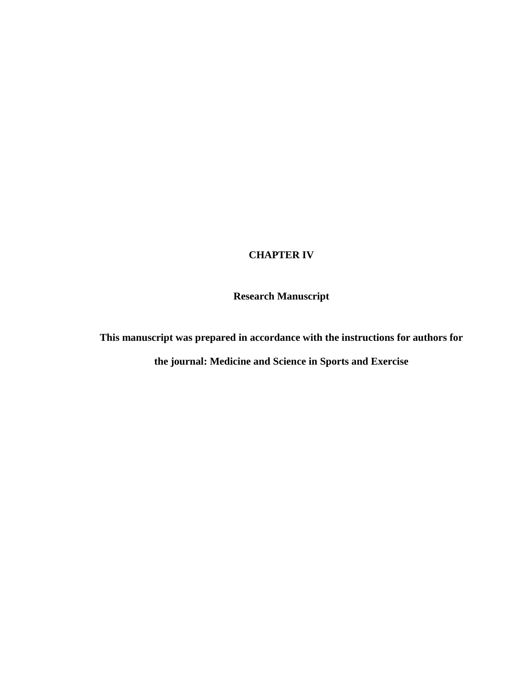## **CHAPTER IV**

**Research Manuscript**

**This manuscript was prepared in accordance with the instructions for authors for** 

**the journal: Medicine and Science in Sports and Exercise**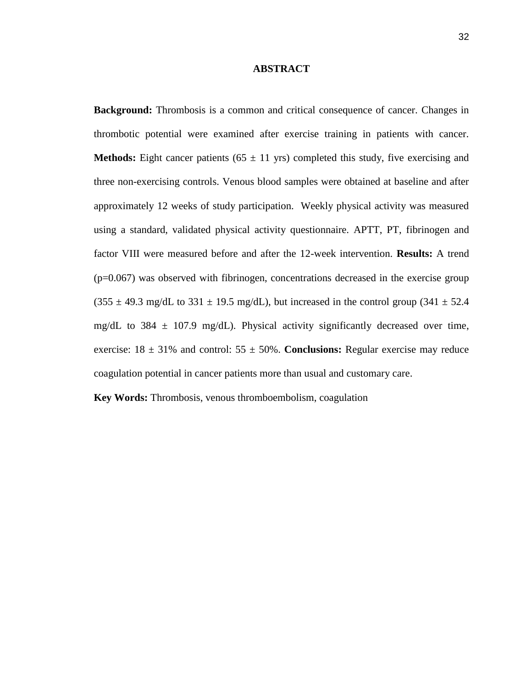#### **ABSTRACT**

**Background:** Thrombosis is a common and critical consequence of cancer. Changes in thrombotic potential were examined after exercise training in patients with cancer. **Methods:** Eight cancer patients ( $65 \pm 11$  yrs) completed this study, five exercising and three non-exercising controls. Venous blood samples were obtained at baseline and after approximately 12 weeks of study participation. Weekly physical activity was measured using a standard, validated physical activity questionnaire. APTT, PT, fibrinogen and factor VIII were measured before and after the 12-week intervention. **Results:** A trend  $(p=0.067)$  was observed with fibrinogen, concentrations decreased in the exercise group  $(355 \pm 49.3 \text{ mg/dL}$  to  $331 \pm 19.5 \text{ mg/dL}$ , but increased in the control group  $(341 \pm 52.4 \text{ m})$ mg/dL to 384  $\pm$  107.9 mg/dL). Physical activity significantly decreased over time, exercise:  $18 \pm 31\%$  and control:  $55 \pm 50\%$ . **Conclusions:** Regular exercise may reduce coagulation potential in cancer patients more than usual and customary care.

**Key Words:** Thrombosis, venous thromboembolism, coagulation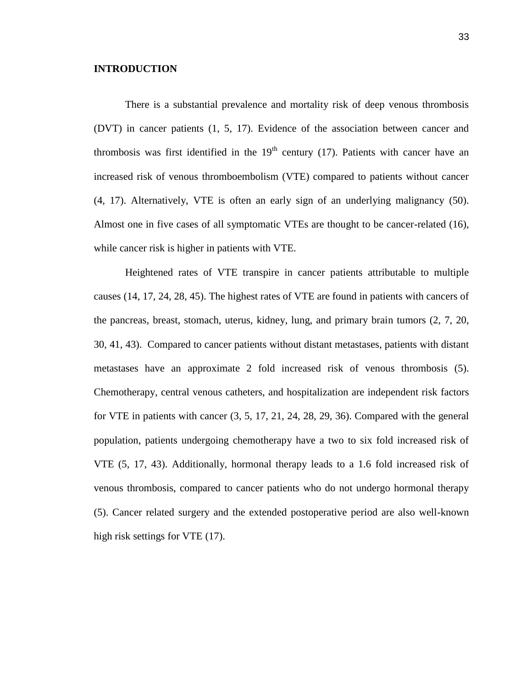### **INTRODUCTION**

There is a substantial prevalence and mortality risk of deep venous thrombosis (DVT) in cancer patients [\(1,](#page-60-0) [5,](#page-60-1) [17\)](#page-60-2). Evidence of the association between cancer and thrombosis was first identified in the  $19<sup>th</sup>$  century [\(17\)](#page-60-2). Patients with cancer have an increased risk of venous thromboembolism (VTE) compared to patients without cancer [\(4,](#page-60-3) [17\)](#page-60-2). Alternatively, VTE is often an early sign of an underlying malignancy [\(50\)](#page-62-0). Almost one in five cases of all symptomatic VTEs are thought to be cancer-related [\(16\)](#page-60-4), while cancer risk is higher in patients with VTE.

Heightened rates of VTE transpire in cancer patients attributable to multiple causes [\(14,](#page-60-5) [17,](#page-60-2) [24,](#page-61-0) [28,](#page-61-1) [45\)](#page-62-1). The highest rates of VTE are found in patients with cancers of the pancreas, breast, stomach, uterus, kidney, lung, and primary brain tumors [\(2,](#page-60-6) [7,](#page-60-7) [20,](#page-61-2) [30,](#page-61-3) [41,](#page-62-2) [43\)](#page-62-3). Compared to cancer patients without distant metastases, patients with distant metastases have an approximate 2 fold increased risk of venous thrombosis [\(5\)](#page-60-1). Chemotherapy, central venous catheters, and hospitalization are independent risk factors for VTE in patients with cancer [\(3,](#page-60-8) [5,](#page-60-1) [17,](#page-60-2) [21,](#page-61-4) [24,](#page-61-0) [28,](#page-61-1) [29,](#page-61-5) [36\)](#page-62-4). Compared with the general population, patients undergoing chemotherapy have a two to six fold increased risk of VTE [\(5,](#page-60-1) [17,](#page-60-2) [43\)](#page-62-3). Additionally, hormonal therapy leads to a 1.6 fold increased risk of venous thrombosis, compared to cancer patients who do not undergo hormonal therapy [\(5\)](#page-60-1). Cancer related surgery and the extended postoperative period are also well-known high risk settings for VTE  $(17)$ .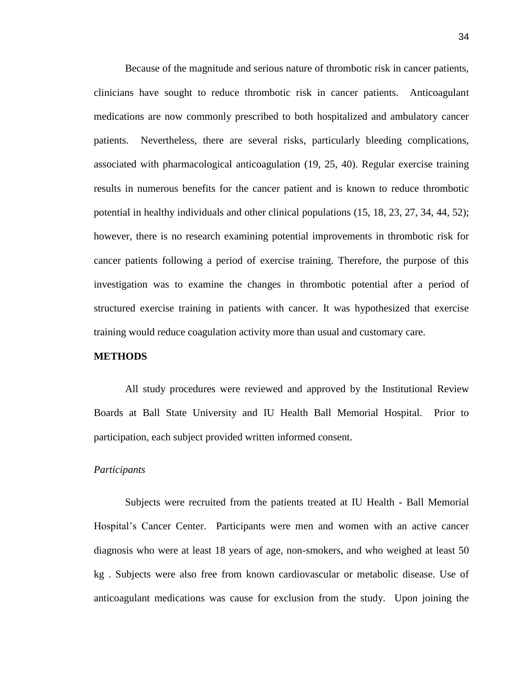Because of the magnitude and serious nature of thrombotic risk in cancer patients, clinicians have sought to reduce thrombotic risk in cancer patients. Anticoagulant medications are now commonly prescribed to both hospitalized and ambulatory cancer patients. Nevertheless, there are several risks, particularly bleeding complications, associated with pharmacological anticoagulation [\(19,](#page-61-6) [25,](#page-61-7) [40\)](#page-62-5). Regular exercise training results in numerous benefits for the cancer patient and is known to reduce thrombotic potential in healthy individuals and other clinical populations [\(15,](#page-60-9) [18,](#page-61-8) [23,](#page-61-9) [27,](#page-61-10) [34,](#page-61-11) [44,](#page-62-6) [52\)](#page-63-0); however, there is no research examining potential improvements in thrombotic risk for cancer patients following a period of exercise training. Therefore, the purpose of this investigation was to examine the changes in thrombotic potential after a period of structured exercise training in patients with cancer. It was hypothesized that exercise training would reduce coagulation activity more than usual and customary care.

### **METHODS**

All study procedures were reviewed and approved by the Institutional Review Boards at Ball State University and IU Health Ball Memorial Hospital. Prior to participation, each subject provided written informed consent.

#### *Participants*

Subjects were recruited from the patients treated at IU Health - Ball Memorial Hospital's Cancer Center. Participants were men and women with an active cancer diagnosis who were at least 18 years of age, non-smokers, and who weighed at least 50 kg . Subjects were also free from known cardiovascular or metabolic disease. Use of anticoagulant medications was cause for exclusion from the study. Upon joining the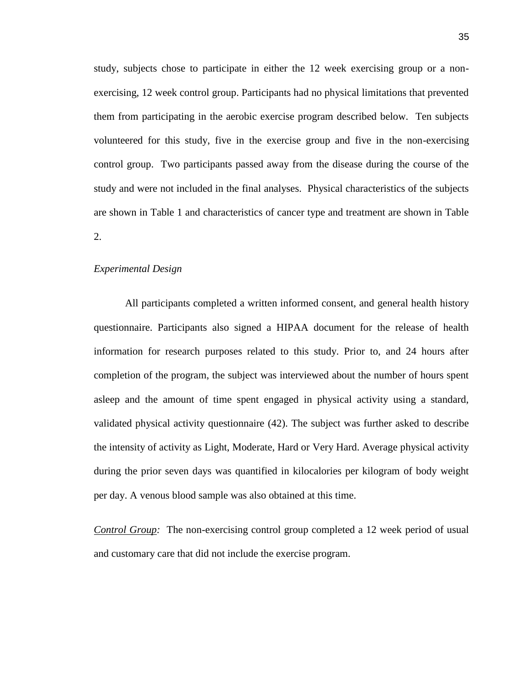study, subjects chose to participate in either the 12 week exercising group or a nonexercising, 12 week control group. Participants had no physical limitations that prevented them from participating in the aerobic exercise program described below. Ten subjects volunteered for this study, five in the exercise group and five in the non-exercising control group.Two participants passed away from the disease during the course of the study and were not included in the final analyses. Physical characteristics of the subjects are shown in Table 1 and characteristics of cancer type and treatment are shown in Table 2.

### *Experimental Design*

All participants completed a written informed consent, and general health history questionnaire. Participants also signed a HIPAA document for the release of health information for research purposes related to this study. Prior to, and 24 hours after completion of the program, the subject was interviewed about the number of hours spent asleep and the amount of time spent engaged in physical activity using a standard, validated physical activity questionnaire [\(42\)](#page-62-7). The subject was further asked to describe the intensity of activity as Light, Moderate, Hard or Very Hard. Average physical activity during the prior seven days was quantified in kilocalories per kilogram of body weight per day. A venous blood sample was also obtained at this time.

*Control Group:* The non-exercising control group completed a 12 week period of usual and customary care that did not include the exercise program.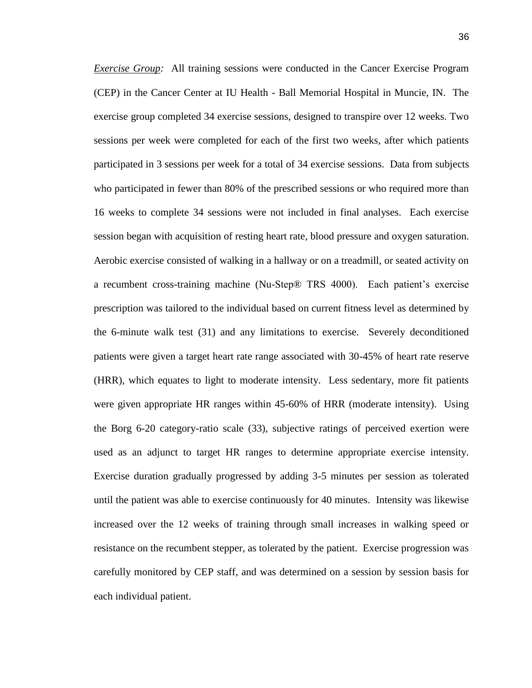*Exercise Group:* All training sessions were conducted in the Cancer Exercise Program (CEP) in the Cancer Center at IU Health - Ball Memorial Hospital in Muncie, IN. The exercise group completed 34 exercise sessions, designed to transpire over 12 weeks. Two sessions per week were completed for each of the first two weeks, after which patients participated in 3 sessions per week for a total of 34 exercise sessions. Data from subjects who participated in fewer than 80% of the prescribed sessions or who required more than 16 weeks to complete 34 sessions were not included in final analyses. Each exercise session began with acquisition of resting heart rate, blood pressure and oxygen saturation. Aerobic exercise consisted of walking in a hallway or on a treadmill, or seated activity on a recumbent cross-training machine (Nu-Step® TRS 4000). Each patient's exercise prescription was tailored to the individual based on current fitness level as determined by the 6-minute walk test [\(31\)](#page-61-12) and any limitations to exercise. Severely deconditioned patients were given a target heart rate range associated with 30-45% of heart rate reserve (HRR), which equates to light to moderate intensity. Less sedentary, more fit patients were given appropriate HR ranges within 45-60% of HRR (moderate intensity). Using the Borg 6-20 category-ratio scale [\(33\)](#page-61-13), subjective ratings of perceived exertion were used as an adjunct to target HR ranges to determine appropriate exercise intensity. Exercise duration gradually progressed by adding 3-5 minutes per session as tolerated until the patient was able to exercise continuously for 40 minutes. Intensity was likewise increased over the 12 weeks of training through small increases in walking speed or resistance on the recumbent stepper, as tolerated by the patient. Exercise progression was carefully monitored by CEP staff, and was determined on a session by session basis for each individual patient.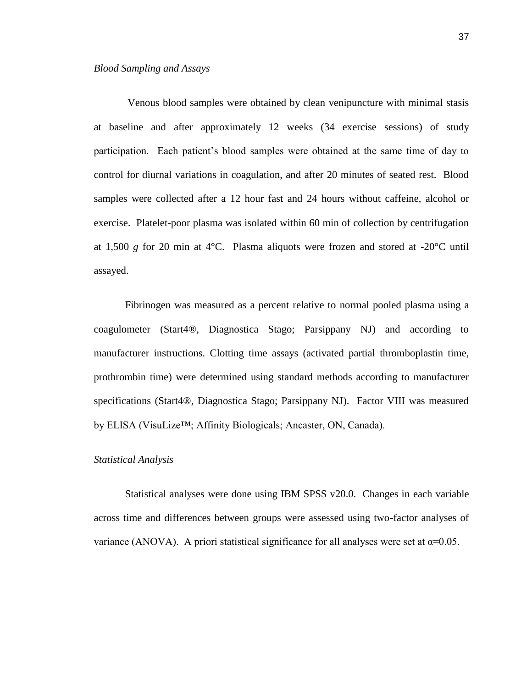Venous blood samples were obtained by clean venipuncture with minimal stasis at baseline and after approximately 12 weeks (34 exercise sessions) of study participation. Each patient's blood samples were obtained at the same time of day to control for diurnal variations in coagulation, and after 20 minutes of seated rest. Blood samples were collected after a 12 hour fast and 24 hours without caffeine, alcohol or exercise. Platelet-poor plasma was isolated within 60 min of collection by centrifugation at 1,500 *g* for 20 min at 4°C. Plasma aliquots were frozen and stored at -20°C until assayed.

Fibrinogen was measured as a percent relative to normal pooled plasma using a coagulometer (Start4®, Diagnostica Stago; Parsippany NJ) and according to manufacturer instructions. Clotting time assays (activated partial thromboplastin time, prothrombin time) were determined using standard methods according to manufacturer specifications (Start4®, Diagnostica Stago; Parsippany NJ). Factor VIII was measured by ELISA (VisuLize™; Affinity Biologicals; Ancaster, ON, Canada).

### *Statistical Analysis*

Statistical analyses were done using IBM SPSS v20.0. Changes in each variable across time and differences between groups were assessed using two-factor analyses of variance (ANOVA). A priori statistical significance for all analyses were set at  $\alpha$ =0.05.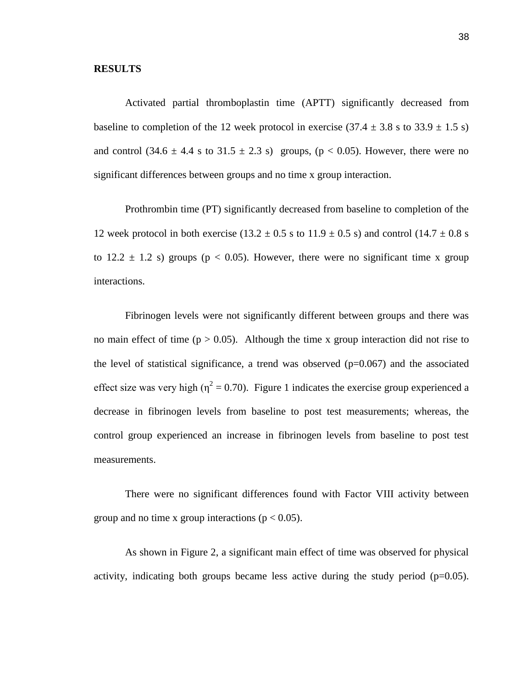#### **RESULTS**

Activated partial thromboplastin time (APTT) significantly decreased from baseline to completion of the 12 week protocol in exercise  $(37.4 \pm 3.8 \text{ s to } 33.9 \pm 1.5 \text{ s})$ and control  $(34.6 \pm 4.4 \text{ s to } 31.5 \pm 2.3 \text{ s})$  groups,  $(p < 0.05)$ . However, there were no significant differences between groups and no time x group interaction.

Prothrombin time (PT) significantly decreased from baseline to completion of the 12 week protocol in both exercise (13.2  $\pm$  0.5 s to 11.9  $\pm$  0.5 s) and control (14.7  $\pm$  0.8 s to  $12.2 \pm 1.2$  s) groups ( $p < 0.05$ ). However, there were no significant time x group interactions.

Fibrinogen levels were not significantly different between groups and there was no main effect of time ( $p > 0.05$ ). Although the time x group interaction did not rise to the level of statistical significance, a trend was observed  $(p=0.067)$  and the associated effect size was very high ( $\eta^2 = 0.70$ ). Figure 1 indicates the exercise group experienced a decrease in fibrinogen levels from baseline to post test measurements; whereas, the control group experienced an increase in fibrinogen levels from baseline to post test measurements.

There were no significant differences found with Factor VIII activity between group and no time x group interactions ( $p < 0.05$ ).

As shown in Figure 2, a significant main effect of time was observed for physical activity, indicating both groups became less active during the study period  $(p=0.05)$ .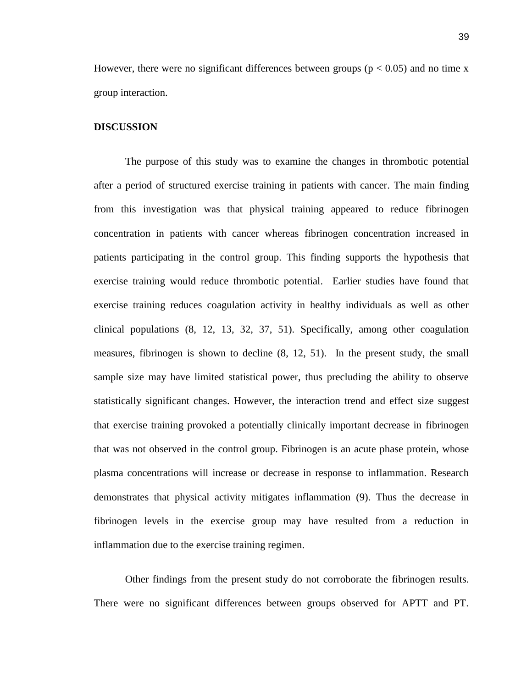However, there were no significant differences between groups ( $p < 0.05$ ) and no time x group interaction.

#### **DISCUSSION**

The purpose of this study was to examine the changes in thrombotic potential after a period of structured exercise training in patients with cancer. The main finding from this investigation was that physical training appeared to reduce fibrinogen concentration in patients with cancer whereas fibrinogen concentration increased in patients participating in the control group. This finding supports the hypothesis that exercise training would reduce thrombotic potential. Earlier studies have found that exercise training reduces coagulation activity in healthy individuals as well as other clinical populations [\(8,](#page-60-10) [12,](#page-60-11) [13,](#page-60-12) [32,](#page-61-14) [37,](#page-62-8) [51\)](#page-63-1). Specifically, among other coagulation measures, fibrinogen is shown to decline [\(8,](#page-60-10) [12,](#page-60-11) [51\)](#page-63-1). In the present study, the small sample size may have limited statistical power, thus precluding the ability to observe statistically significant changes. However, the interaction trend and effect size suggest that exercise training provoked a potentially clinically important decrease in fibrinogen that was not observed in the control group. Fibrinogen is an acute phase protein, whose plasma concentrations will increase or decrease in response to inflammation. Research demonstrates that physical activity mitigates inflammation [\(9\)](#page-60-13). Thus the decrease in fibrinogen levels in the exercise group may have resulted from a reduction in inflammation due to the exercise training regimen.

Other findings from the present study do not corroborate the fibrinogen results. There were no significant differences between groups observed for APTT and PT.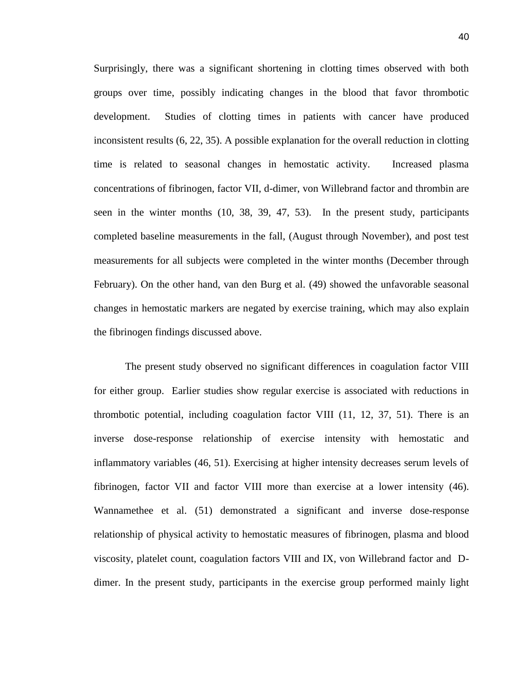Surprisingly, there was a significant shortening in clotting times observed with both groups over time, possibly indicating changes in the blood that favor thrombotic development. Studies of clotting times in patients with cancer have produced inconsistent results [\(6,](#page-60-14) [22,](#page-61-15) [35\)](#page-62-9). A possible explanation for the overall reduction in clotting time is related to seasonal changes in hemostatic activity. Increased plasma concentrations of fibrinogen, factor VII, d-dimer, von Willebrand factor and thrombin are seen in the winter months [\(10,](#page-60-15) [38,](#page-62-10) [39,](#page-62-11) [47,](#page-62-12) [53\)](#page-63-2). In the present study, participants completed baseline measurements in the fall, (August through November), and post test measurements for all subjects were completed in the winter months (December through February). On the other hand, van den Burg et al. [\(49\)](#page-62-13) showed the unfavorable seasonal changes in hemostatic markers are negated by exercise training, which may also explain the fibrinogen findings discussed above.

The present study observed no significant differences in coagulation factor VIII for either group. Earlier studies show regular exercise is associated with reductions in thrombotic potential, including coagulation factor VIII [\(11,](#page-60-16) [12,](#page-60-11) [37,](#page-62-8) [51\)](#page-63-1). There is an inverse dose-response relationship of exercise intensity with hemostatic and inflammatory variables [\(46,](#page-62-14) [51\)](#page-63-1). Exercising at higher intensity decreases serum levels of fibrinogen, factor VII and factor VIII more than exercise at a lower intensity [\(46\)](#page-62-14). Wannamethee et al. [\(51\)](#page-63-1) demonstrated a significant and inverse dose-response relationship of physical activity to hemostatic measures of fibrinogen, plasma and blood viscosity, platelet count, coagulation factors VIII and IX, von Willebrand factor and Ddimer. In the present study, participants in the exercise group performed mainly light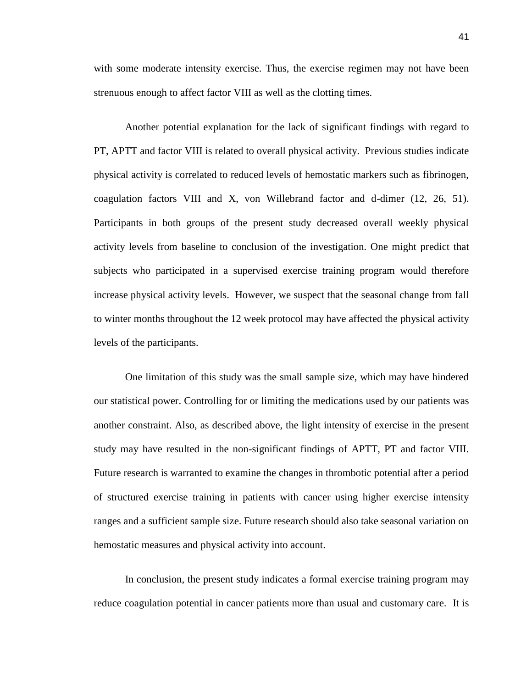with some moderate intensity exercise. Thus, the exercise regimen may not have been strenuous enough to affect factor VIII as well as the clotting times.

Another potential explanation for the lack of significant findings with regard to PT, APTT and factor VIII is related to overall physical activity. Previous studies indicate physical activity is correlated to reduced levels of hemostatic markers such as fibrinogen, coagulation factors VIII and X, von Willebrand factor and d-dimer [\(12,](#page-60-11) [26,](#page-61-16) [51\)](#page-63-1). Participants in both groups of the present study decreased overall weekly physical activity levels from baseline to conclusion of the investigation. One might predict that subjects who participated in a supervised exercise training program would therefore increase physical activity levels. However, we suspect that the seasonal change from fall to winter months throughout the 12 week protocol may have affected the physical activity levels of the participants.

One limitation of this study was the small sample size, which may have hindered our statistical power. Controlling for or limiting the medications used by our patients was another constraint. Also, as described above, the light intensity of exercise in the present study may have resulted in the non-significant findings of APTT, PT and factor VIII. Future research is warranted to examine the changes in thrombotic potential after a period of structured exercise training in patients with cancer using higher exercise intensity ranges and a sufficient sample size. Future research should also take seasonal variation on hemostatic measures and physical activity into account.

In conclusion, the present study indicates a formal exercise training program may reduce coagulation potential in cancer patients more than usual and customary care. It is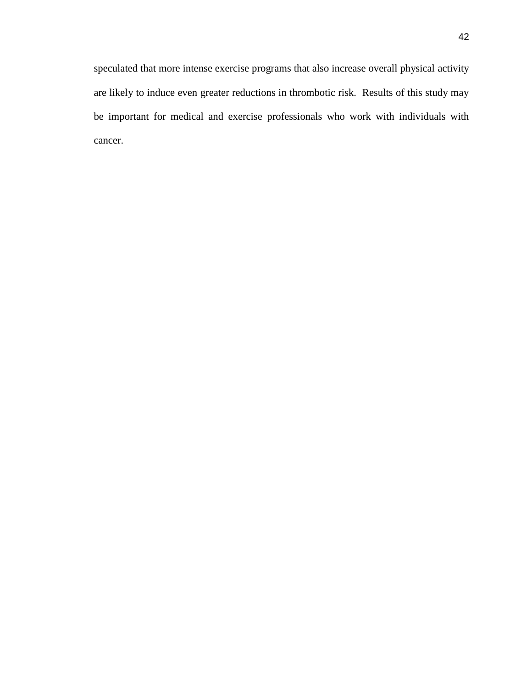speculated that more intense exercise programs that also increase overall physical activity are likely to induce even greater reductions in thrombotic risk. Results of this study may be important for medical and exercise professionals who work with individuals with cancer.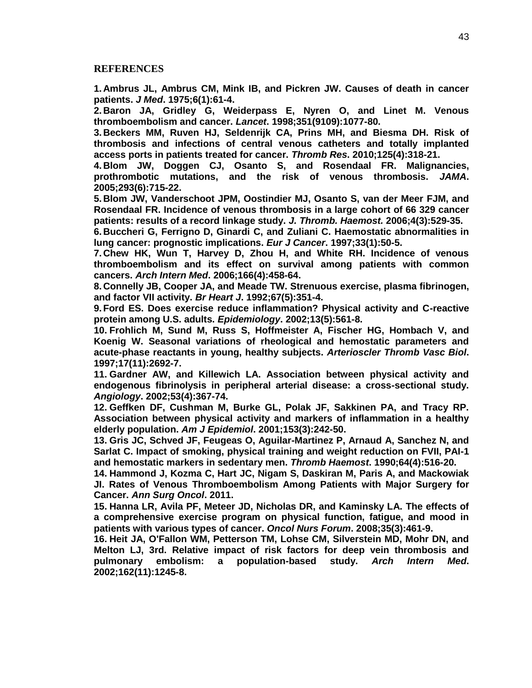#### **REFERENCES**

**1. Ambrus JL, Ambrus CM, Mink IB, and Pickren JW. Causes of death in cancer patients.** *J Med***. 1975;6(1):61-4.**

**2. Baron JA, Gridley G, Weiderpass E, Nyren O, and Linet M. Venous thromboembolism and cancer.** *Lancet***. 1998;351(9109):1077-80.**

**3. Beckers MM, Ruven HJ, Seldenrijk CA, Prins MH, and Biesma DH. Risk of thrombosis and infections of central venous catheters and totally implanted access ports in patients treated for cancer.** *Thromb Res***. 2010;125(4):318-21.**

**4. Blom JW, Doggen CJ, Osanto S, and Rosendaal FR. Malignancies, prothrombotic mutations, and the risk of venous thrombosis.** *JAMA***. 2005;293(6):715-22.**

**5. Blom JW, Vanderschoot JPM, Oostindier MJ, Osanto S, van der Meer FJM, and Rosendaal FR. Incidence of venous thrombosis in a large cohort of 66 329 cancer patients: results of a record linkage study.** *J. Thromb. Haemost.* **2006;4(3):529-35.**

**6. Buccheri G, Ferrigno D, Ginardi C, and Zuliani C. Haemostatic abnormalities in lung cancer: prognostic implications.** *Eur J Cancer***. 1997;33(1):50-5.**

**7. Chew HK, Wun T, Harvey D, Zhou H, and White RH. Incidence of venous thromboembolism and its effect on survival among patients with common cancers.** *Arch Intern Med***. 2006;166(4):458-64.**

**8. Connelly JB, Cooper JA, and Meade TW. Strenuous exercise, plasma fibrinogen, and factor VII activity.** *Br Heart J***. 1992;67(5):351-4.**

**9.Ford ES. Does exercise reduce inflammation? Physical activity and C-reactive protein among U.S. adults.** *Epidemiology***. 2002;13(5):561-8.**

**10. Frohlich M, Sund M, Russ S, Hoffmeister A, Fischer HG, Hombach V, and Koenig W. Seasonal variations of rheological and hemostatic parameters and acute-phase reactants in young, healthy subjects.** *Arterioscler Thromb Vasc Biol***. 1997;17(11):2692-7.**

**11. Gardner AW, and Killewich LA. Association between physical activity and endogenous fibrinolysis in peripheral arterial disease: a cross-sectional study.**  *Angiology***. 2002;53(4):367-74.**

**12. Geffken DF, Cushman M, Burke GL, Polak JF, Sakkinen PA, and Tracy RP. Association between physical activity and markers of inflammation in a healthy elderly population.** *Am J Epidemiol***. 2001;153(3):242-50.**

**13. Gris JC, Schved JF, Feugeas O, Aguilar-Martinez P, Arnaud A, Sanchez N, and Sarlat C. Impact of smoking, physical training and weight reduction on FVII, PAI-1 and hemostatic markers in sedentary men.** *Thromb Haemost***. 1990;64(4):516-20.**

**14. Hammond J, Kozma C, Hart JC, Nigam S, Daskiran M, Paris A, and Mackowiak JI. Rates of Venous Thromboembolism Among Patients with Major Surgery for Cancer.** *Ann Surg Oncol***. 2011.**

**15. Hanna LR, Avila PF, Meteer JD, Nicholas DR, and Kaminsky LA. The effects of a comprehensive exercise program on physical function, fatigue, and mood in patients with various types of cancer.** *Oncol Nurs Forum***. 2008;35(3):461-9.**

**16. Heit JA, O'Fallon WM, Petterson TM, Lohse CM, Silverstein MD, Mohr DN, and Melton LJ, 3rd. Relative impact of risk factors for deep vein thrombosis and pulmonary embolism: a population-based study.** *Arch Intern Med***. 2002;162(11):1245-8.**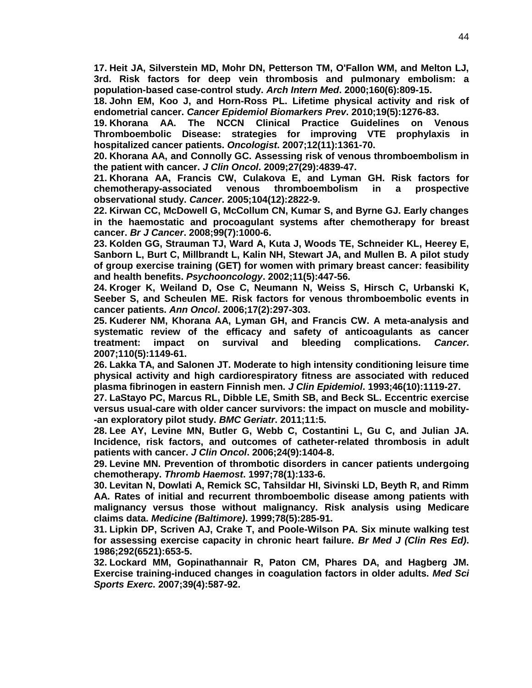**17. Heit JA, Silverstein MD, Mohr DN, Petterson TM, O'Fallon WM, and Melton LJ, 3rd. Risk factors for deep vein thrombosis and pulmonary embolism: a population-based case-control study.** *Arch Intern Med***. 2000;160(6):809-15.**

**18. John EM, Koo J, and Horn-Ross PL. Lifetime physical activity and risk of endometrial cancer.** *Cancer Epidemiol Biomarkers Prev***. 2010;19(5):1276-83.**

**19. Khorana AA. The NCCN Clinical Practice Guidelines on Venous Thromboembolic Disease: strategies for improving VTE prophylaxis in hospitalized cancer patients.** *Oncologist***. 2007;12(11):1361-70.**

**20. Khorana AA, and Connolly GC. Assessing risk of venous thromboembolism in the patient with cancer.** *J Clin Oncol***. 2009;27(29):4839-47.**

**21. Khorana AA, Francis CW, Culakova E, and Lyman GH. Risk factors for chemotherapy-associated venous thromboembolism in a prospective observational study.** *Cancer***. 2005;104(12):2822-9.**

**22. Kirwan CC, McDowell G, McCollum CN, Kumar S, and Byrne GJ. Early changes in the haemostatic and procoagulant systems after chemotherapy for breast cancer.** *Br J Cancer***. 2008;99(7):1000-6.**

**23. Kolden GG, Strauman TJ, Ward A, Kuta J, Woods TE, Schneider KL, Heerey E, Sanborn L, Burt C, Millbrandt L, Kalin NH, Stewart JA, and Mullen B. A pilot study of group exercise training (GET) for women with primary breast cancer: feasibility and health benefits.** *Psychooncology***. 2002;11(5):447-56.**

**24. Kroger K, Weiland D, Ose C, Neumann N, Weiss S, Hirsch C, Urbanski K, Seeber S, and Scheulen ME. Risk factors for venous thromboembolic events in cancer patients.** *Ann Oncol***. 2006;17(2):297-303.**

**25. Kuderer NM, Khorana AA, Lyman GH, and Francis CW. A meta-analysis and systematic review of the efficacy and safety of anticoagulants as cancer treatment: impact on survival and bleeding complications.** *Cancer***. 2007;110(5):1149-61.**

**26. Lakka TA, and Salonen JT. Moderate to high intensity conditioning leisure time physical activity and high cardiorespiratory fitness are associated with reduced plasma fibrinogen in eastern Finnish men.** *J Clin Epidemiol***. 1993;46(10):1119-27.**

**27. LaStayo PC, Marcus RL, Dibble LE, Smith SB, and Beck SL. Eccentric exercise versus usual-care with older cancer survivors: the impact on muscle and mobility- -an exploratory pilot study.** *BMC Geriatr***. 2011;11:5.**

**28. Lee AY, Levine MN, Butler G, Webb C, Costantini L, Gu C, and Julian JA. Incidence, risk factors, and outcomes of catheter-related thrombosis in adult patients with cancer.** *J Clin Oncol***. 2006;24(9):1404-8.**

**29. Levine MN. Prevention of thrombotic disorders in cancer patients undergoing chemotherapy.** *Thromb Haemost***. 1997;78(1):133-6.**

**30. Levitan N, Dowlati A, Remick SC, Tahsildar HI, Sivinski LD, Beyth R, and Rimm AA. Rates of initial and recurrent thromboembolic disease among patients with malignancy versus those without malignancy. Risk analysis using Medicare claims data.** *Medicine (Baltimore)***. 1999;78(5):285-91.**

**31. Lipkin DP, Scriven AJ, Crake T, and Poole-Wilson PA. Six minute walking test for assessing exercise capacity in chronic heart failure.** *Br Med J (Clin Res Ed)***. 1986;292(6521):653-5.**

**32. Lockard MM, Gopinathannair R, Paton CM, Phares DA, and Hagberg JM. Exercise training-induced changes in coagulation factors in older adults.** *Med Sci Sports Exerc***. 2007;39(4):587-92.**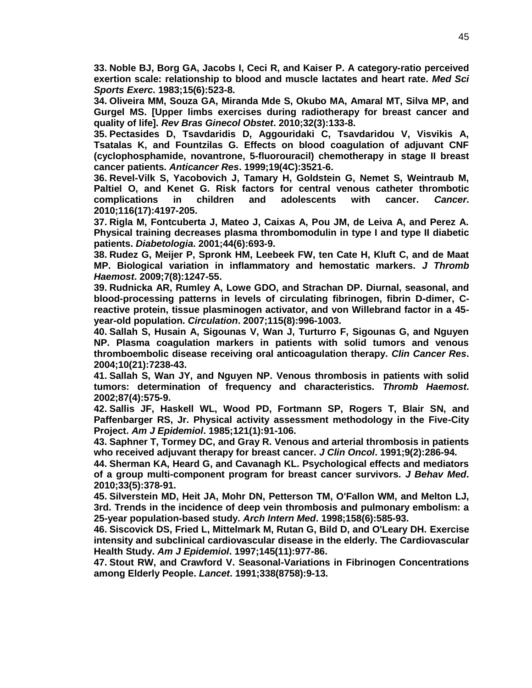**33. Noble BJ, Borg GA, Jacobs I, Ceci R, and Kaiser P. A category-ratio perceived exertion scale: relationship to blood and muscle lactates and heart rate.** *Med Sci Sports Exerc***. 1983;15(6):523-8.**

**34. Oliveira MM, Souza GA, Miranda Mde S, Okubo MA, Amaral MT, Silva MP, and Gurgel MS. [Upper limbs exercises during radiotherapy for breast cancer and quality of life].** *Rev Bras Ginecol Obstet***. 2010;32(3):133-8.**

**35. Pectasides D, Tsavdaridis D, Aggouridaki C, Tsavdaridou V, Visvikis A, Tsatalas K, and Fountzilas G. Effects on blood coagulation of adjuvant CNF (cyclophosphamide, novantrone, 5-fluorouracil) chemotherapy in stage II breast cancer patients.** *Anticancer Res***. 1999;19(4C):3521-6.**

**36. Revel-Vilk S, Yacobovich J, Tamary H, Goldstein G, Nemet S, Weintraub M, Paltiel O, and Kenet G. Risk factors for central venous catheter thrombotic complications in children and adolescents with cancer.** *Cancer***. 2010;116(17):4197-205.**

**37. Rigla M, Fontcuberta J, Mateo J, Caixas A, Pou JM, de Leiva A, and Perez A. Physical training decreases plasma thrombomodulin in type I and type II diabetic patients.** *Diabetologia***. 2001;44(6):693-9.**

**38. Rudez G, Meijer P, Spronk HM, Leebeek FW, ten Cate H, Kluft C, and de Maat MP. Biological variation in inflammatory and hemostatic markers.** *J Thromb Haemost***. 2009;7(8):1247-55.**

**39. Rudnicka AR, Rumley A, Lowe GDO, and Strachan DP. Diurnal, seasonal, and blood-processing patterns in levels of circulating fibrinogen, fibrin D-dimer, Creactive protein, tissue plasminogen activator, and von Willebrand factor in a 45 year-old population.** *Circulation***. 2007;115(8):996-1003.**

**40. Sallah S, Husain A, Sigounas V, Wan J, Turturro F, Sigounas G, and Nguyen NP. Plasma coagulation markers in patients with solid tumors and venous thromboembolic disease receiving oral anticoagulation therapy.** *Clin Cancer Res***. 2004;10(21):7238-43.**

**41. Sallah S, Wan JY, and Nguyen NP. Venous thrombosis in patients with solid tumors: determination of frequency and characteristics.** *Thromb Haemost***. 2002;87(4):575-9.**

**42. Sallis JF, Haskell WL, Wood PD, Fortmann SP, Rogers T, Blair SN, and Paffenbarger RS, Jr. Physical activity assessment methodology in the Five-City Project.** *Am J Epidemiol***. 1985;121(1):91-106.**

**43. Saphner T, Tormey DC, and Gray R. Venous and arterial thrombosis in patients who received adjuvant therapy for breast cancer.** *J Clin Oncol***. 1991;9(2):286-94.**

**44. Sherman KA, Heard G, and Cavanagh KL. Psychological effects and mediators of a group multi-component program for breast cancer survivors.** *J Behav Med***. 2010;33(5):378-91.**

**45. Silverstein MD, Heit JA, Mohr DN, Petterson TM, O'Fallon WM, and Melton LJ, 3rd. Trends in the incidence of deep vein thrombosis and pulmonary embolism: a 25-year population-based study.** *Arch Intern Med***. 1998;158(6):585-93.**

**46. Siscovick DS, Fried L, Mittelmark M, Rutan G, Bild D, and O'Leary DH. Exercise intensity and subclinical cardiovascular disease in the elderly. The Cardiovascular Health Study.** *Am J Epidemiol***. 1997;145(11):977-86.**

**47. Stout RW, and Crawford V. Seasonal-Variations in Fibrinogen Concentrations among Elderly People.** *Lancet***. 1991;338(8758):9-13.**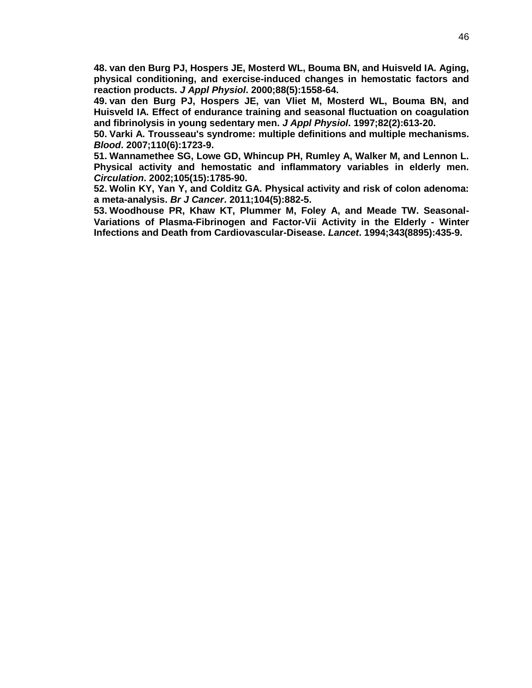**48. van den Burg PJ, Hospers JE, Mosterd WL, Bouma BN, and Huisveld IA. Aging, physical conditioning, and exercise-induced changes in hemostatic factors and reaction products.** *J Appl Physiol***. 2000;88(5):1558-64.**

**49. van den Burg PJ, Hospers JE, van Vliet M, Mosterd WL, Bouma BN, and Huisveld IA. Effect of endurance training and seasonal fluctuation on coagulation and fibrinolysis in young sedentary men.** *J Appl Physiol***. 1997;82(2):613-20.**

**50. Varki A. Trousseau's syndrome: multiple definitions and multiple mechanisms.**  *Blood***. 2007;110(6):1723-9.**

**51. Wannamethee SG, Lowe GD, Whincup PH, Rumley A, Walker M, and Lennon L. Physical activity and hemostatic and inflammatory variables in elderly men.**  *Circulation***. 2002;105(15):1785-90.**

**52. Wolin KY, Yan Y, and Colditz GA. Physical activity and risk of colon adenoma: a meta-analysis.** *Br J Cancer***. 2011;104(5):882-5.**

**53. Woodhouse PR, Khaw KT, Plummer M, Foley A, and Meade TW. Seasonal-Variations of Plasma-Fibrinogen and Factor-Vii Activity in the Elderly - Winter Infections and Death from Cardiovascular-Disease.** *Lancet***. 1994;343(8895):435-9.**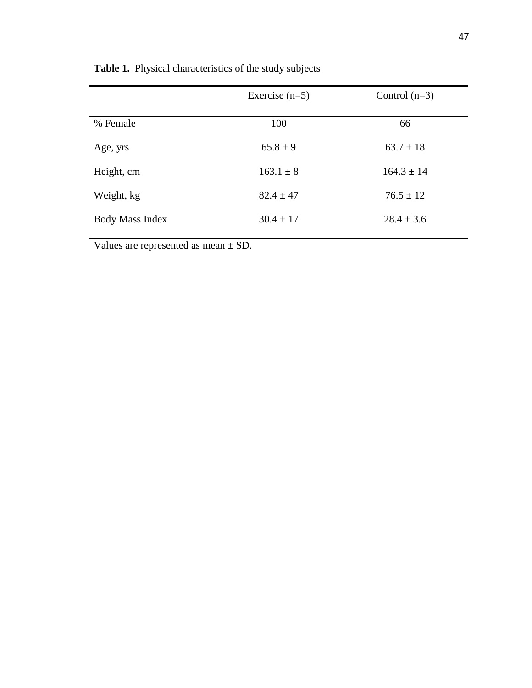|                 | Exercise $(n=5)$ | Control $(n=3)$ |
|-----------------|------------------|-----------------|
| % Female        | 100              | 66              |
| Age, yrs        | $65.8 \pm 9$     | $63.7 \pm 18$   |
| Height, cm      | $163.1 \pm 8$    | $164.3 \pm 14$  |
| Weight, kg      | $82.4 \pm 47$    | $76.5 \pm 12$   |
| Body Mass Index | $30.4 \pm 17$    | $28.4 \pm 3.6$  |
|                 |                  |                 |

**Table 1.** Physical characteristics of the study subjects

Values are represented as mean ± SD.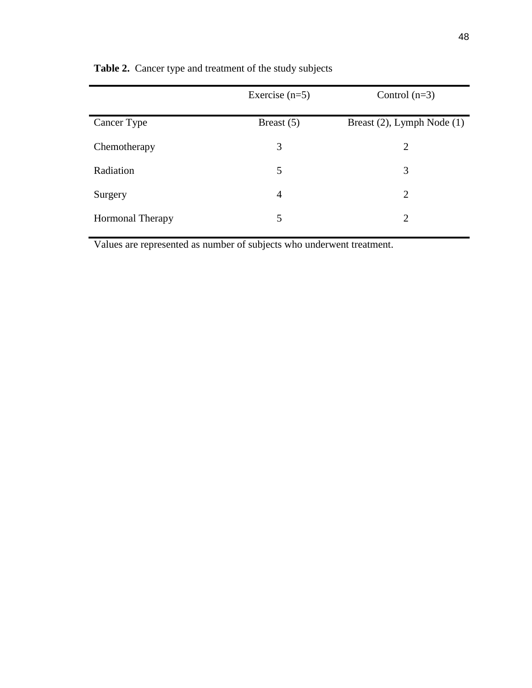|                         | Exercise $(n=5)$ | Control $(n=3)$            |
|-------------------------|------------------|----------------------------|
| Cancer Type             | Breast $(5)$     | Breast (2), Lymph Node (1) |
| Chemotherapy            | 3                | 2                          |
| Radiation               | 5                | 3                          |
| Surgery                 | 4                | 2                          |
| <b>Hormonal Therapy</b> | 5                | 2                          |

**Table 2.** Cancer type and treatment of the study subjects

Values are represented as number of subjects who underwent treatment.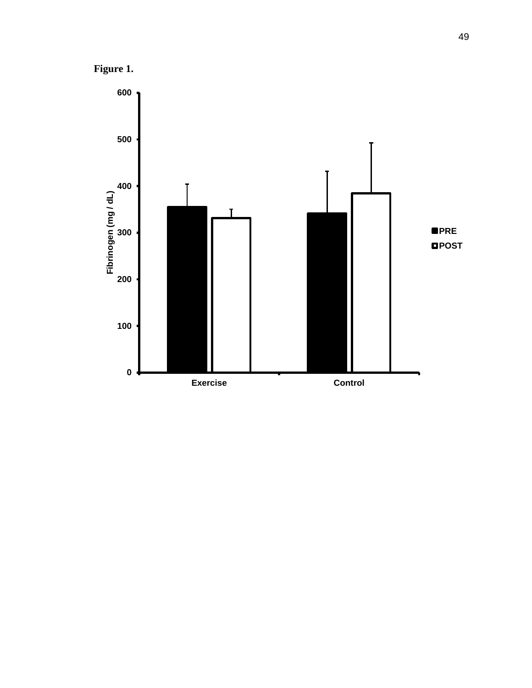**Figure 1.**

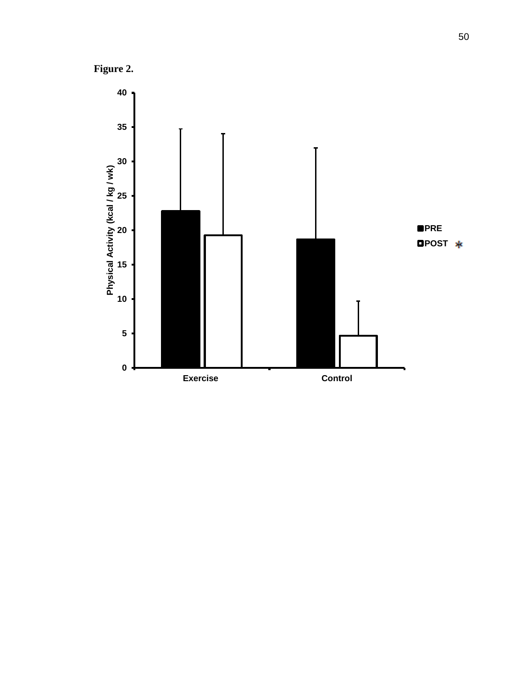**Figure 2.**

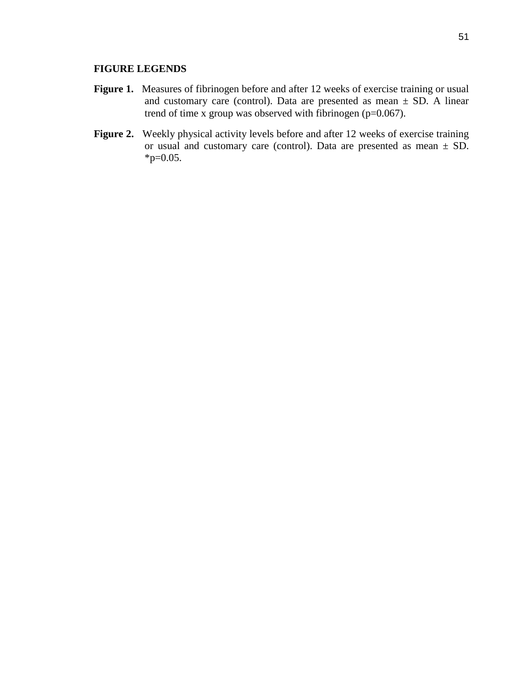# **FIGURE LEGENDS**

- Figure 1. Measures of fibrinogen before and after 12 weeks of exercise training or usual and customary care (control). Data are presented as mean  $\pm$  SD. A linear trend of time x group was observed with fibrinogen (p=0.067).
- **Figure 2.** Weekly physical activity levels before and after 12 weeks of exercise training or usual and customary care (control). Data are presented as mean ± SD.  $*p=0.05$ .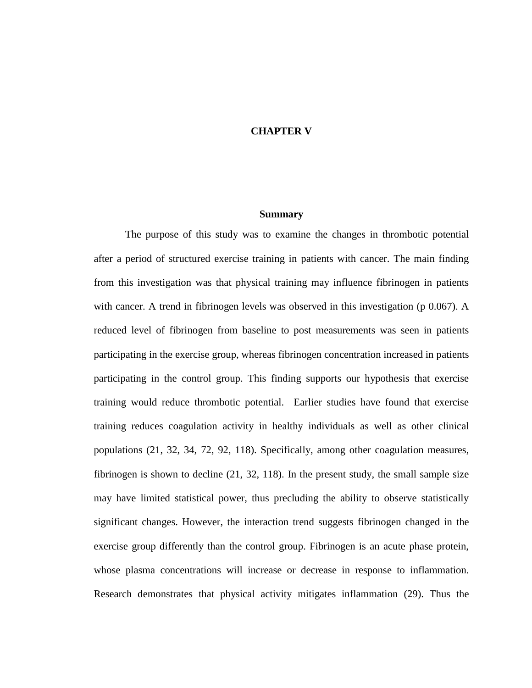### **CHAPTER V**

#### **Summary**

The purpose of this study was to examine the changes in thrombotic potential after a period of structured exercise training in patients with cancer. The main finding from this investigation was that physical training may influence fibrinogen in patients with cancer. A trend in fibrinogen levels was observed in this investigation (p 0.067). A reduced level of fibrinogen from baseline to post measurements was seen in patients participating in the exercise group, whereas fibrinogen concentration increased in patients participating in the control group. This finding supports our hypothesis that exercise training would reduce thrombotic potential. Earlier studies have found that exercise training reduces coagulation activity in healthy individuals as well as other clinical populations [\(21,](#page-61-4) [32,](#page-61-14) [34,](#page-61-11) [72,](#page-64-0) [92,](#page-65-0) [118\)](#page-67-0). Specifically, among other coagulation measures, fibrinogen is shown to decline [\(21,](#page-61-4) [32,](#page-61-14) [118\)](#page-67-0). In the present study, the small sample size may have limited statistical power, thus precluding the ability to observe statistically significant changes. However, the interaction trend suggests fibrinogen changed in the exercise group differently than the control group. Fibrinogen is an acute phase protein, whose plasma concentrations will increase or decrease in response to inflammation. Research demonstrates that physical activity mitigates inflammation [\(29\)](#page-61-5). Thus the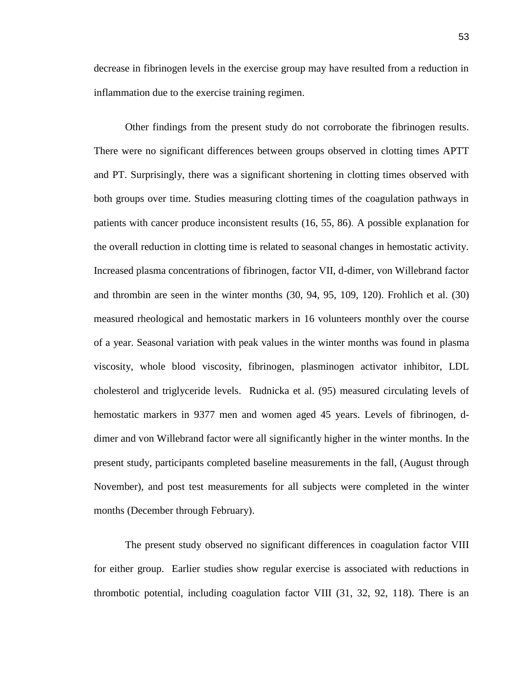decrease in fibrinogen levels in the exercise group may have resulted from a reduction in inflammation due to the exercise training regimen.

Other findings from the present study do not corroborate the fibrinogen results. There were no significant differences between groups observed in clotting times APTT and PT. Surprisingly, there was a significant shortening in clotting times observed with both groups over time. Studies measuring clotting times of the coagulation pathways in patients with cancer produce inconsistent results [\(16,](#page-60-4) [55,](#page-63-3) [86\)](#page-65-1). A possible explanation for the overall reduction in clotting time is related to seasonal changes in hemostatic activity. Increased plasma concentrations of fibrinogen, factor VII, d-dimer, von Willebrand factor and thrombin are seen in the winter months [\(30,](#page-61-3) [94,](#page-65-2) [95,](#page-65-3) [109,](#page-66-0) [120\)](#page-67-1). Frohlich et al. [\(30\)](#page-61-3) measured rheological and hemostatic markers in 16 volunteers monthly over the course of a year. Seasonal variation with peak values in the winter months was found in plasma viscosity, whole blood viscosity, fibrinogen, plasminogen activator inhibitor, LDL cholesterol and triglyceride levels. Rudnicka et al. [\(95\)](#page-65-3) measured circulating levels of hemostatic markers in 9377 men and women aged 45 years. Levels of fibrinogen, ddimer and von Willebrand factor were all significantly higher in the winter months. In the present study, participants completed baseline measurements in the fall, (August through November), and post test measurements for all subjects were completed in the winter months (December through February).

The present study observed no significant differences in coagulation factor VIII for either group. Earlier studies show regular exercise is associated with reductions in thrombotic potential, including coagulation factor VIII [\(31,](#page-61-12) [32,](#page-61-14) [92,](#page-65-0) [118\)](#page-67-0). There is an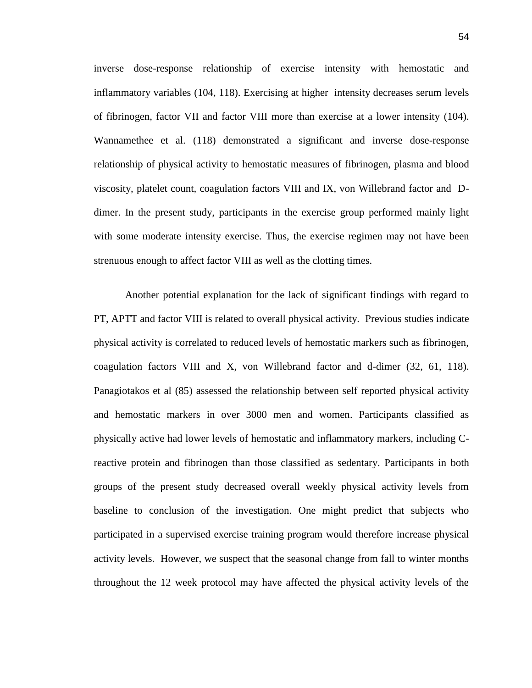inverse dose-response relationship of exercise intensity with hemostatic and inflammatory variables [\(104,](#page-66-1) [118\)](#page-67-0). Exercising at higher intensity decreases serum levels of fibrinogen, factor VII and factor VIII more than exercise at a lower intensity [\(104\)](#page-66-1). Wannamethee et al. [\(118\)](#page-67-0) demonstrated a significant and inverse dose-response relationship of physical activity to hemostatic measures of fibrinogen, plasma and blood viscosity, platelet count, coagulation factors VIII and IX, von Willebrand factor and Ddimer. In the present study, participants in the exercise group performed mainly light with some moderate intensity exercise. Thus, the exercise regimen may not have been strenuous enough to affect factor VIII as well as the clotting times.

Another potential explanation for the lack of significant findings with regard to PT, APTT and factor VIII is related to overall physical activity. Previous studies indicate physical activity is correlated to reduced levels of hemostatic markers such as fibrinogen, coagulation factors VIII and X, von Willebrand factor and d-dimer [\(32,](#page-61-14) [61,](#page-63-4) [118\)](#page-67-0). Panagiotakos et al [\(85\)](#page-65-4) assessed the relationship between self reported physical activity and hemostatic markers in over 3000 men and women. Participants classified as physically active had lower levels of hemostatic and inflammatory markers, including Creactive protein and fibrinogen than those classified as sedentary. Participants in both groups of the present study decreased overall weekly physical activity levels from baseline to conclusion of the investigation. One might predict that subjects who participated in a supervised exercise training program would therefore increase physical activity levels. However, we suspect that the seasonal change from fall to winter months throughout the 12 week protocol may have affected the physical activity levels of the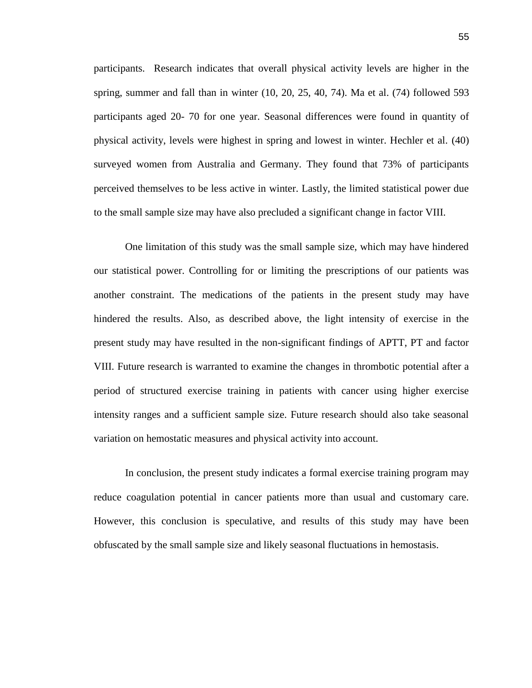participants. Research indicates that overall physical activity levels are higher in the spring, summer and fall than in winter [\(10,](#page-60-15) [20,](#page-61-2) [25,](#page-61-7) [40,](#page-62-5) [74\)](#page-64-1). Ma et al. [\(74\)](#page-64-1) followed 593 participants aged 20- 70 for one year. Seasonal differences were found in quantity of physical activity, levels were highest in spring and lowest in winter. Hechler et al. [\(40\)](#page-62-5) surveyed women from Australia and Germany. They found that 73% of participants perceived themselves to be less active in winter. Lastly, the limited statistical power due to the small sample size may have also precluded a significant change in factor VIII.

One limitation of this study was the small sample size, which may have hindered our statistical power. Controlling for or limiting the prescriptions of our patients was another constraint. The medications of the patients in the present study may have hindered the results. Also, as described above, the light intensity of exercise in the present study may have resulted in the non-significant findings of APTT, PT and factor VIII. Future research is warranted to examine the changes in thrombotic potential after a period of structured exercise training in patients with cancer using higher exercise intensity ranges and a sufficient sample size. Future research should also take seasonal variation on hemostatic measures and physical activity into account.

In conclusion, the present study indicates a formal exercise training program may reduce coagulation potential in cancer patients more than usual and customary care. However, this conclusion is speculative, and results of this study may have been obfuscated by the small sample size and likely seasonal fluctuations in hemostasis.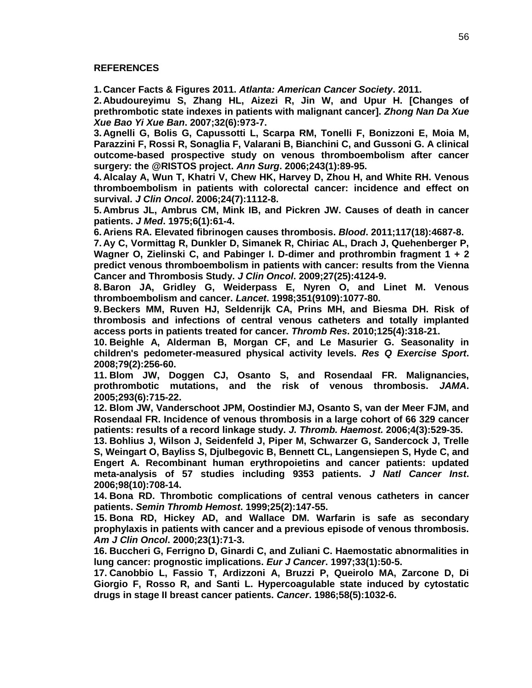#### **REFERENCES**

<span id="page-60-0"></span>**1. Cancer Facts & Figures 2011.** *Atlanta: American Cancer Society***. 2011.**

<span id="page-60-6"></span>**2. Abudoureyimu S, Zhang HL, Aizezi R, Jin W, and Upur H. [Changes of prethrombotic state indexes in patients with malignant cancer].** *Zhong Nan Da Xue Xue Bao Yi Xue Ban***. 2007;32(6):973-7.**

<span id="page-60-8"></span>**3. Agnelli G, Bolis G, Capussotti L, Scarpa RM, Tonelli F, Bonizzoni E, Moia M, Parazzini F, Rossi R, Sonaglia F, Valarani B, Bianchini C, and Gussoni G. A clinical outcome-based prospective study on venous thromboembolism after cancer surgery: the @RISTOS project.** *Ann Surg***. 2006;243(1):89-95.**

<span id="page-60-3"></span>**4. Alcalay A, Wun T, Khatri V, Chew HK, Harvey D, Zhou H, and White RH. Venous thromboembolism in patients with colorectal cancer: incidence and effect on survival.** *J Clin Oncol***. 2006;24(7):1112-8.**

<span id="page-60-1"></span>**5. Ambrus JL, Ambrus CM, Mink IB, and Pickren JW. Causes of death in cancer patients.** *J Med***. 1975;6(1):61-4.**

<span id="page-60-14"></span>**6. Ariens RA. Elevated fibrinogen causes thrombosis.** *Blood***. 2011;117(18):4687-8.**

<span id="page-60-7"></span>**7. Ay C, Vormittag R, Dunkler D, Simanek R, Chiriac AL, Drach J, Quehenberger P, Wagner O, Zielinski C, and Pabinger I. D-dimer and prothrombin fragment 1 + 2 predict venous thromboembolism in patients with cancer: results from the Vienna Cancer and Thrombosis Study.** *J Clin Oncol***. 2009;27(25):4124-9.**

<span id="page-60-10"></span>**8. Baron JA, Gridley G, Weiderpass E, Nyren O, and Linet M. Venous thromboembolism and cancer.** *Lancet***. 1998;351(9109):1077-80.**

<span id="page-60-13"></span>**9. Beckers MM, Ruven HJ, Seldenrijk CA, Prins MH, and Biesma DH. Risk of thrombosis and infections of central venous catheters and totally implanted access ports in patients treated for cancer.** *Thromb Res***. 2010;125(4):318-21.**

<span id="page-60-15"></span>**10. Beighle A, Alderman B, Morgan CF, and Le Masurier G. Seasonality in children's pedometer-measured physical activity levels.** *Res Q Exercise Sport***. 2008;79(2):256-60.**

<span id="page-60-16"></span>**11. Blom JW, Doggen CJ, Osanto S, and Rosendaal FR. Malignancies, prothrombotic mutations, and the risk of venous thrombosis.** *JAMA***. 2005;293(6):715-22.**

<span id="page-60-11"></span>**12. Blom JW, Vanderschoot JPM, Oostindier MJ, Osanto S, van der Meer FJM, and Rosendaal FR. Incidence of venous thrombosis in a large cohort of 66 329 cancer patients: results of a record linkage study.** *J. Thromb. Haemost.* **2006;4(3):529-35.**

<span id="page-60-12"></span>**13. Bohlius J, Wilson J, Seidenfeld J, Piper M, Schwarzer G, Sandercock J, Trelle S, Weingart O, Bayliss S, Djulbegovic B, Bennett CL, Langensiepen S, Hyde C, and Engert A. Recombinant human erythropoietins and cancer patients: updated meta-analysis of 57 studies including 9353 patients.** *J Natl Cancer Inst***. 2006;98(10):708-14.**

<span id="page-60-5"></span>**14. Bona RD. Thrombotic complications of central venous catheters in cancer patients.** *Semin Thromb Hemost***. 1999;25(2):147-55.**

<span id="page-60-9"></span>**15. Bona RD, Hickey AD, and Wallace DM. Warfarin is safe as secondary prophylaxis in patients with cancer and a previous episode of venous thrombosis.**  *Am J Clin Oncol***. 2000;23(1):71-3.**

<span id="page-60-4"></span>**16. Buccheri G, Ferrigno D, Ginardi C, and Zuliani C. Haemostatic abnormalities in lung cancer: prognostic implications.** *Eur J Cancer***. 1997;33(1):50-5.**

<span id="page-60-2"></span>**17. Canobbio L, Fassio T, Ardizzoni A, Bruzzi P, Queirolo MA, Zarcone D, Di Giorgio F, Rosso R, and Santi L. Hypercoagulable state induced by cytostatic drugs in stage II breast cancer patients.** *Cancer***. 1986;58(5):1032-6.**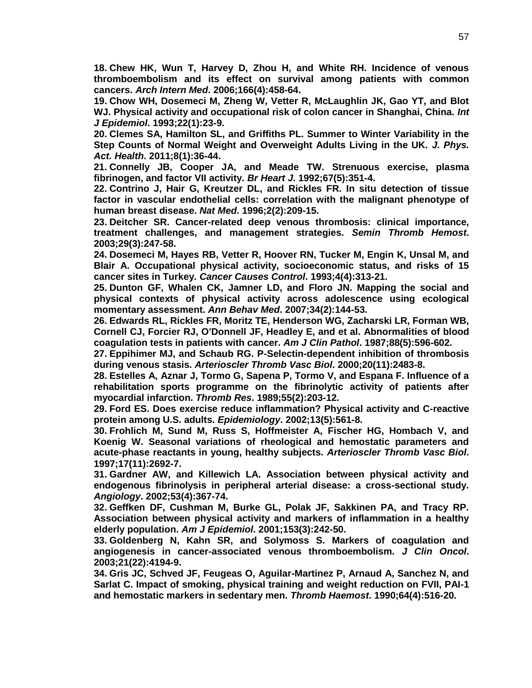<span id="page-61-8"></span>**18. Chew HK, Wun T, Harvey D, Zhou H, and White RH. Incidence of venous thromboembolism and its effect on survival among patients with common cancers.** *Arch Intern Med***. 2006;166(4):458-64.**

<span id="page-61-6"></span>**19. Chow WH, Dosemeci M, Zheng W, Vetter R, McLaughlin JK, Gao YT, and Blot WJ. Physical activity and occupational risk of colon cancer in Shanghai, China.** *Int J Epidemiol***. 1993;22(1):23-9.**

<span id="page-61-2"></span>**20. Clemes SA, Hamilton SL, and Griffiths PL. Summer to Winter Variability in the Step Counts of Normal Weight and Overweight Adults Living in the UK.** *J. Phys. Act. Health***. 2011;8(1):36-44.**

<span id="page-61-4"></span>**21. Connelly JB, Cooper JA, and Meade TW. Strenuous exercise, plasma fibrinogen, and factor VII activity.** *Br Heart J***. 1992;67(5):351-4.**

<span id="page-61-15"></span>**22. Contrino J, Hair G, Kreutzer DL, and Rickles FR. In situ detection of tissue factor in vascular endothelial cells: correlation with the malignant phenotype of human breast disease.** *Nat Med***. 1996;2(2):209-15.**

<span id="page-61-9"></span>**23. Deitcher SR. Cancer-related deep venous thrombosis: clinical importance, treatment challenges, and management strategies.** *Semin Thromb Hemost***. 2003;29(3):247-58.**

<span id="page-61-0"></span>**24. Dosemeci M, Hayes RB, Vetter R, Hoover RN, Tucker M, Engin K, Unsal M, and Blair A. Occupational physical activity, socioeconomic status, and risks of 15 cancer sites in Turkey.** *Cancer Causes Control***. 1993;4(4):313-21.**

<span id="page-61-7"></span>**25. Dunton GF, Whalen CK, Jamner LD, and Floro JN. Mapping the social and physical contexts of physical activity across adolescence using ecological momentary assessment.** *Ann Behav Med***. 2007;34(2):144-53.**

<span id="page-61-16"></span>**26. Edwards RL, Rickles FR, Moritz TE, Henderson WG, Zacharski LR, Forman WB, Cornell CJ, Forcier RJ, O'Donnell JF, Headley E, and et al. Abnormalities of blood coagulation tests in patients with cancer.** *Am J Clin Pathol***. 1987;88(5):596-602.**

<span id="page-61-10"></span>**27. Eppihimer MJ, and Schaub RG. P-Selectin-dependent inhibition of thrombosis during venous stasis.** *Arterioscler Thromb Vasc Biol***. 2000;20(11):2483-8.**

<span id="page-61-1"></span>**28. Estelles A, Aznar J, Tormo G, Sapena P, Tormo V, and Espana F. Influence of a rehabilitation sports programme on the fibrinolytic activity of patients after myocardial infarction.** *Thromb Res***. 1989;55(2):203-12.**

<span id="page-61-5"></span>**29. Ford ES. Does exercise reduce inflammation? Physical activity and C-reactive protein among U.S. adults.** *Epidemiology***. 2002;13(5):561-8.**

<span id="page-61-3"></span>**30. Frohlich M, Sund M, Russ S, Hoffmeister A, Fischer HG, Hombach V, and Koenig W. Seasonal variations of rheological and hemostatic parameters and acute-phase reactants in young, healthy subjects.** *Arterioscler Thromb Vasc Biol***. 1997;17(11):2692-7.**

<span id="page-61-12"></span>**31. Gardner AW, and Killewich LA. Association between physical activity and endogenous fibrinolysis in peripheral arterial disease: a cross-sectional study.**  *Angiology***. 2002;53(4):367-74.**

<span id="page-61-14"></span>**32. Geffken DF, Cushman M, Burke GL, Polak JF, Sakkinen PA, and Tracy RP. Association between physical activity and markers of inflammation in a healthy elderly population.** *Am J Epidemiol***. 2001;153(3):242-50.**

<span id="page-61-13"></span>**33. Goldenberg N, Kahn SR, and Solymoss S. Markers of coagulation and angiogenesis in cancer-associated venous thromboembolism.** *J Clin Oncol***. 2003;21(22):4194-9.**

<span id="page-61-11"></span>**34. Gris JC, Schved JF, Feugeas O, Aguilar-Martinez P, Arnaud A, Sanchez N, and Sarlat C. Impact of smoking, physical training and weight reduction on FVII, PAI-1 and hemostatic markers in sedentary men.** *Thromb Haemost***. 1990;64(4):516-20.**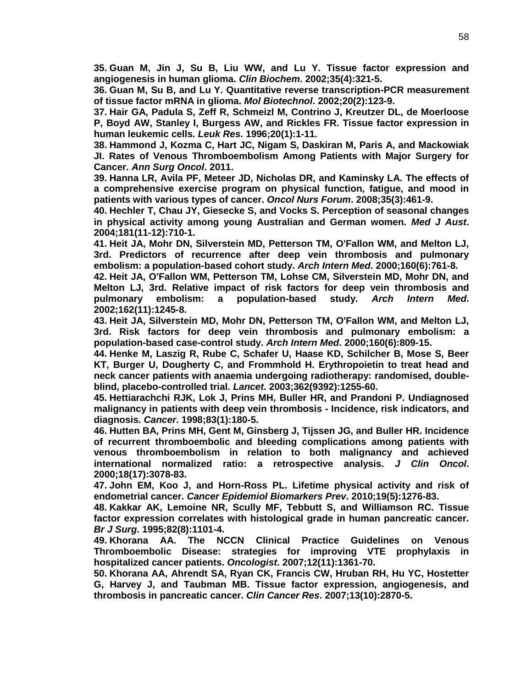<span id="page-62-9"></span>**35. Guan M, Jin J, Su B, Liu WW, and Lu Y. Tissue factor expression and angiogenesis in human glioma.** *Clin Biochem***. 2002;35(4):321-5.**

<span id="page-62-4"></span>**36. Guan M, Su B, and Lu Y. Quantitative reverse transcription-PCR measurement of tissue factor mRNA in glioma.** *Mol Biotechnol***. 2002;20(2):123-9.**

<span id="page-62-8"></span>**37. Hair GA, Padula S, Zeff R, Schmeizl M, Contrino J, Kreutzer DL, de Moerloose P, Boyd AW, Stanley I, Burgess AW, and Rickles FR. Tissue factor expression in human leukemic cells.** *Leuk Res***. 1996;20(1):1-11.**

<span id="page-62-10"></span>**38. Hammond J, Kozma C, Hart JC, Nigam S, Daskiran M, Paris A, and Mackowiak JI. Rates of Venous Thromboembolism Among Patients with Major Surgery for Cancer.** *Ann Surg Oncol***. 2011.**

<span id="page-62-11"></span>**39. Hanna LR, Avila PF, Meteer JD, Nicholas DR, and Kaminsky LA. The effects of a comprehensive exercise program on physical function, fatigue, and mood in patients with various types of cancer.** *Oncol Nurs Forum***. 2008;35(3):461-9.**

<span id="page-62-5"></span>**40. Hechler T, Chau JY, Giesecke S, and Vocks S. Perception of seasonal changes in physical activity among young Australian and German women.** *Med J Aust***. 2004;181(11-12):710-1.**

<span id="page-62-2"></span>**41. Heit JA, Mohr DN, Silverstein MD, Petterson TM, O'Fallon WM, and Melton LJ, 3rd. Predictors of recurrence after deep vein thrombosis and pulmonary embolism: a population-based cohort study.** *Arch Intern Med***. 2000;160(6):761-8.**

<span id="page-62-7"></span>**42. Heit JA, O'Fallon WM, Petterson TM, Lohse CM, Silverstein MD, Mohr DN, and Melton LJ, 3rd. Relative impact of risk factors for deep vein thrombosis and pulmonary embolism: a population-based study.** *Arch Intern Med***. 2002;162(11):1245-8.**

<span id="page-62-3"></span>**43. Heit JA, Silverstein MD, Mohr DN, Petterson TM, O'Fallon WM, and Melton LJ, 3rd. Risk factors for deep vein thrombosis and pulmonary embolism: a population-based case-control study.** *Arch Intern Med***. 2000;160(6):809-15.**

<span id="page-62-6"></span>**44. Henke M, Laszig R, Rube C, Schafer U, Haase KD, Schilcher B, Mose S, Beer KT, Burger U, Dougherty C, and Frommhold H. Erythropoietin to treat head and neck cancer patients with anaemia undergoing radiotherapy: randomised, doubleblind, placebo-controlled trial.** *Lancet***. 2003;362(9392):1255-60.**

<span id="page-62-1"></span>**45. Hettiarachchi RJK, Lok J, Prins MH, Buller HR, and Prandoni P. Undiagnosed malignancy in patients with deep vein thrombosis - Incidence, risk indicators, and diagnosis.** *Cancer***. 1998;83(1):180-5.**

<span id="page-62-14"></span>**46. Hutten BA, Prins MH, Gent M, Ginsberg J, Tijssen JG, and Buller HR. Incidence of recurrent thromboembolic and bleeding complications among patients with venous thromboembolism in relation to both malignancy and achieved international normalized ratio: a retrospective analysis.** *J Clin Oncol***. 2000;18(17):3078-83.**

<span id="page-62-12"></span>**47. John EM, Koo J, and Horn-Ross PL. Lifetime physical activity and risk of endometrial cancer.** *Cancer Epidemiol Biomarkers Prev***. 2010;19(5):1276-83.**

**48. Kakkar AK, Lemoine NR, Scully MF, Tebbutt S, and Williamson RC. Tissue factor expression correlates with histological grade in human pancreatic cancer.**  *Br J Surg***. 1995;82(8):1101-4.**

<span id="page-62-13"></span>**49. Khorana AA. The NCCN Clinical Practice Guidelines on Venous Thromboembolic Disease: strategies for improving VTE prophylaxis in hospitalized cancer patients.** *Oncologist***. 2007;12(11):1361-70.**

<span id="page-62-0"></span>**50. Khorana AA, Ahrendt SA, Ryan CK, Francis CW, Hruban RH, Hu YC, Hostetter G, Harvey J, and Taubman MB. Tissue factor expression, angiogenesis, and thrombosis in pancreatic cancer.** *Clin Cancer Res***. 2007;13(10):2870-5.**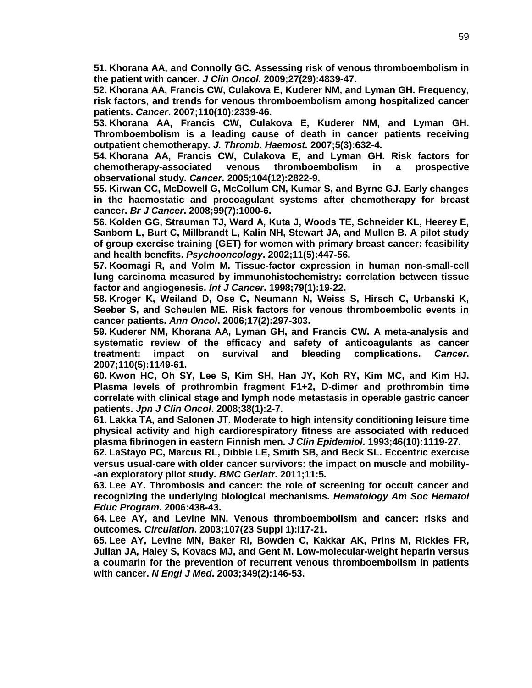<span id="page-63-1"></span>**51. Khorana AA, and Connolly GC. Assessing risk of venous thromboembolism in the patient with cancer.** *J Clin Oncol***. 2009;27(29):4839-47.**

<span id="page-63-0"></span>**52. Khorana AA, Francis CW, Culakova E, Kuderer NM, and Lyman GH. Frequency, risk factors, and trends for venous thromboembolism among hospitalized cancer patients.** *Cancer***. 2007;110(10):2339-46.**

<span id="page-63-2"></span>**53. Khorana AA, Francis CW, Culakova E, Kuderer NM, and Lyman GH. Thromboembolism is a leading cause of death in cancer patients receiving outpatient chemotherapy.** *J. Thromb. Haemost.* **2007;5(3):632-4.**

**54. Khorana AA, Francis CW, Culakova E, and Lyman GH. Risk factors for chemotherapy-associated venous thromboembolism in a prospective observational study.** *Cancer***. 2005;104(12):2822-9.**

<span id="page-63-3"></span>**55. Kirwan CC, McDowell G, McCollum CN, Kumar S, and Byrne GJ. Early changes in the haemostatic and procoagulant systems after chemotherapy for breast cancer.** *Br J Cancer***. 2008;99(7):1000-6.**

**56. Kolden GG, Strauman TJ, Ward A, Kuta J, Woods TE, Schneider KL, Heerey E, Sanborn L, Burt C, Millbrandt L, Kalin NH, Stewart JA, and Mullen B. A pilot study of group exercise training (GET) for women with primary breast cancer: feasibility and health benefits.** *Psychooncology***. 2002;11(5):447-56.**

**57. Koomagi R, and Volm M. Tissue-factor expression in human non-small-cell lung carcinoma measured by immunohistochemistry: correlation between tissue factor and angiogenesis.** *Int J Cancer***. 1998;79(1):19-22.**

**58. Kroger K, Weiland D, Ose C, Neumann N, Weiss S, Hirsch C, Urbanski K, Seeber S, and Scheulen ME. Risk factors for venous thromboembolic events in cancer patients.** *Ann Oncol***. 2006;17(2):297-303.**

**59. Kuderer NM, Khorana AA, Lyman GH, and Francis CW. A meta-analysis and systematic review of the efficacy and safety of anticoagulants as cancer treatment: impact on survival and bleeding complications.** *Cancer***. 2007;110(5):1149-61.**

**60. Kwon HC, Oh SY, Lee S, Kim SH, Han JY, Koh RY, Kim MC, and Kim HJ. Plasma levels of prothrombin fragment F1+2, D-dimer and prothrombin time correlate with clinical stage and lymph node metastasis in operable gastric cancer patients.** *Jpn J Clin Oncol***. 2008;38(1):2-7.**

<span id="page-63-4"></span>**61. Lakka TA, and Salonen JT. Moderate to high intensity conditioning leisure time physical activity and high cardiorespiratory fitness are associated with reduced plasma fibrinogen in eastern Finnish men.** *J Clin Epidemiol***. 1993;46(10):1119-27.**

**62. LaStayo PC, Marcus RL, Dibble LE, Smith SB, and Beck SL. Eccentric exercise versus usual-care with older cancer survivors: the impact on muscle and mobility- -an exploratory pilot study.** *BMC Geriatr***. 2011;11:5.**

**63. Lee AY. Thrombosis and cancer: the role of screening for occult cancer and recognizing the underlying biological mechanisms.** *Hematology Am Soc Hematol Educ Program***. 2006:438-43.**

**64. Lee AY, and Levine MN. Venous thromboembolism and cancer: risks and outcomes.** *Circulation***. 2003;107(23 Suppl 1):I17-21.**

**65. Lee AY, Levine MN, Baker RI, Bowden C, Kakkar AK, Prins M, Rickles FR, Julian JA, Haley S, Kovacs MJ, and Gent M. Low-molecular-weight heparin versus a coumarin for the prevention of recurrent venous thromboembolism in patients with cancer.** *N Engl J Med***. 2003;349(2):146-53.**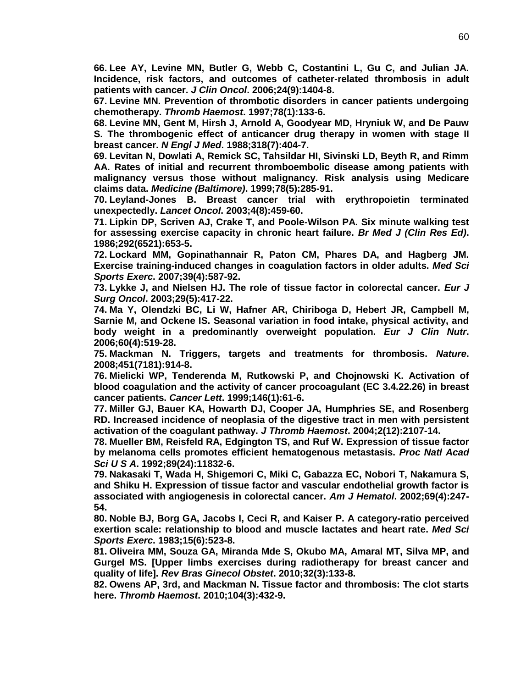**66. Lee AY, Levine MN, Butler G, Webb C, Costantini L, Gu C, and Julian JA. Incidence, risk factors, and outcomes of catheter-related thrombosis in adult patients with cancer.** *J Clin Oncol***. 2006;24(9):1404-8.**

**67. Levine MN. Prevention of thrombotic disorders in cancer patients undergoing chemotherapy.** *Thromb Haemost***. 1997;78(1):133-6.**

**68. Levine MN, Gent M, Hirsh J, Arnold A, Goodyear MD, Hryniuk W, and De Pauw S. The thrombogenic effect of anticancer drug therapy in women with stage II breast cancer.** *N Engl J Med***. 1988;318(7):404-7.**

**69. Levitan N, Dowlati A, Remick SC, Tahsildar HI, Sivinski LD, Beyth R, and Rimm AA. Rates of initial and recurrent thromboembolic disease among patients with malignancy versus those without malignancy. Risk analysis using Medicare claims data.** *Medicine (Baltimore)***. 1999;78(5):285-91.**

**70. Leyland-Jones B. Breast cancer trial with erythropoietin terminated unexpectedly.** *Lancet Oncol***. 2003;4(8):459-60.**

**71. Lipkin DP, Scriven AJ, Crake T, and Poole-Wilson PA. Six minute walking test for assessing exercise capacity in chronic heart failure.** *Br Med J (Clin Res Ed)***. 1986;292(6521):653-5.**

<span id="page-64-0"></span>**72. Lockard MM, Gopinathannair R, Paton CM, Phares DA, and Hagberg JM. Exercise training-induced changes in coagulation factors in older adults.** *Med Sci Sports Exerc***. 2007;39(4):587-92.**

**73. Lykke J, and Nielsen HJ. The role of tissue factor in colorectal cancer.** *Eur J Surg Oncol***. 2003;29(5):417-22.**

<span id="page-64-1"></span>**74. Ma Y, Olendzki BC, Li W, Hafner AR, Chiriboga D, Hebert JR, Campbell M, Sarnie M, and Ockene IS. Seasonal variation in food intake, physical activity, and body weight in a predominantly overweight population.** *Eur J Clin Nutr***. 2006;60(4):519-28.**

**75. Mackman N. Triggers, targets and treatments for thrombosis.** *Nature***. 2008;451(7181):914-8.**

**76. Mielicki WP, Tenderenda M, Rutkowski P, and Chojnowski K. Activation of blood coagulation and the activity of cancer procoagulant (EC 3.4.22.26) in breast cancer patients.** *Cancer Lett***. 1999;146(1):61-6.**

**77. Miller GJ, Bauer KA, Howarth DJ, Cooper JA, Humphries SE, and Rosenberg RD. Increased incidence of neoplasia of the digestive tract in men with persistent activation of the coagulant pathway.** *J Thromb Haemost***. 2004;2(12):2107-14.**

**78. Mueller BM, Reisfeld RA, Edgington TS, and Ruf W. Expression of tissue factor by melanoma cells promotes efficient hematogenous metastasis.** *Proc Natl Acad Sci U S A***. 1992;89(24):11832-6.**

**79. Nakasaki T, Wada H, Shigemori C, Miki C, Gabazza EC, Nobori T, Nakamura S, and Shiku H. Expression of tissue factor and vascular endothelial growth factor is associated with angiogenesis in colorectal cancer.** *Am J Hematol***. 2002;69(4):247- 54.**

**80. Noble BJ, Borg GA, Jacobs I, Ceci R, and Kaiser P. A category-ratio perceived exertion scale: relationship to blood and muscle lactates and heart rate.** *Med Sci Sports Exerc***. 1983;15(6):523-8.**

**81. Oliveira MM, Souza GA, Miranda Mde S, Okubo MA, Amaral MT, Silva MP, and Gurgel MS. [Upper limbs exercises during radiotherapy for breast cancer and quality of life].** *Rev Bras Ginecol Obstet***. 2010;32(3):133-8.**

**82. Owens AP, 3rd, and Mackman N. Tissue factor and thrombosis: The clot starts here.** *Thromb Haemost***. 2010;104(3):432-9.**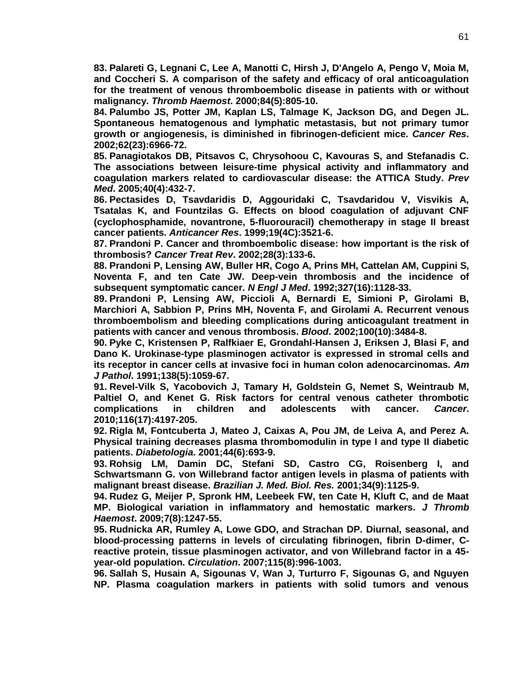**83. Palareti G, Legnani C, Lee A, Manotti C, Hirsh J, D'Angelo A, Pengo V, Moia M, and Coccheri S. A comparison of the safety and efficacy of oral anticoagulation for the treatment of venous thromboembolic disease in patients with or without malignancy.** *Thromb Haemost***. 2000;84(5):805-10.**

**84. Palumbo JS, Potter JM, Kaplan LS, Talmage K, Jackson DG, and Degen JL. Spontaneous hematogenous and lymphatic metastasis, but not primary tumor growth or angiogenesis, is diminished in fibrinogen-deficient mice.** *Cancer Res***. 2002;62(23):6966-72.**

<span id="page-65-4"></span>**85. Panagiotakos DB, Pitsavos C, Chrysohoou C, Kavouras S, and Stefanadis C. The associations between leisure-time physical activity and inflammatory and coagulation markers related to cardiovascular disease: the ATTICA Study.** *Prev Med***. 2005;40(4):432-7.**

<span id="page-65-1"></span>**86. Pectasides D, Tsavdaridis D, Aggouridaki C, Tsavdaridou V, Visvikis A, Tsatalas K, and Fountzilas G. Effects on blood coagulation of adjuvant CNF (cyclophosphamide, novantrone, 5-fluorouracil) chemotherapy in stage II breast cancer patients.** *Anticancer Res***. 1999;19(4C):3521-6.**

**87. Prandoni P. Cancer and thromboembolic disease: how important is the risk of thrombosis?** *Cancer Treat Rev***. 2002;28(3):133-6.**

**88. Prandoni P, Lensing AW, Buller HR, Cogo A, Prins MH, Cattelan AM, Cuppini S, Noventa F, and ten Cate JW. Deep-vein thrombosis and the incidence of subsequent symptomatic cancer.** *N Engl J Med***. 1992;327(16):1128-33.**

**89. Prandoni P, Lensing AW, Piccioli A, Bernardi E, Simioni P, Girolami B, Marchiori A, Sabbion P, Prins MH, Noventa F, and Girolami A. Recurrent venous thromboembolism and bleeding complications during anticoagulant treatment in patients with cancer and venous thrombosis.** *Blood***. 2002;100(10):3484-8.**

**90. Pyke C, Kristensen P, Ralfkiaer E, Grondahl-Hansen J, Eriksen J, Blasi F, and Dano K. Urokinase-type plasminogen activator is expressed in stromal cells and its receptor in cancer cells at invasive foci in human colon adenocarcinomas.** *Am J Pathol***. 1991;138(5):1059-67.**

**91. Revel-Vilk S, Yacobovich J, Tamary H, Goldstein G, Nemet S, Weintraub M, Paltiel O, and Kenet G. Risk factors for central venous catheter thrombotic complications in children and adolescents with cancer.** *Cancer***. 2010;116(17):4197-205.**

<span id="page-65-0"></span>**92. Rigla M, Fontcuberta J, Mateo J, Caixas A, Pou JM, de Leiva A, and Perez A. Physical training decreases plasma thrombomodulin in type I and type II diabetic patients.** *Diabetologia***. 2001;44(6):693-9.**

**93. Rohsig LM, Damin DC, Stefani SD, Castro CG, Roisenberg I, and Schwartsmann G. von Willebrand factor antigen levels in plasma of patients with malignant breast disease.** *Brazilian J. Med. Biol. Res.* **2001;34(9):1125-9.**

<span id="page-65-2"></span>**94. Rudez G, Meijer P, Spronk HM, Leebeek FW, ten Cate H, Kluft C, and de Maat MP. Biological variation in inflammatory and hemostatic markers.** *J Thromb Haemost***. 2009;7(8):1247-55.**

<span id="page-65-3"></span>**95. Rudnicka AR, Rumley A, Lowe GDO, and Strachan DP. Diurnal, seasonal, and blood-processing patterns in levels of circulating fibrinogen, fibrin D-dimer, Creactive protein, tissue plasminogen activator, and von Willebrand factor in a 45 year-old population.** *Circulation***. 2007;115(8):996-1003.**

**96. Sallah S, Husain A, Sigounas V, Wan J, Turturro F, Sigounas G, and Nguyen NP. Plasma coagulation markers in patients with solid tumors and venous**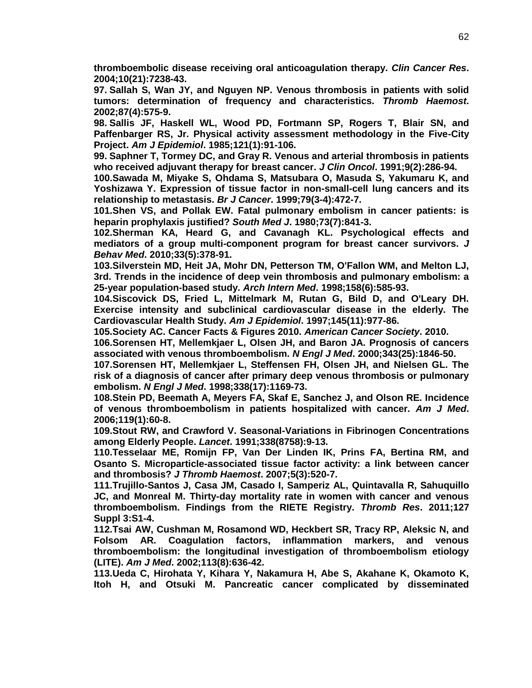**thromboembolic disease receiving oral anticoagulation therapy.** *Clin Cancer Res***. 2004;10(21):7238-43.**

**97. Sallah S, Wan JY, and Nguyen NP. Venous thrombosis in patients with solid tumors: determination of frequency and characteristics.** *Thromb Haemost***. 2002;87(4):575-9.**

**98. Sallis JF, Haskell WL, Wood PD, Fortmann SP, Rogers T, Blair SN, and Paffenbarger RS, Jr. Physical activity assessment methodology in the Five-City Project.** *Am J Epidemiol***. 1985;121(1):91-106.**

**99. Saphner T, Tormey DC, and Gray R. Venous and arterial thrombosis in patients who received adjuvant therapy for breast cancer.** *J Clin Oncol***. 1991;9(2):286-94.**

**100.Sawada M, Miyake S, Ohdama S, Matsubara O, Masuda S, Yakumaru K, and Yoshizawa Y. Expression of tissue factor in non-small-cell lung cancers and its relationship to metastasis.** *Br J Cancer***. 1999;79(3-4):472-7.**

**101.Shen VS, and Pollak EW. Fatal pulmonary embolism in cancer patients: is heparin prophylaxis justified?** *South Med J***. 1980;73(7):841-3.**

**102.Sherman KA, Heard G, and Cavanagh KL. Psychological effects and mediators of a group multi-component program for breast cancer survivors.** *J Behav Med***. 2010;33(5):378-91.**

**103.Silverstein MD, Heit JA, Mohr DN, Petterson TM, O'Fallon WM, and Melton LJ, 3rd. Trends in the incidence of deep vein thrombosis and pulmonary embolism: a 25-year population-based study.** *Arch Intern Med***. 1998;158(6):585-93.**

<span id="page-66-1"></span>**104.Siscovick DS, Fried L, Mittelmark M, Rutan G, Bild D, and O'Leary DH. Exercise intensity and subclinical cardiovascular disease in the elderly. The Cardiovascular Health Study.** *Am J Epidemiol***. 1997;145(11):977-86.**

**105.Society AC. Cancer Facts & Figures 2010.** *American Cancer Society***. 2010.**

**106.Sorensen HT, Mellemkjaer L, Olsen JH, and Baron JA. Prognosis of cancers associated with venous thromboembolism.** *N Engl J Med***. 2000;343(25):1846-50.**

**107.Sorensen HT, Mellemkjaer L, Steffensen FH, Olsen JH, and Nielsen GL. The risk of a diagnosis of cancer after primary deep venous thrombosis or pulmonary embolism.** *N Engl J Med***. 1998;338(17):1169-73.**

**108.Stein PD, Beemath A, Meyers FA, Skaf E, Sanchez J, and Olson RE. Incidence of venous thromboembolism in patients hospitalized with cancer.** *Am J Med***. 2006;119(1):60-8.**

<span id="page-66-0"></span>**109.Stout RW, and Crawford V. Seasonal-Variations in Fibrinogen Concentrations among Elderly People.** *Lancet***. 1991;338(8758):9-13.**

**110.Tesselaar ME, Romijn FP, Van Der Linden IK, Prins FA, Bertina RM, and Osanto S. Microparticle-associated tissue factor activity: a link between cancer and thrombosis?** *J Thromb Haemost***. 2007;5(3):520-7.**

**111.Trujillo-Santos J, Casa JM, Casado I, Samperiz AL, Quintavalla R, Sahuquillo JC, and Monreal M. Thirty-day mortality rate in women with cancer and venous thromboembolism. Findings from the RIETE Registry.** *Thromb Res***. 2011;127 Suppl 3:S1-4.**

**112.Tsai AW, Cushman M, Rosamond WD, Heckbert SR, Tracy RP, Aleksic N, and Folsom AR. Coagulation factors, inflammation markers, and venous thromboembolism: the longitudinal investigation of thromboembolism etiology (LITE).** *Am J Med***. 2002;113(8):636-42.**

**113.Ueda C, Hirohata Y, Kihara Y, Nakamura H, Abe S, Akahane K, Okamoto K, Itoh H, and Otsuki M. Pancreatic cancer complicated by disseminated**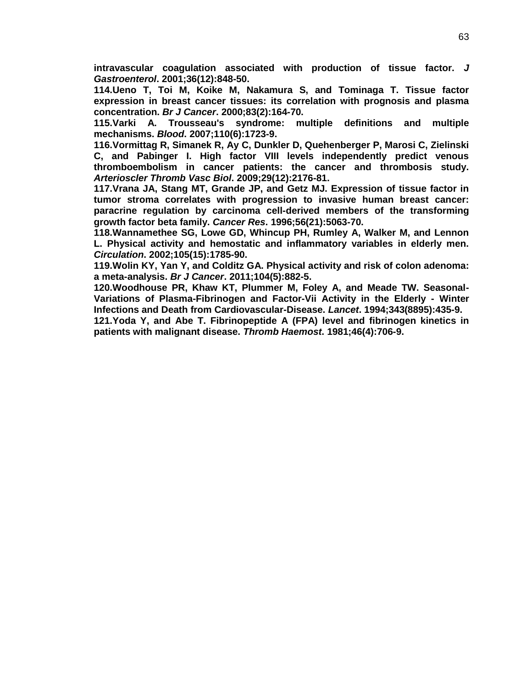**intravascular coagulation associated with production of tissue factor.** *J Gastroenterol***. 2001;36(12):848-50.**

**114.Ueno T, Toi M, Koike M, Nakamura S, and Tominaga T. Tissue factor expression in breast cancer tissues: its correlation with prognosis and plasma concentration.** *Br J Cancer***. 2000;83(2):164-70.**

**115.Varki A. Trousseau's syndrome: multiple definitions and multiple mechanisms.** *Blood***. 2007;110(6):1723-9.**

**116.Vormittag R, Simanek R, Ay C, Dunkler D, Quehenberger P, Marosi C, Zielinski C, and Pabinger I. High factor VIII levels independently predict venous thromboembolism in cancer patients: the cancer and thrombosis study.**  *Arterioscler Thromb Vasc Biol***. 2009;29(12):2176-81.**

**117.Vrana JA, Stang MT, Grande JP, and Getz MJ. Expression of tissue factor in tumor stroma correlates with progression to invasive human breast cancer: paracrine regulation by carcinoma cell-derived members of the transforming growth factor beta family.** *Cancer Res***. 1996;56(21):5063-70.**

<span id="page-67-0"></span>**118.Wannamethee SG, Lowe GD, Whincup PH, Rumley A, Walker M, and Lennon L. Physical activity and hemostatic and inflammatory variables in elderly men.**  *Circulation***. 2002;105(15):1785-90.**

**119.Wolin KY, Yan Y, and Colditz GA. Physical activity and risk of colon adenoma: a meta-analysis.** *Br J Cancer***. 2011;104(5):882-5.**

<span id="page-67-1"></span>**120.Woodhouse PR, Khaw KT, Plummer M, Foley A, and Meade TW. Seasonal-Variations of Plasma-Fibrinogen and Factor-Vii Activity in the Elderly - Winter Infections and Death from Cardiovascular-Disease.** *Lancet***. 1994;343(8895):435-9.**

**121.Yoda Y, and Abe T. Fibrinopeptide A (FPA) level and fibrinogen kinetics in patients with malignant disease.** *Thromb Haemost***. 1981;46(4):706-9.**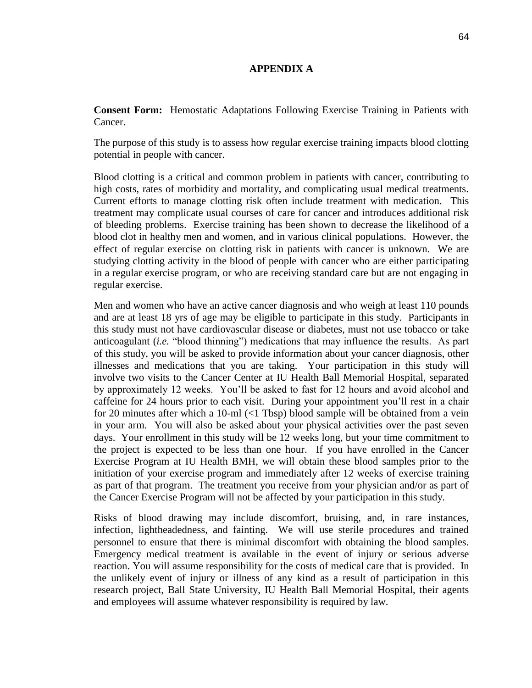### **APPENDIX A**

**Consent Form:** Hemostatic Adaptations Following Exercise Training in Patients with Cancer.

The purpose of this study is to assess how regular exercise training impacts blood clotting potential in people with cancer.

Blood clotting is a critical and common problem in patients with cancer, contributing to high costs, rates of morbidity and mortality, and complicating usual medical treatments. Current efforts to manage clotting risk often include treatment with medication. This treatment may complicate usual courses of care for cancer and introduces additional risk of bleeding problems. Exercise training has been shown to decrease the likelihood of a blood clot in healthy men and women, and in various clinical populations. However, the effect of regular exercise on clotting risk in patients with cancer is unknown. We are studying clotting activity in the blood of people with cancer who are either participating in a regular exercise program, or who are receiving standard care but are not engaging in regular exercise.

Men and women who have an active cancer diagnosis and who weigh at least 110 pounds and are at least 18 yrs of age may be eligible to participate in this study. Participants in this study must not have cardiovascular disease or diabetes, must not use tobacco or take anticoagulant (*i.e.* "blood thinning") medications that may influence the results. As part of this study, you will be asked to provide information about your cancer diagnosis, other illnesses and medications that you are taking. Your participation in this study will involve two visits to the Cancer Center at IU Health Ball Memorial Hospital, separated by approximately 12 weeks. You'll be asked to fast for 12 hours and avoid alcohol and caffeine for 24 hours prior to each visit. During your appointment you'll rest in a chair for 20 minutes after which a 10-ml (<1 Tbsp) blood sample will be obtained from a vein in your arm. You will also be asked about your physical activities over the past seven days. Your enrollment in this study will be 12 weeks long, but your time commitment to the project is expected to be less than one hour. If you have enrolled in the Cancer Exercise Program at IU Health BMH, we will obtain these blood samples prior to the initiation of your exercise program and immediately after 12 weeks of exercise training as part of that program. The treatment you receive from your physician and/or as part of the Cancer Exercise Program will not be affected by your participation in this study.

Risks of blood drawing may include discomfort, bruising, and, in rare instances, infection, lightheadedness, and fainting. We will use sterile procedures and trained personnel to ensure that there is minimal discomfort with obtaining the blood samples. Emergency medical treatment is available in the event of injury or serious adverse reaction. You will assume responsibility for the costs of medical care that is provided. In the unlikely event of injury or illness of any kind as a result of participation in this research project, Ball State University, IU Health Ball Memorial Hospital, their agents and employees will assume whatever responsibility is required by law.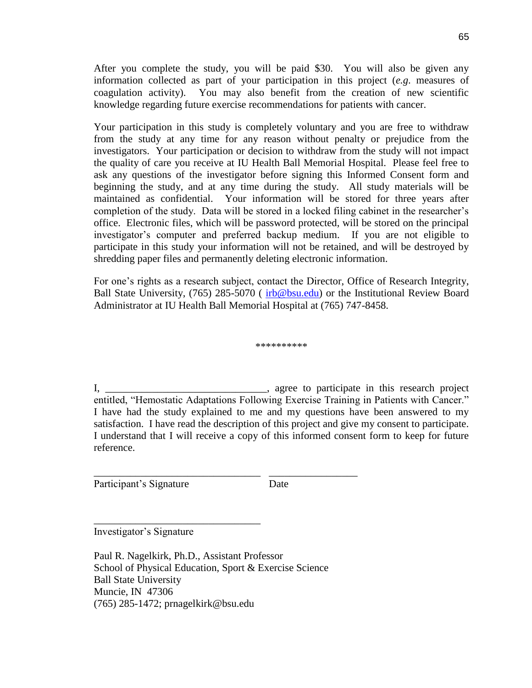After you complete the study, you will be paid \$30. You will also be given any information collected as part of your participation in this project (*e.g*. measures of coagulation activity). You may also benefit from the creation of new scientific knowledge regarding future exercise recommendations for patients with cancer.

Your participation in this study is completely voluntary and you are free to withdraw from the study at any time for any reason without penalty or prejudice from the investigators. Your participation or decision to withdraw from the study will not impact the quality of care you receive at IU Health Ball Memorial Hospital. Please feel free to ask any questions of the investigator before signing this Informed Consent form and beginning the study, and at any time during the study. All study materials will be maintained as confidential. Your information will be stored for three years after completion of the study. Data will be stored in a locked filing cabinet in the researcher's office. Electronic files, which will be password protected, will be stored on the principal investigator's computer and preferred backup medium. If you are not eligible to participate in this study your information will not be retained, and will be destroyed by shredding paper files and permanently deleting electronic information.

For one's rights as a research subject, contact the Director, Office of Research Integrity, Ball State University, (765) 285-5070 (*irb@bsu.edu*) or the Institutional Review Board Administrator at IU Health Ball Memorial Hospital at (765) 747-8458.

\*\*\*\*\*\*\*\*\*\*

I, \_\_\_\_\_\_\_\_\_\_\_\_\_\_\_\_\_\_\_\_\_\_\_\_\_\_\_\_\_\_\_, agree to participate in this research project entitled, "Hemostatic Adaptations Following Exercise Training in Patients with Cancer." I have had the study explained to me and my questions have been answered to my satisfaction. I have read the description of this project and give my consent to participate. I understand that I will receive a copy of this informed consent form to keep for future reference.

Participant's Signature Date

Investigator's Signature

\_\_\_\_\_\_\_\_\_\_\_\_\_\_\_\_\_\_\_\_\_\_\_\_\_\_\_\_\_\_\_\_

Paul R. Nagelkirk, Ph.D., Assistant Professor School of Physical Education, Sport & Exercise Science Ball State University Muncie, IN 47306 (765) 285-1472; prnagelkirk@bsu.edu

\_\_\_\_\_\_\_\_\_\_\_\_\_\_\_\_\_\_\_\_\_\_\_\_\_\_\_\_\_\_\_\_ \_\_\_\_\_\_\_\_\_\_\_\_\_\_\_\_\_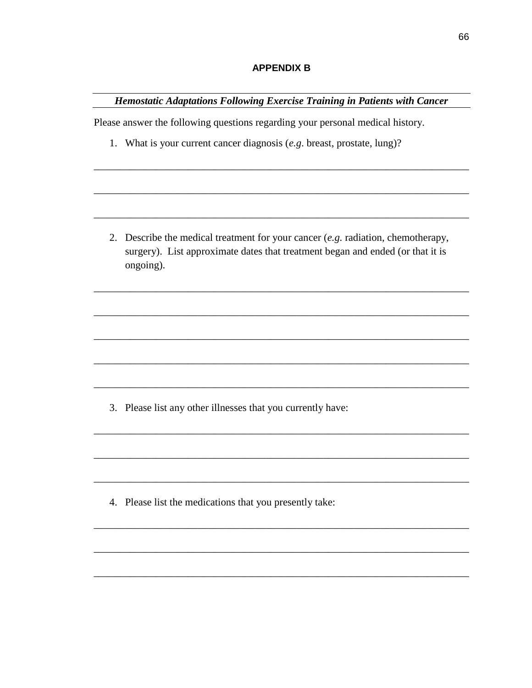### **APPENDIX B**

Hemostatic Adaptations Following Exercise Training in Patients with Cancer

Please answer the following questions regarding your personal medical history.

1. What is your current cancer diagnosis  $(e.g. \text{ breast}, \text{prostate}, \text{lung})$ ?

2. Describe the medical treatment for your cancer  $(e.g.$  radiation, chemotherapy, surgery). List approximate dates that treatment began and ended (or that it is ongoing).

3. Please list any other illnesses that you currently have:

4. Please list the medications that you presently take: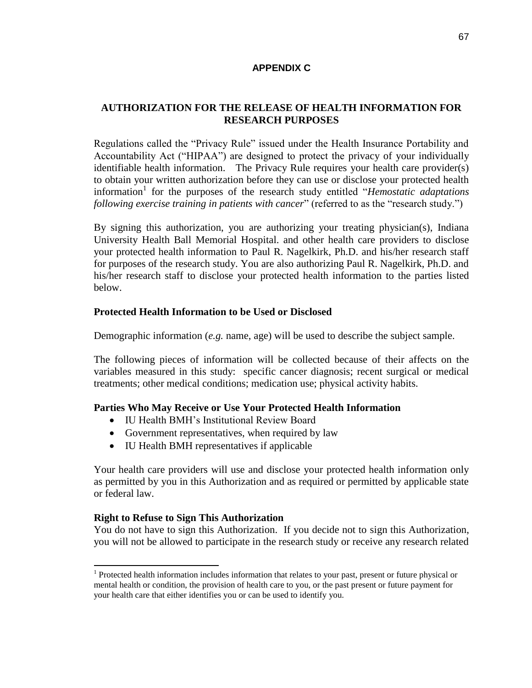## **APPENDIX C**

## **AUTHORIZATION FOR THE RELEASE OF HEALTH INFORMATION FOR RESEARCH PURPOSES**

Regulations called the "Privacy Rule" issued under the Health Insurance Portability and Accountability Act ("HIPAA") are designed to protect the privacy of your individually identifiable health information. The Privacy Rule requires your health care provider(s) to obtain your written authorization before they can use or disclose your protected health information<sup>1</sup> for the purposes of the research study entitled "*Hemostatic adaptations following exercise training in patients with cancer*" (referred to as the "research study.")

By signing this authorization, you are authorizing your treating physician(s), Indiana University Health Ball Memorial Hospital. and other health care providers to disclose your protected health information to Paul R. Nagelkirk, Ph.D. and his/her research staff for purposes of the research study. You are also authorizing Paul R. Nagelkirk, Ph.D. and his/her research staff to disclose your protected health information to the parties listed below.

## **Protected Health Information to be Used or Disclosed**

Demographic information (*e.g.* name, age) will be used to describe the subject sample.

The following pieces of information will be collected because of their affects on the variables measured in this study: specific cancer diagnosis; recent surgical or medical treatments; other medical conditions; medication use; physical activity habits.

## **Parties Who May Receive or Use Your Protected Health Information**

- IU Health BMH's Institutional Review Board
- Government representatives, when required by law
- IU Health BMH representatives if applicable

Your health care providers will use and disclose your protected health information only as permitted by you in this Authorization and as required or permitted by applicable state or federal law.

### **Right to Refuse to Sign This Authorization**

You do not have to sign this Authorization. If you decide not to sign this Authorization, you will not be allowed to participate in the research study or receive any research related

<sup>&</sup>lt;sup>1</sup> Protected health information includes information that relates to your past, present or future physical or mental health or condition, the provision of health care to you, or the past present or future payment for your health care that either identifies you or can be used to identify you.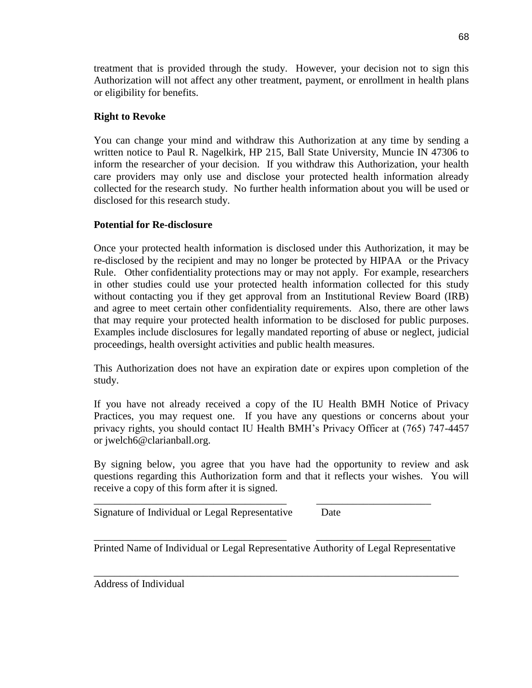treatment that is provided through the study. However, your decision not to sign this Authorization will not affect any other treatment, payment, or enrollment in health plans or eligibility for benefits.

## **Right to Revoke**

You can change your mind and withdraw this Authorization at any time by sending a written notice to Paul R. Nagelkirk, HP 215, Ball State University, Muncie IN 47306 to inform the researcher of your decision. If you withdraw this Authorization, your health care providers may only use and disclose your protected health information already collected for the research study. No further health information about you will be used or disclosed for this research study.

# **Potential for Re-disclosure**

Once your protected health information is disclosed under this Authorization, it may be re-disclosed by the recipient and may no longer be protected by HIPAA or the Privacy Rule. Other confidentiality protections may or may not apply. For example, researchers in other studies could use your protected health information collected for this study without contacting you if they get approval from an Institutional Review Board (IRB) and agree to meet certain other confidentiality requirements. Also, there are other laws that may require your protected health information to be disclosed for public purposes. Examples include disclosures for legally mandated reporting of abuse or neglect, judicial proceedings, health oversight activities and public health measures.

This Authorization does not have an expiration date or expires upon completion of the study.

If you have not already received a copy of the IU Health BMH Notice of Privacy Practices, you may request one. If you have any questions or concerns about your privacy rights, you should contact IU Health BMH's Privacy Officer at (765) 747-4457 or jwelch6@clarianball.org.

By signing below, you agree that you have had the opportunity to review and ask questions regarding this Authorization form and that it reflects your wishes. You will receive a copy of this form after it is signed.

Signature of Individual or Legal Representative Date

Printed Name of Individual or Legal Representative Authority of Legal Representative

\_\_\_\_\_\_\_\_\_\_\_\_\_\_\_\_\_\_\_\_\_\_\_\_\_\_\_\_\_\_\_\_\_\_\_\_\_\_\_\_\_\_\_\_\_\_\_\_\_\_\_\_\_\_\_\_\_\_\_\_\_\_\_\_\_\_\_\_\_\_

\_\_\_\_\_\_\_\_\_\_\_\_\_\_\_\_\_\_\_\_\_\_\_\_\_\_\_\_\_\_\_\_\_\_\_\_\_ \_\_\_\_\_\_\_\_\_\_\_\_\_\_\_\_\_\_\_\_\_\_

\_\_\_\_\_\_\_\_\_\_\_\_\_\_\_\_\_\_\_\_\_\_\_\_\_\_\_\_\_\_\_\_\_\_\_\_\_ \_\_\_\_\_\_\_\_\_\_\_\_\_\_\_\_\_\_\_\_\_\_

Address of Individual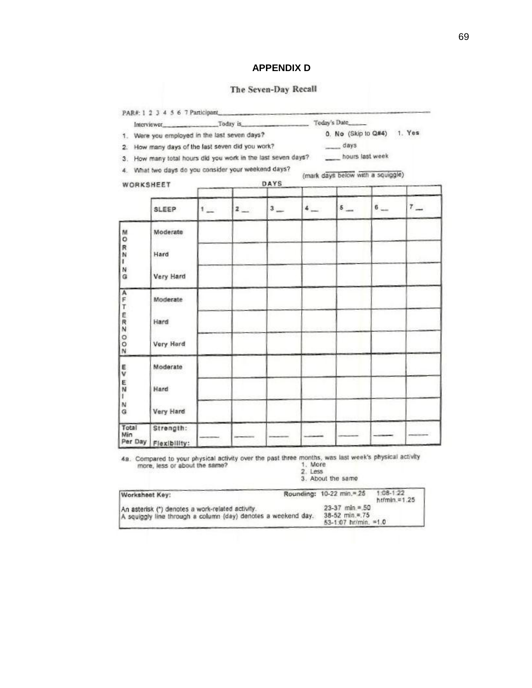### **APPENDIX D**

# The Seven-Day Recall

|                                                                                                                                                                                                                                                                                                                                                                                                                                                                          | Interviewer Today is Today's Date                                                    |   |           |             |                            |                                   |       |       |  |
|--------------------------------------------------------------------------------------------------------------------------------------------------------------------------------------------------------------------------------------------------------------------------------------------------------------------------------------------------------------------------------------------------------------------------------------------------------------------------|--------------------------------------------------------------------------------------|---|-----------|-------------|----------------------------|-----------------------------------|-------|-------|--|
| 1. Were you employed in the last seven days?                                                                                                                                                                                                                                                                                                                                                                                                                             |                                                                                      |   |           |             | 0. No (Skip to Q#4) 1. Yes |                                   |       |       |  |
| $\label{eq:1} \frac{1}{2} \int_{\mathbb{R}^2} \frac{1}{\sqrt{2}} \, \frac{1}{\sqrt{2}} \, \frac{1}{\sqrt{2}} \, \frac{1}{\sqrt{2}} \, \frac{1}{\sqrt{2}} \, \frac{1}{\sqrt{2}} \, \frac{1}{\sqrt{2}} \, \frac{1}{\sqrt{2}} \, \frac{1}{\sqrt{2}} \, \frac{1}{\sqrt{2}} \, \frac{1}{\sqrt{2}} \, \frac{1}{\sqrt{2}} \, \frac{1}{\sqrt{2}} \, \frac{1}{\sqrt{2}} \, \frac{1}{\sqrt{2}} \, \frac{1}{\sqrt{2}} \, \frac$<br>2. How many days of the last seven did you work? |                                                                                      |   |           |             |                            | days                              |       |       |  |
|                                                                                                                                                                                                                                                                                                                                                                                                                                                                          | 3. How many total hours did you work in the last seven days? _______ hours last week |   |           |             |                            |                                   |       |       |  |
|                                                                                                                                                                                                                                                                                                                                                                                                                                                                          | 4. What two days do you consider your weekend days?                                  |   |           |             |                            | (mark days below with a squiggle) |       |       |  |
| WORKSHEET                                                                                                                                                                                                                                                                                                                                                                                                                                                                |                                                                                      |   |           | <b>DAYS</b> |                            |                                   |       |       |  |
|                                                                                                                                                                                                                                                                                                                                                                                                                                                                          |                                                                                      |   |           |             |                            |                                   |       |       |  |
|                                                                                                                                                                                                                                                                                                                                                                                                                                                                          | <b>SLEEP</b>                                                                         | 1 | $2\qquad$ | $3 -$       | $4-$                       | $5 -$                             | $6 -$ | $7 -$ |  |
| M<br>$\circ$<br>R<br>N                                                                                                                                                                                                                                                                                                                                                                                                                                                   | Moderate                                                                             |   |           |             |                            |                                   |       |       |  |
|                                                                                                                                                                                                                                                                                                                                                                                                                                                                          | Hard                                                                                 |   |           |             |                            |                                   |       |       |  |
| т                                                                                                                                                                                                                                                                                                                                                                                                                                                                        |                                                                                      |   |           |             |                            |                                   |       |       |  |
| N<br>G                                                                                                                                                                                                                                                                                                                                                                                                                                                                   | Very Hard                                                                            |   |           |             |                            |                                   |       |       |  |
| A<br>F<br>T<br>E<br>$\overline{R}$                                                                                                                                                                                                                                                                                                                                                                                                                                       | Moderate                                                                             |   |           |             |                            |                                   |       |       |  |
|                                                                                                                                                                                                                                                                                                                                                                                                                                                                          |                                                                                      |   |           |             |                            |                                   |       |       |  |
|                                                                                                                                                                                                                                                                                                                                                                                                                                                                          | Hard                                                                                 |   |           |             |                            |                                   |       |       |  |
| $\circ$                                                                                                                                                                                                                                                                                                                                                                                                                                                                  |                                                                                      |   |           |             |                            |                                   |       |       |  |
| O<br>N                                                                                                                                                                                                                                                                                                                                                                                                                                                                   | Very Hard                                                                            |   |           |             |                            |                                   |       |       |  |
| E<br>v                                                                                                                                                                                                                                                                                                                                                                                                                                                                   | Moderate                                                                             |   |           |             |                            |                                   |       |       |  |
|                                                                                                                                                                                                                                                                                                                                                                                                                                                                          |                                                                                      |   |           |             |                            |                                   |       |       |  |
| $\frac{\pi}{N}$<br>T                                                                                                                                                                                                                                                                                                                                                                                                                                                     | Hard                                                                                 |   |           |             |                            |                                   |       |       |  |
| N<br>G                                                                                                                                                                                                                                                                                                                                                                                                                                                                   | Very Hard                                                                            |   |           |             |                            |                                   |       |       |  |
| Total<br>Min                                                                                                                                                                                                                                                                                                                                                                                                                                                             | Strength:                                                                            |   |           |             |                            |                                   |       |       |  |
| Per Day                                                                                                                                                                                                                                                                                                                                                                                                                                                                  | Flexibility:                                                                         |   |           |             |                            |                                   |       |       |  |

**4a.** Compared to your physical activity over the past three months, was last week's physical activity more, less or about the same?<br>  $2.$  Less<br>  $3.$  About the same<br>  $3.$  About the same<br>  $3.$ 

| Worksheet Key:                                                                                                    | Rounding: 10-22 min.=. 25                                               | $1:08-1:22$<br>hr/min. $\approx 1.25$ |
|-------------------------------------------------------------------------------------------------------------------|-------------------------------------------------------------------------|---------------------------------------|
| An asterisk (*) denotes a work-related activity.<br>A squiggly line through a column (day) denotes a weekend day. | $23-37$ min = 50<br>$38-52$ min. $\equiv$ 75<br>$53-1.07$ hr/min. = 1.0 |                                       |